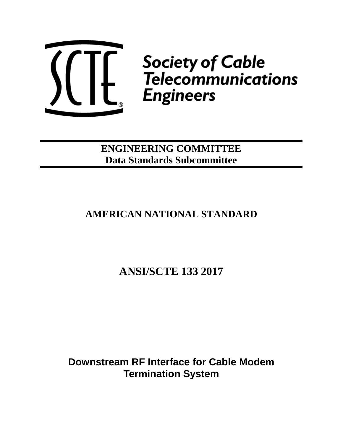

**CONFIDENT**<br>
Telecommunications<br>
Engineers

**ENGINEERING COMMITTEE Data Standards Subcommittee**

# **AMERICAN NATIONAL STANDARD**

**ANSI/SCTE 133 2017**

**Downstream RF Interface for Cable Modem Termination System**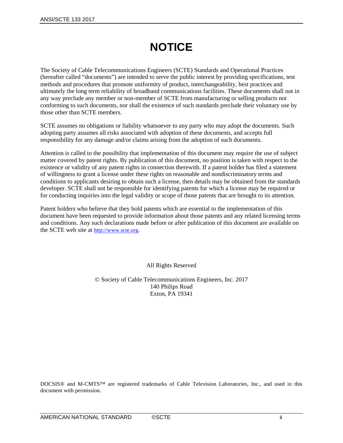# **NOTICE**

The Society of Cable Telecommunications Engineers (SCTE) Standards and Operational Practices (hereafter called "documents") are intended to serve the public interest by providing specifications, test methods and procedures that promote uniformity of product, interchangeability, best practices and ultimately the long term reliability of broadband communications facilities. These documents shall not in any way preclude any member or non-member of SCTE from manufacturing or selling products not conforming to such documents, nor shall the existence of such standards preclude their voluntary use by those other than SCTE members.

SCTE assumes no obligations or liability whatsoever to any party who may adopt the documents. Such adopting party assumes all risks associated with adoption of these documents, and accepts full responsibility for any damage and/or claims arising from the adoption of such documents.

Attention is called to the possibility that implementation of this document may require the use of subject matter covered by patent rights. By publication of this document, no position is taken with respect to the existence or validity of any patent rights in connection therewith. If a patent holder has filed a statement of willingness to grant a license under these rights on reasonable and nondiscriminatory terms and conditions to applicants desiring to obtain such a license, then details may be obtained from the standards developer. SCTE shall not be responsible for identifying patents for which a license may be required or for conducting inquiries into the legal validity or scope of those patents that are brought to its attention.

Patent holders who believe that they hold patents which are essential to the implementation of this document have been requested to provide information about those patents and any related licensing terms and conditions. Any such declarations made before or after publication of this document are available on the SCTE web site at [http://www.scte.org.](http://www.scte.org/)

All Rights Reserved

© Society of Cable Telecommunications Engineers, Inc. 2017 140 Philips Road Exton, PA 19341

DOCSIS® and M-CMTS™ are registered trademarks of Cable Television Laboratories, Inc., and used in this document with permission.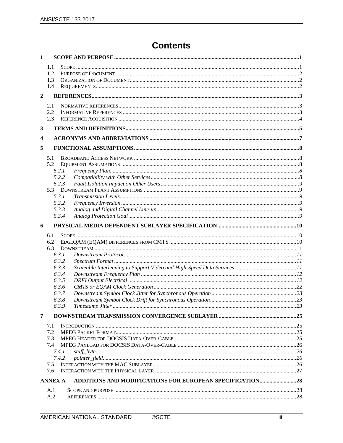# **Contents**

| 1                |                |       |  |  |  |
|------------------|----------------|-------|--|--|--|
|                  | 1.1            |       |  |  |  |
|                  | 1.2            |       |  |  |  |
|                  | 1.3            |       |  |  |  |
|                  | 1.4            |       |  |  |  |
| $\boldsymbol{2}$ |                |       |  |  |  |
|                  |                |       |  |  |  |
|                  | 2.1<br>2.2     |       |  |  |  |
|                  | 2.3            |       |  |  |  |
|                  |                |       |  |  |  |
| 3                |                |       |  |  |  |
| 4                |                |       |  |  |  |
| 5                |                |       |  |  |  |
|                  | 5.1            |       |  |  |  |
|                  | 5.2            |       |  |  |  |
|                  |                | 5.2.1 |  |  |  |
|                  |                | 5.2.2 |  |  |  |
|                  |                | 5.2.3 |  |  |  |
|                  |                |       |  |  |  |
|                  |                | 5.3.1 |  |  |  |
|                  |                | 5.3.2 |  |  |  |
|                  |                | 5.3.3 |  |  |  |
|                  |                | 5.3.4 |  |  |  |
| 6                |                |       |  |  |  |
|                  | 6.1            |       |  |  |  |
|                  | 6.2            |       |  |  |  |
|                  | 6.3            |       |  |  |  |
|                  |                | 6.3.1 |  |  |  |
|                  |                | 6.3.2 |  |  |  |
|                  |                | 6.3.3 |  |  |  |
|                  |                | 6.3.4 |  |  |  |
|                  |                | 6.3.5 |  |  |  |
|                  |                | 6.3.6 |  |  |  |
|                  |                | 6.3.7 |  |  |  |
|                  |                | 6.3.8 |  |  |  |
|                  |                | 6.3.9 |  |  |  |
| 7                |                |       |  |  |  |
|                  | 7.1            |       |  |  |  |
|                  | 7.2            |       |  |  |  |
|                  | 7.3            |       |  |  |  |
|                  | 7.4            |       |  |  |  |
|                  |                | 7.4.1 |  |  |  |
|                  |                | 7.4.2 |  |  |  |
|                  | 7.5            |       |  |  |  |
|                  | 7.6            |       |  |  |  |
|                  | <b>ANNEX A</b> |       |  |  |  |
|                  | A.1            |       |  |  |  |
|                  | A.2            |       |  |  |  |
|                  |                |       |  |  |  |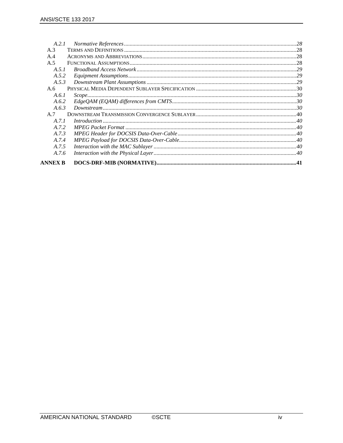| A.2.1          |                                                                                                            |  |
|----------------|------------------------------------------------------------------------------------------------------------|--|
| A.3            |                                                                                                            |  |
| A.4            |                                                                                                            |  |
| A.5            |                                                                                                            |  |
| A.5.1          |                                                                                                            |  |
| A.5.2          |                                                                                                            |  |
| A.5.3          |                                                                                                            |  |
| A.6            |                                                                                                            |  |
| A.6.1          |                                                                                                            |  |
| A.6.2          | $\emph{EdgeQAM}\ (EQAM)\ differentness\ from\ CMTS. \label{eq:edgeQAM} \emph{CMTS}. \normalsize \noindent$ |  |
| A.6.3          |                                                                                                            |  |
| A.7            |                                                                                                            |  |
| A.7.1          | $\it Introduction \, 340$                                                                                  |  |
| A.7.2          |                                                                                                            |  |
| A.7.3          |                                                                                                            |  |
| A.7.4          |                                                                                                            |  |
| A.7.5          |                                                                                                            |  |
| A.7.6          |                                                                                                            |  |
| <b>ANNEX B</b> |                                                                                                            |  |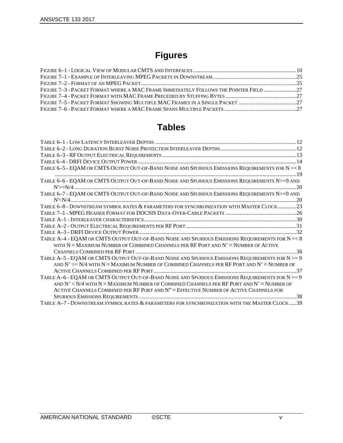# **Figures**

| FIGURE 7–3 - PACKET FORMAT WHERE A MAC FRAME IMMEDIATELY FOLLOWS THE POINTER FIELD 27 |  |
|---------------------------------------------------------------------------------------|--|
|                                                                                       |  |
|                                                                                       |  |
|                                                                                       |  |

# **Tables**

| TABLE 6-5 - EQAM OR CMTS OUTPUT OUT-OF-BAND NOISE AND SPURIOUS EMISSIONS REQUIREMENTS FOR N = < 8                                                                                                                                                                                                   |  |
|-----------------------------------------------------------------------------------------------------------------------------------------------------------------------------------------------------------------------------------------------------------------------------------------------------|--|
| TABLE 6-6 - EQAM OR CMTS OUTPUT OUT-OF-BAND NOISE AND SPURIOUS EMISSIONS REQUIREMENTS N>=9 AND                                                                                                                                                                                                      |  |
| TABLE 6-7 - EQAM OR CMTS OUTPUT OUT-OF-BAND NOISE AND SPURIOUS EMISSIONS REQUIREMENTS N>=9 AND                                                                                                                                                                                                      |  |
| TABLE 6-8 - DOWNSTREAM SYMBOL RATES & PARAMETERS FOR SYNCHRONIZATION WITH MASTER CLOCK23                                                                                                                                                                                                            |  |
|                                                                                                                                                                                                                                                                                                     |  |
|                                                                                                                                                                                                                                                                                                     |  |
|                                                                                                                                                                                                                                                                                                     |  |
|                                                                                                                                                                                                                                                                                                     |  |
| TABLE A-4 - EQAM OR CMTS OUTPUT OUT-OF-BAND NOISE AND SPURIOUS EMISSIONS REQUIREMENTS FOR N = < 8<br>WITH $N \equiv$ MAXIMUM NUMBER OF COMBINED CHANNELS PER RF PORT AND $N' \equiv$ NUMBER OF ACTIVE                                                                                               |  |
| TABLE A-5 - EQAM OR CMTS OUTPUT OUT-OF-BAND NOISE AND SPURIOUS EMISSIONS REQUIREMENTS FOR N >= 9                                                                                                                                                                                                    |  |
| AND N' $>=$ N/4 WITH N $\equiv$ MAXIMUM NUMBER OF COMBINED CHANNELS PER RF PORT AND N' $\equiv$ NUMBER OF                                                                                                                                                                                           |  |
| TABLE A-6 - EQAM OR CMTS OUTPUT OUT-OF-BAND NOISE AND SPURIOUS EMISSIONS REQUIREMENTS FOR N >= 9<br>AND N' < N/4 WITH N $\equiv$ MAXIMUM NUMBER OF COMBINED CHANNELS PER RF PORT AND N' $\equiv$ NUMBER OF<br>ACTIVE CHANNELS COMBINED PER RF PORT AND N" = EFFECTIVE NUMBER OF ACTIVE CHANNELS FOR |  |
|                                                                                                                                                                                                                                                                                                     |  |
| TABLE A-7 - DOWNSTREAM SYMBOL RATES & PARAMETERS FOR SYNCHRONIZATION WITH THE MASTER CLOCK  39                                                                                                                                                                                                      |  |
|                                                                                                                                                                                                                                                                                                     |  |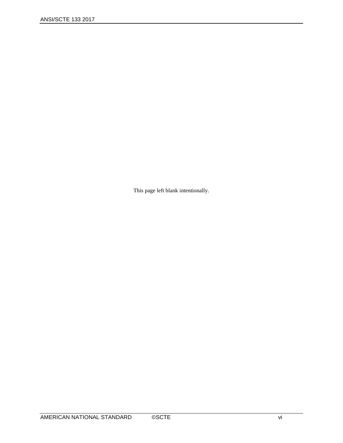This page left blank intentionally.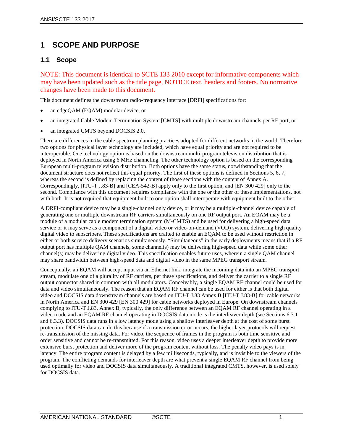# <span id="page-6-0"></span>**1 SCOPE AND PURPOSE**

# <span id="page-6-1"></span>**1.1 Scope**

NOTE: This document is identical to SCTE 133 2010 except for informative components which may have been updated such as the title page, NOTICE text, headers and footers. No normative changes have been made to this document.

This document defines the downstream radio-frequency interface [DRFI] specifications for:

- an edgeQAM (EQAM) modular device, or
- an integrated Cable Modem Termination System [CMTS] with multiple downstream channels per RF port, or
- an integrated CMTS beyond DOCSIS 2.0.

There are differences in the cable spectrum planning practices adopted for different networks in the world. Therefore two options for physical layer technology are included, which have equal priority and are not required to be interoperable. One technology option is based on the downstream multi-program television distribution that is deployed in North America using 6 MHz channeling. The other technology option is based on the corresponding European multi-program television distribution. Both options have the same status, notwithstanding that the document structure does not reflect this equal priority. The first of these options is defined in Sections [5,](#page-13-0) [6,](#page-15-0) [7,](#page-30-0) whereas the second is defined by replacing the content of those sections with the content o[f Annex A.](#page-33-0) Correspondingly, [\[ITU-T J.83-B\]](#page-8-3) and [\[CEA-542-B\]](#page-8-4) apply only to the first option, and [\[EN 300 429\]](#page-33-7) only to the second. Compliance with this document requires compliance with the one or the other of these implementations, not with both. It is not required that equipment built to one option shall interoperate with equipment built to the other.

A DRFI-compliant device may be a single-channel only device, or it may be a multiple-channel device capable of generating one or multiple downstream RF carriers simultaneously on one RF output port. An EQAM may be a module of a modular cable modem termination system (M-CMTS) and be used for delivering a high-speed data service or it may serve as a component of a digital video or video-on-demand (VOD) system, delivering high quality digital video to subscribers. These specifications are crafted to enable an EQAM to be used without restriction in either or both service delivery scenarios simultaneously. "Simultaneous" in the early deployments means that if a RF output port has multiple QAM channels, some channel(s) may be delivering high-speed data while some other channel(s) may be delivering digital video. This specification enables future uses, wherein a single QAM channel may share bandwidth between high-speed data and digital video in the same MPEG transport stream.

Conceptually, an EQAM will accept input via an Ethernet link, integrate the incoming data into an MPEG transport stream, modulate one of a plurality of RF carriers, per these specifications, and deliver the carrier to a single RF output connector shared in common with all modulators. Conceivably, a single EQAM RF channel could be used for data and video simultaneously. The reason that an EQAM RF channel can be used for either is that both digital video and DOCSIS data downstream channels are based on ITU-T J.83 Annex B [\[ITU-T J.83-B\]](#page-8-3) for cable networks in North America and EN 300 429 [EN 300 429] for cable networks deployed in Europe. On downstream channels complying to ITU-T J.83, Annex B, typically, the only difference between an EQAM RF channel operating in a video mode and an EQAM RF channel operating in DOCSIS data mode is the interleaver depth (see Sections [6.3.1](#page-16-1) and [6.3.3\)](#page-16-3). DOCSIS data runs in a low latency mode using a shallow interleaver depth at the cost of some burst protection. DOCSIS data can do this because if a transmission error occurs, the higher layer protocols will request re-transmission of the missing data. For video, the sequence of frames in the program is both time sensitive and order sensitive and cannot be re-transmitted. For this reason, video uses a deeper interleaver depth to provide more extensive burst protection and deliver more of the program content without loss. The penalty video pays is in latency. The entire program content is delayed by a few milliseconds, typically, and is invisible to the viewers of the program. The conflicting demands for interleaver depth are what prevent a single EQAM RF channel from being used optimally for video and DOCSIS data simultaneously. A traditional integrated CMTS, however, is used solely for DOCSIS data.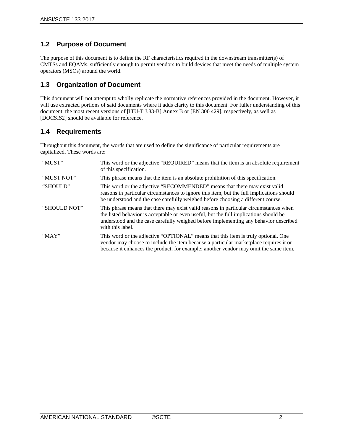# <span id="page-7-0"></span>**1.2 Purpose of Document**

The purpose of this document is to define the RF characteristics required in the downstream transmitter(s) of CMTSs and EQAMs, sufficiently enough to permit vendors to build devices that meet the needs of multiple system operators (MSOs) around the world.

# <span id="page-7-1"></span>**1.3 Organization of Document**

This document will not attempt to wholly replicate the normative references provided in the document. However, it will use extracted portions of said documents where it adds clarity to this document. For fuller understanding of this document, the most recent versions o[f \[ITU-T J.83-B\]](#page-8-3) Annex B or [\[EN 300 429\],](#page-33-7) respectively, as well as [\[DOCSIS2\]](#page-8-5) should be available for reference.

# <span id="page-7-2"></span>**1.4 Requirements**

Throughout this document, the words that are used to define the significance of particular requirements are capitalized. These words are:

| "MUST"       | This word or the adjective "REQUIRED" means that the item is an absolute requirement<br>of this specification.                                                                                                                                                                             |
|--------------|--------------------------------------------------------------------------------------------------------------------------------------------------------------------------------------------------------------------------------------------------------------------------------------------|
| "MUST NOT"   | This phrase means that the item is an absolute prohibition of this specification.                                                                                                                                                                                                          |
| "SHOULD"     | This word or the adjective "RECOMMENDED" means that there may exist valid<br>reasons in particular circumstances to ignore this item, but the full implications should<br>be understood and the case carefully weighed before choosing a different course.                                 |
| "SHOULD NOT" | This phrase means that there may exist valid reasons in particular circumstances when<br>the listed behavior is acceptable or even useful, but the full implications should be<br>understood and the case carefully weighed before implementing any behavior described<br>with this label. |
| "MAY"        | This word or the adjective "OPTIONAL" means that this item is truly optional. One<br>vendor may choose to include the item because a particular marketplace requires it or<br>because it enhances the product, for example; another vendor may omit the same item.                         |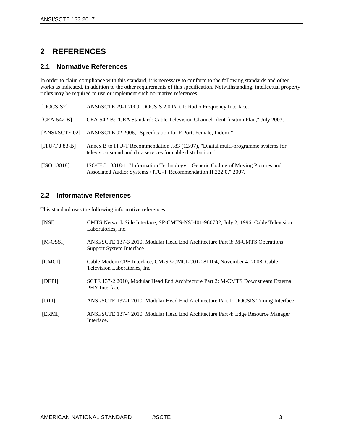# <span id="page-8-0"></span>**2 REFERENCES**

# <span id="page-8-1"></span>**2.1 Normative References**

In order to claim compliance with this standard, it is necessary to conform to the following standards and other works as indicated, in addition to the other requirements of this specification. Notwithstanding, intellectual property rights may be required to use or implement such normative references.

<span id="page-8-6"></span><span id="page-8-5"></span><span id="page-8-4"></span><span id="page-8-3"></span>

| [DOCSIS2]        | ANSI/SCTE 79-1 2009, DOCSIS 2.0 Part 1: Radio Frequency Interface.                                                                                   |
|------------------|------------------------------------------------------------------------------------------------------------------------------------------------------|
| $[CEA-542-B]$    | CEA-542-B: "CEA Standard: Cable Television Channel Identification Plan," July 2003.                                                                  |
| [ANSI/SCTE 02]   | ANSI/SCTE 02 2006, "Specification for F Port, Female, Indoor."                                                                                       |
| $[ITU-T J.83-B]$ | Annex B to ITU-T Recommendation J.83 (12/07), "Digital multi-programme systems for<br>television sound and data services for cable distribution."    |
| [ISO 13818]      | ISO/IEC 13818-1, "Information Technology - Generic Coding of Moving Pictures and<br>Associated Audio: Systems / ITU-T Recommendation H.222.0," 2007. |

# <span id="page-8-13"></span><span id="page-8-2"></span>**2.2 Informative References**

This standard uses the following informative references.

<span id="page-8-12"></span><span id="page-8-11"></span><span id="page-8-10"></span><span id="page-8-9"></span><span id="page-8-8"></span><span id="page-8-7"></span>

| [NSI]         | CMTS Network Side Interface, SP-CMTS-NSI-I01-960702, July 2, 1996, Cable Television<br>Laboratories, Inc.  |
|---------------|------------------------------------------------------------------------------------------------------------|
| $[M-OSSI]$    | ANSI/SCTE 137-3 2010, Modular Head End Architecture Part 3: M-CMTS Operations<br>Support System Interface. |
| [CMCI]        | Cable Modem CPE Interface, CM-SP-CMCI-C01-081104, November 4, 2008, Cable<br>Television Laboratories, Inc. |
| <b>[DEPI]</b> | SCTE 137-2 2010, Modular Head End Architecture Part 2: M-CMTS Downstream External<br>PHY Interface.        |
| [DTI]         | ANSI/SCTE 137-1 2010, Modular Head End Architecture Part 1: DOCSIS Timing Interface.                       |
| <b>[ERMI]</b> | ANSI/SCTE 137-4 2010, Modular Head End Architecture Part 4: Edge Resource Manager<br>Interface.            |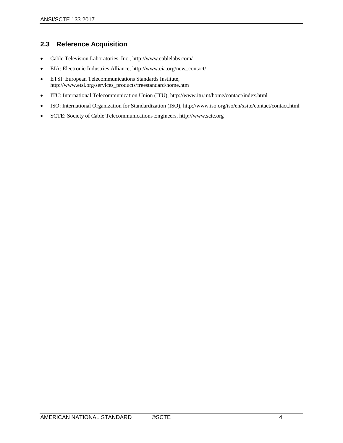# <span id="page-9-0"></span>**2.3 Reference Acquisition**

- Cable Television Laboratories, Inc., http://www.cablelabs.com/
- EIA: Electronic Industries Alliance, [http://www.eia.org/new\\_contact/](http://www.eia.org/new_contact/)
- ETSI: European Telecommunications Standards Institute, http://www.etsi.org/services\_products/freestandard/home.htm
- ITU: International Telecommunication Union (ITU), http://www.itu.int/home/contact/index.html
- ISO: International Organization for Standardization (ISO),<http://www.iso.org/iso/en/xsite/contact/contact.html>
- SCTE: Society of Cable Telecommunications Engineers, http://www.scte.org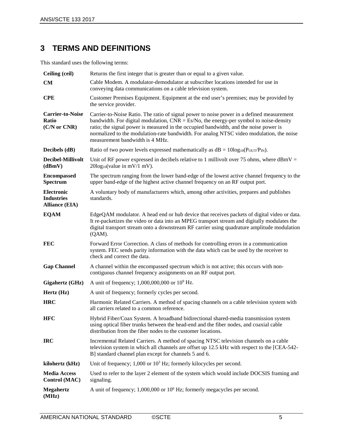# <span id="page-10-0"></span>**3 TERMS AND DEFINITIONS**

This standard uses the following terms:

| Ceiling (ceil)                                           | Returns the first integer that is greater than or equal to a given value.                                                                                                                                                                                                                                                                                                                                      |  |  |  |
|----------------------------------------------------------|----------------------------------------------------------------------------------------------------------------------------------------------------------------------------------------------------------------------------------------------------------------------------------------------------------------------------------------------------------------------------------------------------------------|--|--|--|
| CM                                                       | Cable Modem. A modulator-demodulator at subscriber locations intended for use in<br>conveying data communications on a cable television system.                                                                                                                                                                                                                                                                |  |  |  |
| <b>CPE</b>                                               | Customer Premises Equipment. Equipment at the end user's premises; may be provided by<br>the service provider.                                                                                                                                                                                                                                                                                                 |  |  |  |
| <b>Carrier-to-Noise</b><br>Ratio<br>(C/N or CNR)         | Carrier-to-Noise Ratio. The ratio of signal power to noise power in a defined measurement<br>bandwidth. For digital modulation, $CNR = Es/No$ , the energy-per symbol to noise-density<br>ratio; the signal power is measured in the occupied bandwidth, and the noise power is<br>normalized to the modulation-rate bandwidth. For analog NTSC video modulation, the noise<br>measurement bandwidth is 4 MHz. |  |  |  |
| Decibels (dB)                                            | Ratio of two power levels expressed mathematically as $dB = 10\log_{10}(P_{\text{OUT}}/P_{\text{IN}})$ .                                                                                                                                                                                                                                                                                                       |  |  |  |
| Decibel-Millivolt<br>(dBmV)                              | Unit of RF power expressed in decibels relative to 1 millivolt over 75 ohms, where dBmV =<br>$20\log_{10}(value in mV/1 mV).$                                                                                                                                                                                                                                                                                  |  |  |  |
| <b>Encompassed</b><br>Spectrum                           | The spectrum ranging from the lower band-edge of the lowest active channel frequency to the<br>upper band-edge of the highest active channel frequency on an RF output port.                                                                                                                                                                                                                                   |  |  |  |
| Electronic<br><b>Industries</b><br><b>Alliance (EIA)</b> | A voluntary body of manufacturers which, among other activities, prepares and publishes<br>standards.                                                                                                                                                                                                                                                                                                          |  |  |  |
| <b>EQAM</b>                                              | EdgeQAM modulator. A head end or hub device that receives packets of digital video or data.<br>It re-packetizes the video or data into an MPEG transport stream and digitally modulates the<br>digital transport stream onto a downstream RF carrier using quadrature amplitude modulation<br>$(QAM)$ .                                                                                                        |  |  |  |
| <b>FEC</b>                                               | Forward Error Correction. A class of methods for controlling errors in a communication<br>system. FEC sends parity information with the data which can be used by the receiver to<br>check and correct the data.                                                                                                                                                                                               |  |  |  |
| <b>Gap Channel</b>                                       | A channel within the encompassed spectrum which is not active; this occurs with non-<br>contiguous channel frequency assignments on an RF output port.                                                                                                                                                                                                                                                         |  |  |  |
| Gigahertz (GHz)                                          | A unit of frequency; $1,000,000,000$ or $10^9$ Hz.                                                                                                                                                                                                                                                                                                                                                             |  |  |  |
| Hertz (Hz)                                               | A unit of frequency; formerly cycles per second.                                                                                                                                                                                                                                                                                                                                                               |  |  |  |
| <b>HRC</b>                                               | Harmonic Related Carriers. A method of spacing channels on a cable television system with<br>all carriers related to a common reference.                                                                                                                                                                                                                                                                       |  |  |  |
| <b>HFC</b>                                               | Hybrid Fiber/Coax System. A broadband bidirectional shared-media transmission system<br>using optical fiber trunks between the head-end and the fiber nodes, and coaxial cable<br>distribution from the fiber nodes to the customer locations.                                                                                                                                                                 |  |  |  |
| <b>IRC</b>                                               | Incremental Related Carriers. A method of spacing NTSC television channels on a cable<br>television system in which all channels are offset up 12.5 kHz with respect to the [CEA-542-<br>B] standard channel plan except for channels 5 and 6.                                                                                                                                                                 |  |  |  |
| kilohertz (kHz)                                          | Unit of frequency; $1,000$ or $103$ Hz; formerly kilocycles per second.                                                                                                                                                                                                                                                                                                                                        |  |  |  |
| <b>Media Access</b><br>Control (MAC)                     | Used to refer to the layer 2 element of the system which would include DOCSIS framing and<br>signaling.                                                                                                                                                                                                                                                                                                        |  |  |  |
| <b>Megahertz</b><br>(MHz)                                | A unit of frequency; $1,000,000$ or $106$ Hz; formerly megacycles per second.                                                                                                                                                                                                                                                                                                                                  |  |  |  |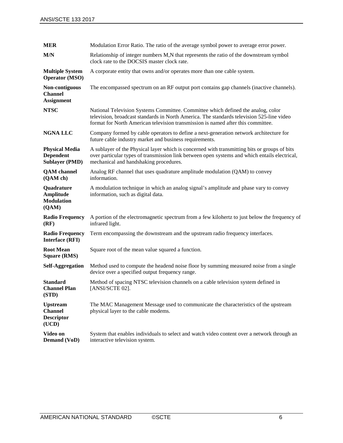| <b>MER</b>                                                         | Modulation Error Ratio. The ratio of the average symbol power to average error power.                                                                                                                                                                             |
|--------------------------------------------------------------------|-------------------------------------------------------------------------------------------------------------------------------------------------------------------------------------------------------------------------------------------------------------------|
| M/N                                                                | Relationship of integer numbers M,N that represents the ratio of the downstream symbol<br>clock rate to the DOCSIS master clock rate.                                                                                                                             |
| <b>Multiple System</b><br><b>Operator</b> (MSO)                    | A corporate entity that owns and/or operates more than one cable system.                                                                                                                                                                                          |
| Non-contiguous<br><b>Channel</b><br><b>Assignment</b>              | The encompassed spectrum on an RF output port contains gap channels (inactive channels).                                                                                                                                                                          |
| <b>NTSC</b>                                                        | National Television Systems Committee. Committee which defined the analog, color<br>television, broadcast standards in North America. The standards television 525-line video<br>format for North American television transmission is named after this committee. |
| <b>NGNA LLC</b>                                                    | Company formed by cable operators to define a next-generation network architecture for<br>future cable industry market and business requirements.                                                                                                                 |
| <b>Physical Media</b><br><b>Dependent</b><br><b>Sublayer (PMD)</b> | A sublayer of the Physical layer which is concerned with transmitting bits or groups of bits<br>over particular types of transmission link between open systems and which entails electrical,<br>mechanical and handshaking procedures.                           |
| <b>QAM</b> channel<br>(QAM ch)                                     | Analog RF channel that uses quadrature amplitude modulation (QAM) to convey<br>information.                                                                                                                                                                       |
| Quadrature<br>Amplitude<br><b>Modulation</b><br>(QAM)              | A modulation technique in which an analog signal's amplitude and phase vary to convey<br>information, such as digital data.                                                                                                                                       |
| <b>Radio Frequency</b><br>(RF)                                     | A portion of the electromagnetic spectrum from a few kilohertz to just below the frequency of<br>infrared light.                                                                                                                                                  |
| <b>Radio Frequency</b><br><b>Interface (RFI)</b>                   | Term encompassing the downstream and the upstream radio frequency interfaces.                                                                                                                                                                                     |
| <b>Root Mean</b><br><b>Square (RMS)</b>                            | Square root of the mean value squared a function.                                                                                                                                                                                                                 |
| <b>Self-Aggregation</b>                                            | Method used to compute the headend noise floor by summing measured noise from a single<br>device over a specified output frequency range.                                                                                                                         |
| <b>Standard</b><br><b>Channel Plan</b><br>(STD)                    | Method of spacing NTSC television channels on a cable television system defined in<br>[ANSI/SCTE 02].                                                                                                                                                             |
| <b>Upstream</b><br><b>Channel</b><br><b>Descriptor</b><br>(UCD)    | The MAC Management Message used to communicate the characteristics of the upstream<br>physical layer to the cable modems.                                                                                                                                         |
| Video on<br>Demand (VoD)                                           | System that enables individuals to select and watch video content over a network through an<br>interactive television system.                                                                                                                                     |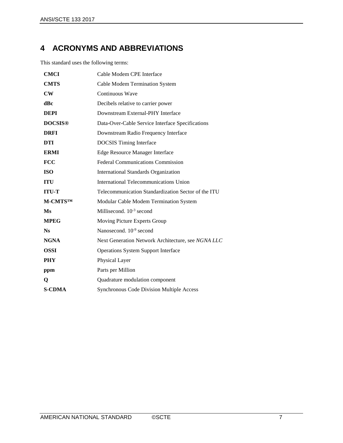# <span id="page-12-0"></span>**4 ACRONYMS AND ABBREVIATIONS**

This standard uses the following terms:

| <b>CMCI</b>    | Cable Modem CPE Interface                           |
|----------------|-----------------------------------------------------|
| <b>CMTS</b>    | Cable Modem Termination System                      |
| $\mathbf{CW}$  | Continuous Wave                                     |
| dBc            | Decibels relative to carrier power                  |
| <b>DEPI</b>    | Downstream External-PHY Interface                   |
| <b>DOCSIS®</b> | Data-Over-Cable Service Interface Specifications    |
| <b>DRFI</b>    | Downstream Radio Frequency Interface                |
| <b>DTI</b>     | <b>DOCSIS</b> Timing Interface                      |
| <b>ERMI</b>    | <b>Edge Resource Manager Interface</b>              |
| <b>FCC</b>     | <b>Federal Communications Commission</b>            |
| <b>ISO</b>     | <b>International Standards Organization</b>         |
| <b>ITU</b>     | International Telecommunications Union              |
| <b>ITU-T</b>   | Telecommunication Standardization Sector of the ITU |
| M-CMTS™        | Modular Cable Modem Termination System              |
| Ms             | Millisecond. 10 <sup>-3</sup> second                |
| <b>MPEG</b>    | Moving Picture Experts Group                        |
| <b>Ns</b>      | Nanosecond. 10 <sup>-9</sup> second                 |
| <b>NGNA</b>    | Next Generation Network Architecture, see NGNA LLC  |
| <b>OSSI</b>    | <b>Operations System Support Interface</b>          |
| <b>PHY</b>     | Physical Layer                                      |
| ppm            | Parts per Million                                   |
| 0              | Quadrature modulation component                     |
| <b>S-CDMA</b>  | <b>Synchronous Code Division Multiple Access</b>    |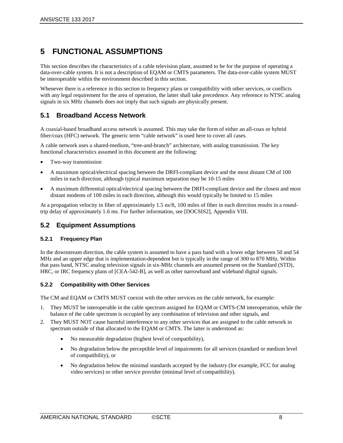# <span id="page-13-0"></span>**5 FUNCTIONAL ASSUMPTIONS**

This section describes the characteristics of a cable television plant, assumed to be for the purpose of operating a data-over-cable system. It is not a description of EQAM or CMTS parameters. The data-over-cable system MUST be interoperable within the environment described in this section.

Whenever there is a reference in this section to frequency plans or compatibility with other services, or conflicts with any legal requirement for the area of operation, the latter shall take precedence. Any reference to NTSC analog signals in six MHz channels does not imply that such signals are physically present.

# <span id="page-13-1"></span>**5.1 Broadband Access Network**

A coaxial-based broadband access network is assumed. This may take the form of either an all-coax or hybrid fiber/coax (HFC) network. The generic term "cable network" is used here to cover all cases.

A cable network uses a shared-medium, "tree-and-branch" architecture, with analog transmission. The key functional characteristics assumed in this document are the following:

- Two-way transmission
- A maximum optical/electrical spacing between the DRFI-compliant device and the most distant CM of 100 miles in each direction, although typical maximum separation may be 10-15 miles
- A maximum differential optical/electrical spacing between the DRFI-compliant device and the closest and most distant modems of 100 miles in each direction, although this would typically be limited to 15 miles

At a propagation velocity in fiber of approximately 1.5 ns/ft, 100 miles of fiber in each direction results in a roundtrip delay of approximately 1.6 ms. For further information, see [\[DOCSIS2\],](#page-8-5) Appendix VIII.

# <span id="page-13-2"></span>**5.2 Equipment Assumptions**

### <span id="page-13-3"></span>**5.2.1 Frequency Plan**

In the downstream direction, the cable system is assumed to have a pass band with a lower edge between 50 and 54 MHz and an upper edge that is implementation-dependent but is typically in the range of 300 to 870 MHz. Within that pass band, NTSC analog television signals in six-MHz channels are assumed present on the Standard (STD), HRC, or IRC frequency plans o[f \[CEA-542-B\],](#page-8-4) as well as other narrowband and wideband digital signals.

# <span id="page-13-4"></span>**5.2.2 Compatibility with Other Services**

The CM and EQAM or CMTS MUST coexist with the other services on the cable network, for example:

- 1. They MUST be interoperable in the cable spectrum assigned for EQAM or CMTS-CM interoperation, while the balance of the cable spectrum is occupied by any combination of television and other signals, and
- 2. They MUST NOT cause harmful interference to any other services that are assigned to the cable network in spectrum outside of that allocated to the EQAM or CMTS. The latter is understood as:
	- No measurable degradation (highest level of compatibility),
	- No degradation below the perceptible level of impairments for all services (standard or medium level of compatibility), or
	- No degradation below the minimal standards accepted by the industry (for example, FCC for analog video services) or other service provider (minimal level of compatibility).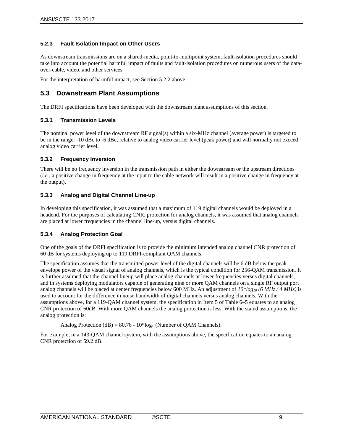# <span id="page-14-0"></span>**5.2.3 Fault Isolation Impact on Other Users**

As downstream transmissions are on a shared-media, point-to-multipoint system, fault-isolation procedures should take into account the potential harmful impact of faults and fault-isolation procedures on numerous users of the dataover-cable, video, and other services.

For the interpretation of harmful impact, see Section [5.2.2](#page-13-4) above.

# <span id="page-14-1"></span>**5.3 Downstream Plant Assumptions**

The DRFI specifications have been developed with the downstream plant assumptions of this section.

### <span id="page-14-2"></span>**5.3.1 Transmission Levels**

The nominal power level of the downstream RF signal(s) within a six-MHz channel (average power) is targeted to be in the range: -10 dBc to -6 dBc, relative to analog video carrier level (peak power) and will normally not exceed analog video carrier level.

### <span id="page-14-3"></span>**5.3.2 Frequency Inversion**

There will be no frequency inversion in the transmission path in either the downstream or the upstream directions (*i.e.,* a positive change in frequency at the input to the cable network will result in a positive change in frequency at the output).

### <span id="page-14-4"></span>**5.3.3 Analog and Digital Channel Line-up**

In developing this specification, it was assumed that a maximum of 119 digital channels would be deployed in a headend. For the purposes of calculating CNR, protection for analog channels, it was assumed that analog channels are placed at lower frequencies in the channel line-up, versus digital channels.

# <span id="page-14-5"></span>**5.3.4 Analog Protection Goal**

One of the goals of the DRFI specification is to provide the minimum intended analog channel CNR protection of 60 dB for systems deploying up to 119 DRFI-compliant QAM channels.

The specification assumes that the transmitted power level of the digital channels will be 6 dB below the peak envelope power of the visual signal of analog channels, which is the typical condition for 256-QAM transmission. It is further assumed that the channel lineup will place analog channels at lower frequencies versus digital channels, and in systems deploying modulators capable of generating nine or more QAM channels on a single RF output port analog channels will be placed at center frequencies below 600 MHz. An adjustment of *10\*log10 (6 MHz / 4 MHz)* is used to account for the difference in noise bandwidth of digital channels versus analog channels. With the assumptions above, for a 119-QAM channel system, the specification in Item 5 of [Table](#page-24-0) 6–5 equates to an analog CNR protection of 60dB. With more QAM channels the analog protection is less. With the stated assumptions, the analog protection is:

Analog Protection (dB) =  $80.76 - 10*log_{10}(Number of QAM Channels)$ .

For example, in a 143-QAM channel system, with the assumptions above, the specification equates to an analog CNR protection of 59.2 dB.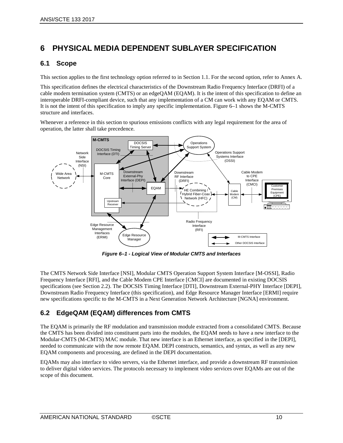# <span id="page-15-0"></span>**6 PHYSICAL MEDIA DEPENDENT SUBLAYER SPECIFICATION**

# <span id="page-15-1"></span>**6.1 Scope**

This section applies to the first technology option referred to in Sectio[n 1.1.](#page-6-1) For the second option, refer to [Annex A.](#page-33-0)

This specification defines the electrical characteristics of the Downstream Radio Frequency Interface (DRFI) of a cable modem termination system (CMTS) or an edgeQAM (EQAM). It is the intent of this specification to define an interoperable DRFI-compliant device, such that any implementation of a CM can work with any EQAM or CMTS. It is not the intent of this specification to imply any specific implementation. [Figure](#page-15-3) 6–1 shows the M-CMTS structure and interfaces.

Whenever a reference in this section to spurious emissions conflicts with any legal requirement for the area of operation, the latter shall take precedence.



*Figure 6–1 - Logical View of Modular CMTS and Interfaces*

<span id="page-15-3"></span>The CMTS Network Side Interface [\[NSI\],](#page-8-7) Modular CMTS Operation Support System Interfac[e \[M-OSSI\],](#page-8-8) Radio Frequency Interface [RFI], and the Cable Modem CPE Interface [\[CMCI\]](#page-8-9) are documented in existing DOCSIS specifications (see Sectio[n 2.2\)](#page-8-2). The DOCSIS Timing Interface [\[DTI\],](#page-8-10) Downstream External-PHY Interface [\[DEPI\],](#page-8-11) Downstream Radio Frequency Interface (this specification), and Edge Resource Manager Interface [\[ERMI\]](#page-8-12) require new specifications specific to the M-CMTS in a Next Generation Network Architecture [NGNA] environment.

# <span id="page-15-2"></span>**6.2 EdgeQAM (EQAM) differences from CMTS**

The EQAM is primarily the RF modulation and transmission module extracted from a consolidated CMTS. Because the CMTS has been divided into constituent parts into the modules, the EQAM needs to have a new interface to the Modular-CMTS (M-CMTS) MAC module. That new interface is an Ethernet interface, as specified in th[e \[DEPI\],](#page-8-11) needed to communicate with the now remote EQAM. DEPI constructs, semantics, and syntax, as well as any new EQAM components and processing, are defined in the DEPI documentation.

EQAMs may also interface to video servers, via the Ethernet interface, and provide a downstream RF transmission to deliver digital video services. The protocols necessary to implement video services over EQAMs are out of the scope of this document.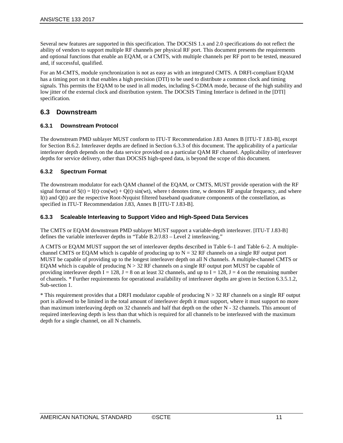Several new features are supported in this specification. The DOCSIS 1.x and 2.0 specifications do not reflect the ability of vendors to support multiple RF channels per physical RF port. This document presents the requirements and optional functions that enable an EQAM, or a CMTS, with multiple channels per RF port to be tested, measured and, if successful, qualified.

For an M-CMTS, module synchronization is not as easy as with an integrated CMTS. A DRFI-compliant EQAM has a timing port on it that enables a high precision (DTI) to be used to distribute a common clock and timing signals. This permits the EQAM to be used in all modes, including S-CDMA mode, because of the high stability and low jitter of the external clock and distribution system. The DOCSIS Timing Interface is defined in the [\[DTI\]](#page-8-10) specification.

# <span id="page-16-0"></span>**6.3 Downstream**

# <span id="page-16-1"></span>**6.3.1 Downstream Protocol**

The downstream PMD sublayer MUST conform to ITU-T Recommendation J.83 Annex B [\[ITU-T J.83-B\],](#page-8-3) except for Section B.6.2. Interleaver depths are defined in Sectio[n 6.3.3](#page-16-3) of this document. The applicability of a particular interleaver depth depends on the data service provided on a particular QAM RF channel. Applicability of interleaver depths for service delivery, other than DOCSIS high-speed data, is beyond the scope of this document.

# <span id="page-16-2"></span>**6.3.2 Spectrum Format**

The downstream modulator for each QAM channel of the EQAM, or CMTS, MUST provide operation with the RF signal format of  $S(t) = I(t) \cdot cos(wt) + Q(t) \cdot sin(wt)$ , where t denotes time, w denotes RF angular frequency, and where I(t) and Q(t) are the respective Root-Nyquist filtered baseband quadrature components of the constellation, as specified in ITU-T Recommendation J.83, Annex B [\[ITU-T J.83-B\].](#page-8-3)

# <span id="page-16-3"></span>**6.3.3 Scaleable Interleaving to Support Video and High-Speed Data Services**

The CMTS or EQAM downstream PMD sublayer MUST support a variable-depth interleaver. [\[ITU-T J.83-B\]](#page-8-3) defines the variable interleaver depths in "Table B.2/J.83 – Level 2 interleaving."

A CMTS or EQAM MUST support the set of interleaver depths described in [Table](#page-17-2) 6–1 and [Table](#page-17-3) 6–2. A multiplechannel CMTS or EQAM which is capable of producing up to  $N = 32$  RF channels on a single RF output port MUST be capable of providing up to the longest interleaver depth on all N channels. A multiple-channel CMTS or EQAM which is capable of producing  $N > 32$  RF channels on a single RF output port MUST be capable of providing interleaver depth I = 128, J = 8 on at least 32 channels, and up to I = 128, J = 4 on the remaining number of channels. \* Further requirements for operational availability of interleaver depths are given in Section [6.3.5.1.2,](#page-21-0) Sub-section 1.

\* This requirement provides that a DRFI modulator capable of producing N > 32 RF channels on a single RF output port is allowed to be limited in the total amount of interleaver depth it must support, where it must support no more than maximum interleaving depth on 32 channels and half that depth on the other N - 32 channels. This amount of required interleaving depth is less than that which is required for all channels to be interleaved with the maximum depth for a single channel, on all N channels.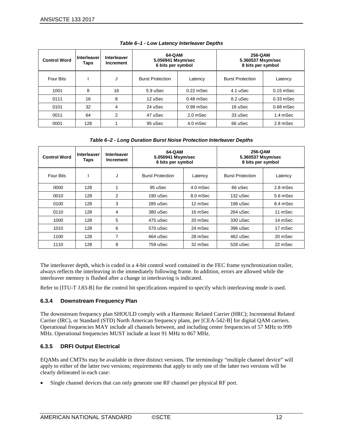<span id="page-17-2"></span>

| <b>Control Word</b> | Interleaver<br>Taps | 64-QAM<br><b>Interleaver</b><br>5.056941 Msym/sec<br>Increment<br>6 bits per symbol |                         |             |                         | 256-QAM<br>5.360537 Msym/sec<br>8 bits per symbol |
|---------------------|---------------------|-------------------------------------------------------------------------------------|-------------------------|-------------|-------------------------|---------------------------------------------------|
| <b>Four Bits</b>    |                     | J                                                                                   | <b>Burst Protection</b> | Latency     | <b>Burst Protection</b> | Latency                                           |
| 1001                | 8                   | 16                                                                                  | 5.9 uSec                | $0.22$ mSec | 4.1 uSec                | $0.15$ mSec                                       |
| 0111                | 16                  | 8                                                                                   | 12 uSec                 | $0.48$ mSec | 8.2 uSec                | $0.33$ mSec                                       |
| 0101                | 32                  | 4                                                                                   | 24 uSec                 | $0.98$ mSec | 16 uSec                 | $0.68$ mSec                                       |
| 0011                | 64                  | 2                                                                                   | 47 uSec                 | 2.0 mSec    | 33 uSec                 | 1.4 mSec                                          |
| 0001                | 128                 |                                                                                     | 95 uSec                 | 4.0 mSec    | 66 uSec                 | 2.8 mSec                                          |

### *Table 6–1 - Low Latency Interleaver Depths*

### *Table 6–2 - Long Duration Burst Noise Protection Interleaver Depths*

<span id="page-17-3"></span>

| <b>Control Word</b> | <b>Interleaver</b><br>Taps | <b>Interleaver</b><br>Increment | 64-QAM<br>5.056941 Msym/sec<br>6 bits per symbol |          | 256-QAM<br>5.360537 Msym/sec<br>8 bits per symbol |          |
|---------------------|----------------------------|---------------------------------|--------------------------------------------------|----------|---------------------------------------------------|----------|
| <b>Four Bits</b>    |                            | J                               | <b>Burst Protection</b>                          | Latency  | <b>Burst Protection</b>                           | Latency  |
| 0000                | 128                        | 1                               | 95 uSec                                          | 4.0 mSec | 66 uSec                                           | 2.8 mSec |
| 0010                | 128                        | 2                               | 190 uSec                                         | 8.0 mSec | 132 uSec                                          | 5.6 mSec |
| 0100                | 128                        | 3                               | 285 uSec                                         | 12 mSec  | 198 uSec                                          | 8.4 mSec |
| 0110                | 128                        | 4                               | 380 uSec                                         | 16 mSec  | 264 uSec                                          | 11 mSec  |
| 1000                | 128                        | 5                               | 475 uSec                                         | 20 mSec  | 330 uSec                                          | 14 mSec  |
| 1010                | 128                        | 6                               | 570 uSec                                         | 24 mSec  | 396 uSec                                          | 17 mSec  |
| 1100                | 128                        | 7                               | 664 uSec                                         | 28 mSec  | 462 uSec                                          | 20 mSec  |
| 1110                | 128                        | 8                               | 759 uSec                                         | 32 mSec  | 528 uSec                                          | 22 mSec  |

The interleaver depth, which is coded in a 4-bit control word contained in the FEC frame synchronization trailer, always reflects the interleaving in the immediately following frame. In addition, errors are allowed while the interleaver memory is flushed after a change in interleaving is indicated.

Refer to [\[ITU-T J.83-B\]](#page-8-3) for the control bit specifications required to specify which interleaving mode is used.

# <span id="page-17-0"></span>**6.3.4 Downstream Frequency Plan**

The downstream frequency plan SHOULD comply with a Harmonic Related Carrier (HRC); Incremental Related Carrier (IRC), or Standard (STD) North American frequency plans, pe[r \[CEA-542-B\]](#page-8-4) for digital QAM carriers. Operational frequencies MAY include all channels between, and including center frequencies of 57 MHz to 999 MHz. Operational frequencies MUST include at least 91 MHz to 867 MHz.

# <span id="page-17-1"></span>**6.3.5 DRFI Output Electrical**

EQAMs and CMTSs may be available in three distinct versions. The terminology "multiple channel device" will apply to either of the latter two versions; requirements that apply to only one of the latter two versions will be clearly delineated in each case:

Single channel devices that can only generate one RF channel per physical RF port.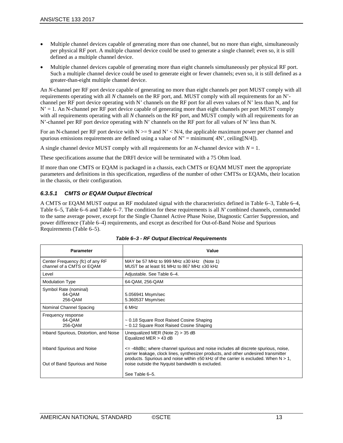- Multiple channel devices capable of generating more than one channel, but no more than eight, simultaneously per physical RF port. A multiple channel device could be used to generate a single channel; even so, it is still defined as a multiple channel device.
- Multiple channel devices capable of generating more than eight channels simultaneously per physical RF port. Such a multiple channel device could be used to generate eight or fewer channels; even so, it is still defined as a greater-than-eight multiple channel device.

An *N*-channel per RF port device capable of generating no more than eight channels per port MUST comply with all requirements operating with all *N* channels on the RF port, and. MUST comply with all requirements for an N' channel per RF port device operating with N' channels on the RF port for all even values of N' less than N, and for  $N' = 1$ . An N-channel per RF port device capable of generating more than eight channels per port MUST comply with all requirements operating with all *N* channels on the RF port, and MUST comply with all requirements for an N'-channel per RF port device operating with N' channels on the RF port for all values of N' less than N.

For an N-channel per RF port device with  $N \ge 9$  and  $N' \le N/4$ , the applicable maximum power per channel and spurious emissions requirements are defined using a value of  $N'' =$  minimum(  $4N'$ , ceiling[ $N/4$ ]).

A single channel device MUST comply with all requirements for an *N*-channel device with *N* = 1.

These specifications assume that the DRFI device will be terminated with a 75 Ohm load.

If more than one CMTS or EQAM is packaged in a chassis, each CMTS or EQAM MUST meet the appropriate parameters and definitions in this specification, regardless of the number of other CMTSs or EQAMs, their location in the chassis, or their configuration.

# *6.3.5.1 CMTS or EQAM Output Electrical*

A CMTS or EQAM MUST output an RF modulated signal with the characteristics defined in [Table](#page-18-0) 6–3, [Table 6–4,](#page-19-0)  [Table](#page-24-0) 6–5, [Table](#page-25-0) 6–6 and [Table](#page-25-1) 6–7. The condition for these requirements is all *N'* combined channels, commanded to the same average power, except for the Single Channel Active Phase Noise, Diagnostic Carrier Suppression, and power difference [\(Table 6–4\)](#page-19-0) requirements, and except as described for Out-of-Band Noise and Spurious Requirements [\(Table](#page-24-0) 6–5).

<span id="page-18-0"></span>

| <b>Parameter</b>                                             | Value                                                                                                                                                                                                                                                                                                                        |
|--------------------------------------------------------------|------------------------------------------------------------------------------------------------------------------------------------------------------------------------------------------------------------------------------------------------------------------------------------------------------------------------------|
| Center Frequency (fc) of any RF<br>channel of a CMTS or EQAM | MAY be 57 MHz to 999 MHz $\pm 30$ kHz (Note 1)<br>MUST be at least 91 MHz to 867 MHz ±30 kHz                                                                                                                                                                                                                                 |
| Level                                                        | Adjustable. See Table 6-4.                                                                                                                                                                                                                                                                                                   |
| <b>Modulation Type</b>                                       | 64-QAM, 256-QAM                                                                                                                                                                                                                                                                                                              |
| Symbol Rate (nominal)<br>64-QAM<br>256-QAM                   | 5.056941 Msym/sec<br>5.360537 Msym/sec                                                                                                                                                                                                                                                                                       |
| Nominal Channel Spacing                                      | 6 MHz                                                                                                                                                                                                                                                                                                                        |
| Frequency response<br>64-QAM<br>256-QAM                      | ~ 0.18 Square Root Raised Cosine Shaping<br>~ 0.12 Square Root Raised Cosine Shaping                                                                                                                                                                                                                                         |
| Inband Spurious, Distortion, and Noise                       | Unequalized MER (Note $2$ ) > 35 dB<br>Equalized MER > 43 dB                                                                                                                                                                                                                                                                 |
| Inband Spurious and Noise<br>Out of Band Spurious and Noise  | <= -48dBc; where channel spurious and noise includes all discrete spurious, noise,<br>carrier leakage, clock lines, synthesizer products, and other undesired transmitter<br>products. Spurious and noise within $\pm 50$ kHz of the carrier is excluded. When N $> 1$ ,<br>noise outside the Nyquist bandwidth is excluded. |
|                                                              | See Table 6-5.                                                                                                                                                                                                                                                                                                               |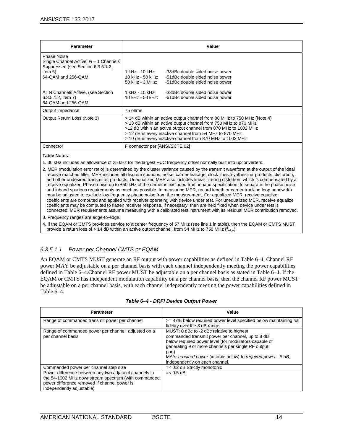| <b>Parameter</b>                                                                                                                                                                                                    | Value                                                                                                                                                                                                                                                                                                                                   |  |  |  |  |  |
|---------------------------------------------------------------------------------------------------------------------------------------------------------------------------------------------------------------------|-----------------------------------------------------------------------------------------------------------------------------------------------------------------------------------------------------------------------------------------------------------------------------------------------------------------------------------------|--|--|--|--|--|
| Phase Noise<br>Single Channel Active, N - 1 Channels<br>Suppressed (see Section 6.3.5.1.2,<br>item 6)<br>64-QAM and 256-QAM<br>All N Channels Active, (see Section<br>$6.3.5.1.2$ , item $7)$<br>64-QAM and 256-QAM | 1 kHz - 10 kHz:<br>-33dBc double sided noise power<br>-51dBc double sided noise power<br>10 kHz - 50 kHz:<br>-51dBc double sided noise power<br>50 kHz - 3 MHz:<br>1 kHz - 10 kHz:<br>-33dBc double sided noise power<br>10 kHz - 50 kHz:<br>-51dBc double sided noise power                                                            |  |  |  |  |  |
| Output Impedance                                                                                                                                                                                                    | 75 ohms                                                                                                                                                                                                                                                                                                                                 |  |  |  |  |  |
| Output Return Loss (Note 3)                                                                                                                                                                                         | > 14 dB within an active output channel from 88 MHz to 750 MHz (Note 4)<br>> 13 dB within an active output channel from 750 MHz to 870 MHz<br>>12 dB within an active output channel from 870 MHz to 1002 MHz<br>> 12 dB in every inactive channel from 54 MHz to 870 MHz<br>> 10 dB in every inactive channel from 870 MHz to 1002 MHz |  |  |  |  |  |
| Connector                                                                                                                                                                                                           | F connector per [ANSI/SCTE 02]                                                                                                                                                                                                                                                                                                          |  |  |  |  |  |

#### **Table Notes**:

1. 30 kHz includes an allowance of 25 kHz for the largest FCC frequency offset normally built into upconverters.

2. MER (modulation error ratio) is determined by the cluster variance caused by the transmit waveform at the output of the ideal receive matched filter. MER includes all discrete spurious, noise, carrier leakage, clock lines, synthesizer products, distortion, and other undesired transmitter products. Unequalized MER also includes linear filtering distortion, which is compensated by a receive equalizer. Phase noise up to ±50 kHz of the carrier is excluded from inband specification, to separate the phase noise and inband spurious requirements as much as possible. In measuring MER, record length or carrier tracking loop bandwidth may be adjusted to exclude low frequency phase noise from the measurement. For equalized MER, receive equalizer coefficients are computed and applied with receiver operating with device under test. For unequalized MER, receive equalize coefficients may be computed to flatten receiver response, if necessary, then are held fixed when device under test is connected. MER requirements assume measuring with a calibrated test instrument with its residual MER contribution removed.

3. Frequency ranges are edge-to-edge.

4. If the EQAM or CMTS provides service to a center frequency of 57 MHz (see line 1 in table), then the EQAM or CMTS MUST provide a return loss of  $> 14$  dB within an active output channel, from 54 MHz to 750 MHz ( $f_{\text{edoe}}$ ).

# *6.3.5.1.1 Power per Channel CMTS or EQAM*

An EQAM or CMTS MUST generate an RF output with power capabilities as defined in [Table 6–4.](#page-19-0) Channel RF power MAY be adjustable on a per channel basis with each channel independently meeting the power capabilities defined in [Table 6–4.](#page-19-0)Channel RF power MUST be adjustable on a per channel basis as stated i[n Table 6–4.](#page-19-0) If the EQAM or CMTS has independent modulation capability on a per channel basis, then the channel RF power MUST be adjustable on a per channel basis, with each channel independently meeting the power capabilities defined in [Table 6–4.](#page-19-0) 

<span id="page-19-0"></span>

| <b>Parameter</b>                                                                                                                                                                          | Value                                                                                                                                                                                                                                                                                                                     |
|-------------------------------------------------------------------------------------------------------------------------------------------------------------------------------------------|---------------------------------------------------------------------------------------------------------------------------------------------------------------------------------------------------------------------------------------------------------------------------------------------------------------------------|
| Range of commanded transmit power per channel                                                                                                                                             | >= 8 dB below required power level specified below maintaining full<br>fidelity over the 8 dB range                                                                                                                                                                                                                       |
| Range of commanded power per channel; adjusted on a<br>per channel basis                                                                                                                  | MUST: 0 dBc to -2 dBc relative to highest<br>commanded transmit power per channel, up to 8 dB<br>below required power level (for modulators capable of<br>generating 9 or more channels per single RF output<br>port)<br>MAY: required power (in table below) to required power - 8 dB,<br>independently on each channel. |
| Commanded power per channel step size                                                                                                                                                     | $=< 0.2$ dB Strictly monotonic                                                                                                                                                                                                                                                                                            |
| Power difference between any two adjacent channels in<br>the 54-1002 MHz downstream spectrum (with commanded<br>power difference removed if channel power is<br>independently adjustable) | $=< 0.5$ dB                                                                                                                                                                                                                                                                                                               |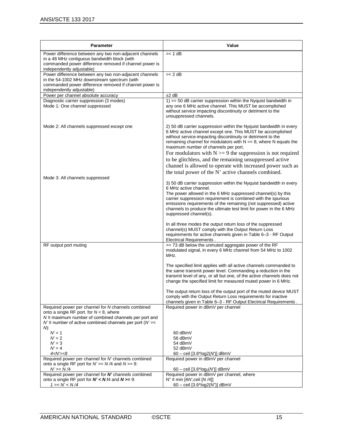| <b>Parameter</b>                                                                                                                                                                                                                            | Value                                                                                                                                                                                                                                                                                                                                                                                           |
|---------------------------------------------------------------------------------------------------------------------------------------------------------------------------------------------------------------------------------------------|-------------------------------------------------------------------------------------------------------------------------------------------------------------------------------------------------------------------------------------------------------------------------------------------------------------------------------------------------------------------------------------------------|
| Power difference between any two non-adjacent channels<br>in a 48 MHz contiguous bandwidth block (with<br>commanded power difference removed if channel power is<br>independently adjustable)                                               | $=< 1$ dB                                                                                                                                                                                                                                                                                                                                                                                       |
| Power difference between any two non-adjacent channels<br>in the 54-1002 MHz downstream spectrum (with<br>commanded power difference removed if channel power is<br>independently adjustable)                                               | $=< 2 dB$                                                                                                                                                                                                                                                                                                                                                                                       |
| Power per channel absolute accuracy                                                                                                                                                                                                         | $±2$ dB                                                                                                                                                                                                                                                                                                                                                                                         |
| Diagnostic carrier suppression (3 modes)<br>Mode 1: One channel suppressed                                                                                                                                                                  | $1$ ) >= 50 dB carrier suppression within the Nyquist bandwidth in<br>any one 6 MHz active channel. This MUST be accomplished<br>without service impacting discontinuity or detriment to the<br>unsuppressed channels.                                                                                                                                                                          |
| Mode 2: All channels suppressed except one                                                                                                                                                                                                  | 2) 50 dB carrier suppression within the Nyquist bandwidth in every<br>6 MHz active channel except one. This MUST be accomplished<br>without service-impacting discontinuity or detriment to the<br>remaining channel for modulators with $N = < 8$ , where N equals the<br>maximum number of channels per port.                                                                                 |
| Mode 3: All channels suppressed                                                                                                                                                                                                             | For modulators with $N \ge 9$ the suppression is not required<br>to be glitchless, and the remaining unsuppressed active<br>channel is allowed to operate with increased power such as<br>the total power of the N' active channels combined.                                                                                                                                                   |
|                                                                                                                                                                                                                                             | 3) 50 dB carrier suppression within the Nyquist bandwidth in every<br>6 MHz active channel.<br>The power allowed in the 6 MHz suppressed channel(s) by this<br>carrier suppression requirement is combined with the spurious<br>emissions requirements of the remaining (not suppressed) active<br>channels to produce the ultimate test limit for power in the 6 MHz<br>suppressed channel(s). |
|                                                                                                                                                                                                                                             | In all three modes the output return loss of the suppressed<br>channel(s) MUST comply with the Output Return Loss<br>requirements for active channels given in Table 6-3 - RF Output<br><b>Electrical Requirements.</b>                                                                                                                                                                         |
| RF output port muting                                                                                                                                                                                                                       | >= 73 dB below the unmuted aggregate power of the RF<br>modulated signal, in every 6 MHz channel from 54 MHz to 1002<br>MHz.                                                                                                                                                                                                                                                                    |
|                                                                                                                                                                                                                                             | The specified limit applies with all active channels commanded to<br>the same transmit power level. Commanding a reduction in the<br>transmit level of any, or all but one, of the active channels does not<br>change the specified limit for measured muted power in 6 MHz.                                                                                                                    |
|                                                                                                                                                                                                                                             | The output return loss of the output port of the muted device MUST<br>comply with the Output Return Loss requirements for inactive<br>channels given in Table 6-3 - RF Output Electrical Requirements.                                                                                                                                                                                          |
| Required power per channel for N channels combined<br>onto a single RF port. for $N < 8$ , where<br>$N \equiv$ maximum number of combined channels per port and<br>$N' \equiv$ number of active combined channels per port ( $N' = <$<br>M. | Required power in dBmV per channel                                                                                                                                                                                                                                                                                                                                                              |
| $N' = 1$<br>$N' = 2$<br>$N' = 3$                                                                                                                                                                                                            | 60 dBmV<br>56 dBmV<br>54 dBmV                                                                                                                                                                                                                                                                                                                                                                   |
| $N' = 4$<br>$4 < N' = < 8$                                                                                                                                                                                                                  | 52 dBmV                                                                                                                                                                                                                                                                                                                                                                                         |
| Required power per channel for N' channels combined                                                                                                                                                                                         | 60 - ceil $[3.6*log2(N)]$ dBmV<br>Required power in dBmV per channel                                                                                                                                                                                                                                                                                                                            |
| onto a single RF port for $N' \ge N/4$ and $N \ge 9$ :                                                                                                                                                                                      |                                                                                                                                                                                                                                                                                                                                                                                                 |
| $N' \ge N/4$<br>Required power per channel for <i>N'</i> channels combined                                                                                                                                                                  | 60 - ceil $[3.6^* \text{log}_2(N)]$ dBmV<br>Required power in dBmV per channel, where                                                                                                                                                                                                                                                                                                           |
| onto a single RF port for $N' < N/4$ and $N > = 9$ :                                                                                                                                                                                        | $N'' \equiv min [4N',ceil [N/4]]$                                                                                                                                                                                                                                                                                                                                                               |
| $1 = < N' < N/4$                                                                                                                                                                                                                            | 60 - ceil [3.6*log2(N")] dBmV                                                                                                                                                                                                                                                                                                                                                                   |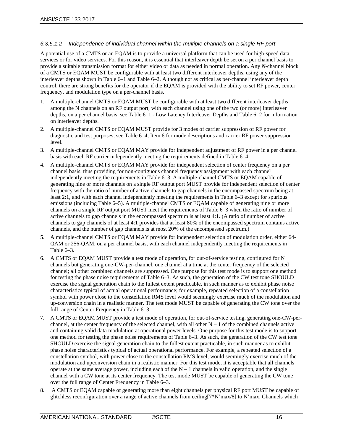# <span id="page-21-0"></span>*6.3.5.1.2 Independence of individual channel within the multiple channels on a single RF port*

A potential use of a CMTS or an EQAM is to provide a universal platform that can be used for high-speed data services or for video services. For this reason, it is essential that interleaver depth be set on a per channel basis to provide a suitable transmission format for either video or data as needed in normal operation. Any *N*-channel block of a CMTS or EQAM MUST be configurable with at least two different interleaver depths, using any of the interleaver depths shown i[n Table](#page-17-2) 6–1 and [Table](#page-17-3) 6–2. Although not as critical as per-channel interleaver depth control, there are strong benefits for the operator if the EQAM is provided with the ability to set RF power, center frequency, and modulation type on a per-channel basis.

- 1. A multiple-channel CMTS or EQAM MUST be configurable with at least two different interleaver depths among the N channels on an RF output port, with each channel using one of the two (or more) interleaver depths, on a per channel basis, se[e Table](#page-17-2) 6–1 - Low Latency Interleaver Depths and [Table](#page-17-3) 6–2 for information on interleaver depths.
- 2. A multiple-channel CMTS or EQAM MUST provide for 3 modes of carrier suppression of RF power for diagnostic and test purposes, se[e Table 6–4,](#page-19-0) Item 6 for mode descriptions and carrier RF power suppression level.
- 3. A multiple-channel CMTS or EQAM MAY provide for independent adjustment of RF power in a per channel basis with each RF carrier independently meeting the requirements defined in [Table 6–4.](#page-19-0)
- 4. A multiple-channel CMTS or EQAM MAY provide for independent selection of center frequency on a per channel basis, thus providing for non-contiguous channel frequency assignment with each channel independently meeting the requirements in [Table](#page-18-0) 6–3. A multiple-channel CMTS or EQAM capable of generating nine or more channels on a single RF output port MUST provide for independent selection of center frequency with the ratio of number of active channels to gap channels in the encompassed spectrum being at least 2:1, and with each channel independently meeting the requirements in [Table](#page-18-0) 6–3 except for spurious emissions (including [Table](#page-24-0) 6–5). A multiple-channel CMTS or EQAM capable of generating nine or more channels on a single RF output port MUST meet the requirements of [Table](#page-18-0) 6–3 when the ratio of number of active channels to gap channels in the encompassed spectrum is at least 4:1. (A ratio of number of active channels to gap channels of at least 4:1 provides that at least 80% of the encompassed spectrum contains active channels, and the number of gap channels is at most 20% of the encompassed spectrum.)
- 5. A multiple-channel CMTS or EQAM MAY provide for independent selection of modulation order, either 64- QAM or 256-QAM, on a per channel basis, with each channel independently meeting the requirements in [Table](#page-18-0) 6–3.
- 6. A CMTS or EQAM MUST provide a test mode of operation, for out-of-service testing, configured for N channels but generating one-CW-per-channel, one channel at a time at the center frequency of the selected channel; all other combined channels are suppressed. One purpose for this test mode is to support one method for testing the phase noise requirements of [Table](#page-18-0) 6–3. As such, the generation of the CW test tone SHOULD exercise the signal generation chain to the fullest extent practicable, in such manner as to exhibit phase noise characteristics typical of actual operational performance; for example, repeated selection of a constellation symbol with power close to the constellation RMS level would seemingly exercise much of the modulation and up-conversion chain in a realistic manner. The test mode MUST be capable of generating the CW tone over the full range of Center Frequency in [Table](#page-18-0) 6–3.
- 7. A CMTS or EQAM MUST provide a test mode of operation, for out-of-service testing, generating one-CW-perchannel, at the center frequency of the selected channel, with all other  $N - 1$  of the combined channels active and containing valid data modulation at operational power levels. One purpose for this test mode is to support one method for testing the phase noise requirements of [Table](#page-18-0) 6–3. As such, the generation of the CW test tone SHOULD exercise the signal generation chain to the fullest extent practicable, in such manner as to exhibit phase noise characteristics typical of actual operational performance. For example, a repeated selection of a constellation symbol, with power close to the constellation RMS level, would seemingly exercise much of the modulation and upconversion chain in a realistic manner. For this test mode, it is acceptable that all channels operate at the same average power, including each of the  $N - 1$  channels in valid operation, and the single channel with a CW tone at its center frequency. The test mode MUST be capable of generating the CW tone over the full range of Center Frequency in [Table](#page-18-0) 6–3.
- 8. A CMTS or EQAM capable of generating more than eight channels per physical RF port MUST be capable of glitchless reconfiguration over a range of active channels from ceiling[7\*N'max/8] to N'max. Channels which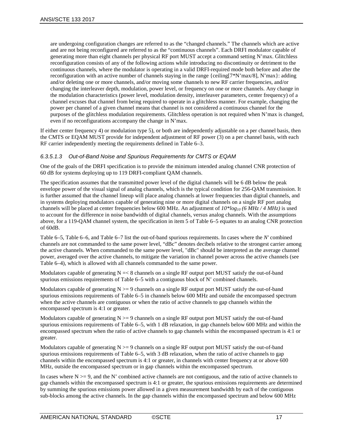are undergoing configuration changes are referred to as the "changed channels." The channels which are active and are not being reconfigured are referred to as the "continuous channels". Each DRFI modulator capable of generating more than eight channels per physical RF port MUST accept a command setting N'max. Glitchless reconfiguration consists of any of the following actions while introducing no discontinuity or detriment to the continuous channels, where the modulator is operating in a valid DRFI-required mode both before and after the reconfiguration with an active number of channels staying in the range {ceiling[7\*N'max/8], N'max}: adding and/or deleting one or more channels, and/or moving some channels to new RF carrier frequencies, and/or changing the interleaver depth, modulation, power level, or frequency on one or more channels. Any change in the modulation characteristics (power level, modulation density, interleaver parameters, center frequency) of a channel excuses that channel from being required to operate in a glitchless manner. For example, changing the power per channel of a given channel means that channel is not considered a continuous channel for the purposes of the glitchless modulation requirements. Glitchless operation is not required when N'max is changed, even if no reconfigurations accompany the change in N'max.

If either center frequency 4) or modulation type 5), or both are independently adjustable on a per channel basis, then the CMTS or EQAM MUST provide for independent adjustment of RF power (3) on a per channel basis, with each RF carrier independently meeting the requirements defined in [Table](#page-18-0) 6–3.

### *6.3.5.1.3 Out-of-Band Noise and Spurious Requirements for CMTS or EQAM*

One of the goals of the DRFI specification is to provide the minimum intended analog channel CNR protection of 60 dB for systems deploying up to 119 DRFI-compliant QAM channels.

The specification assumes that the transmitted power level of the digital channels will be 6 dB below the peak envelope power of the visual signal of analog channels, which is the typical condition for 256-QAM transmission. It is further assumed that the channel lineup will place analog channels at lower frequencies than digital channels, and in systems deploying modulators capable of generating nine or more digital channels on a single RF port analog channels will be placed at center frequencies below 600 MHz. An adjustment of  $10*log_{10}$  (6 MHz/4 MHz) is used to account for the difference in noise bandwidth of digital channels, versus analog channels. With the assumptions above, for a 119-QAM channel system, the specification in item 5 o[f Table](#page-24-0) 6–5 equates to an analog CNR protection of 60dB.

[Table](#page-24-0) 6–5, [Table](#page-25-0) 6–6, and [Table](#page-25-1) 6–7 list the out-of-band spurious requirements. In cases where the *N'* combined channels are not commanded to the same power level, "dBc" denotes decibels relative to the strongest carrier among the active channels. When commanded to the same power level, "dBc" should be interpreted as the average channel power, averaged over the active channels, to mitigate the variation in channel power across the active channels (see [Table 6–4\)](#page-19-0), which is allowed with all channels commanded to the same power.

Modulators capable of generating  $N = < 8$  channels on a single RF output port MUST satisfy the out-of-band spurious emissions requirements of [Table](#page-24-0) 6–5 with a contiguous block of N' combined channels.

Modulators capable of generating  $N \ge 9$  channels on a single RF output port MUST satisfy the out-of-band spurious emissions requirements of [Table](#page-24-0) 6–5 in channels below 600 MHz and outside the encompassed spectrum when the active channels are contiguous or when the ratio of active channels to gap channels within the encompassed spectrum is 4:1 or greater.

Modulators capable of generating  $N \ge 9$  channels on a single RF output port MUST satisfy the out-of-band spurious emissions requirements of [Table](#page-24-0) 6–5, with 1 dB relaxation, in gap channels below 600 MHz and within the encompassed spectrum when the ratio of active channels to gap channels within the encompassed spectrum is 4:1 or greater.

Modulators capable of generating  $N \ge 9$  channels on a single RF output port MUST satisfy the out-of-band spurious emissions requirements of [Table](#page-24-0) 6–5, with 3 dB relaxation, when the ratio of active channels to gap channels within the encompassed spectrum is 4:1 or greater, in channels with center frequency at or above 600 MHz, outside the encompassed spectrum or in gap channels within the encompassed spectrum.

In cases where  $N \ge 9$ , and the N' combined active channels are not contiguous, and the ratio of active channels to gap channels within the encompassed spectrum is 4:1 or greater, the spurious emissions requirements are determined by summing the spurious emissions power allowed in a given measurement bandwidth by each of the contiguous sub-blocks among the active channels. In the gap channels within the encompassed spectrum and below 600 MHz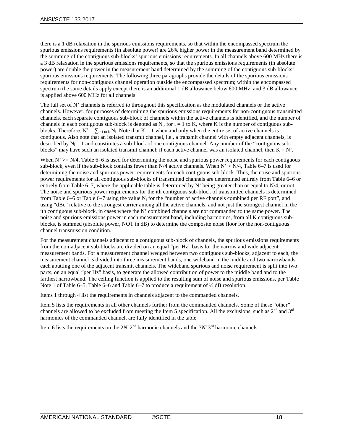there is a 1 dB relaxation in the spurious emissions requirements, so that within the encompassed spectrum the spurious emissions requirements (in absolute power) are 26% higher power in the measurement band determined by the summing of the contiguous sub-blocks' spurious emissions requirements. In all channels above 600 MHz there is a 3 dB relaxation in the spurious emissions requirements, so that the spurious emissions requirements (in absolute power) are double the power in the measurement band determined by the summing of the contiguous sub-blocks' spurious emissions requirements. The following three paragraphs provide the details of the spurious emissions requirements for non-contiguous channel operation outside the encompassed spectrum; within the encompassed spectrum the same details apply except there is an additional 1 dB allowance below 600 MHz; and 3 dB allowance is applied above 600 MHz for all channels.

The full set of N' channels is referred to throughout this specification as the modulated channels or the active channels. However, for purposes of determining the spurious emissions requirements for non-contiguous transmitted channels, each separate contiguous sub-block of channels within the active channels is identified, and the number of channels in each contiguous sub-block is denoted as  $N_i$ , for  $i = 1$  to K, where K is the number of contiguous subblocks. Therefore, N' =  $\sum_{i=1}^{n}$  to k N<sub>i</sub>. Note that K = 1 when and only when the entire set of active channels is contiguous. Also note that an isolated transmit channel, i.e., a transmit channel with empty adjacent channels, is described by  $N_i = 1$  and constitutes a sub-block of one contiguous channel. Any number of the "contiguous subblocks" may have such an isolated transmit channel; if each active channel was an isolated channel, then  $K = N'$ .

When  $N' \geq N/4$ , [Table](#page-25-0) 6–6 is used for determining the noise and spurious power requirements for each contiguous sub-block, even if the sub-block contains fewer than  $N/4$  active channels. When  $N' < N/4$ , [Table](#page-25-1) 6–7 is used for determining the noise and spurious power requirements for each contiguous sub-block. Thus, the noise and spurious power requirements for all contiguous sub-blocks of transmitted channels are determined entirely from [Table](#page-25-0) 6–6 or entirely from [Table](#page-25-1) 6–7, where the applicable table is determined by N' being greater than or equal to N/4, or not. The noise and spurious power requirements for the ith contiguous sub-block of transmitted channels is determined from [Table](#page-25-0) 6–6 o[r Table](#page-25-1) 6–7 using the value Ni for the "number of active channels combined per RF port", and using "dBc" relative to the strongest carrier among all the active channels, and not just the strongest channel in the ith contiguous sub-block, in cases where the N' combined channels are not commanded to the same power. The noise and spurious emissions power in each measurement band, including harmonics, from all K contiguous subblocks, is summed (absolute power, NOT in dB) to determine the composite noise floor for the non-contiguous channel transmission condition.

For the measurement channels adjacent to a contiguous sub-block of channels, the spurious emissions requirements from the non-adjacent sub-blocks are divided on an equal "per Hz" basis for the narrow and wide adjacent measurement bands. For a measurement channel wedged between two contiguous sub-blocks, adjacent to each, the measurement channel is divided into three measurement bands, one wideband in the middle and two narrowbands each abutting one of the adjacent transmit channels. The wideband spurious and noise requirement is split into two parts, on an equal "per Hz" basis, to generate the allowed contribution of power to the middle band and to the farthest narrowband. The ceiling function is applied to the resulting sum of noise and spurious emissions, per Table Note 1 of [Table](#page-25-1) 6–5[, Table](#page-25-0) 6–6 and Table 6–7 to produce a requirement of  $\frac{1}{2}$  dB resolution.

Items 1 through 4 list the requirements in channels adjacent to the commanded channels.

Item 5 lists the requirements in all other channels further from the commanded channels. Some of these "other" channels are allowed to be excluded from meeting the Item 5 specification. All the exclusions, such as  $2<sup>nd</sup>$  and  $3<sup>rd</sup>$ harmonics of the commanded channel, are fully identified in the table.

Item 6 lists the requirements on the 2*N'* 2nd harmonic channels and the 3*N'* 3rd harmonic channels.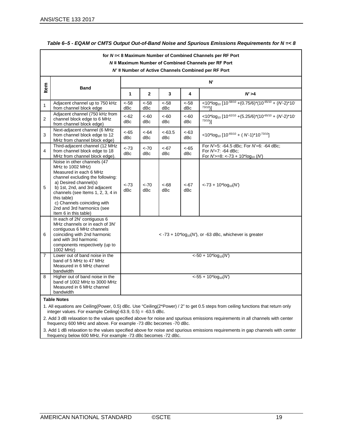|                | for N = < 8 Maximum Number of Combined Channels per RF Port                                                                                                                                                                                                                                                       |                                       |                |                |                |                                                                                                                                                                            |  |  |  |  |  |  |  |
|----------------|-------------------------------------------------------------------------------------------------------------------------------------------------------------------------------------------------------------------------------------------------------------------------------------------------------------------|---------------------------------------|----------------|----------------|----------------|----------------------------------------------------------------------------------------------------------------------------------------------------------------------------|--|--|--|--|--|--|--|
|                | $N \equiv$ Maximum Number of Combined Channels per RF Port<br>$N'$ = Number of Active Channels Combined per RF Port                                                                                                                                                                                               |                                       |                |                |                |                                                                                                                                                                            |  |  |  |  |  |  |  |
|                |                                                                                                                                                                                                                                                                                                                   |                                       |                |                |                |                                                                                                                                                                            |  |  |  |  |  |  |  |
| Item           | <b>Band</b>                                                                                                                                                                                                                                                                                                       | N'                                    |                |                |                |                                                                                                                                                                            |  |  |  |  |  |  |  |
|                |                                                                                                                                                                                                                                                                                                                   | 1                                     | $\mathbf{2}$   | 3              | 4              | N' > 4                                                                                                                                                                     |  |  |  |  |  |  |  |
| $\mathbf{1}$   | Adjacent channel up to 750 kHz<br>from channel block edge                                                                                                                                                                                                                                                         | $< -58$<br>dBc                        | $< -58$<br>dBc | $< -58$<br>dBc | $< -58$<br>dBc | $10^{10}$ (10 <sup>-58/10</sup> + (0.75/6) <sup>*</sup> (10 <sup>-65/10</sup> + (N'-2) <sup>*</sup> 10 <sup>-61</sup><br>73/10)1                                           |  |  |  |  |  |  |  |
| 2              | Adjacent channel (750 kHz from<br>channel block edge to 6 MHz<br>from channel block edge)                                                                                                                                                                                                                         | $< -62$<br>dBc                        | $< -60$<br>dBc | <-60<br>dBc    | $< -60$<br>dBc | $<$ 10 <sup>*</sup> log <sub>10</sub> [10 <sup>-62/10</sup> + (5.25/6) <sup>*</sup> (10 <sup>-65/10</sup> + (N <sup>2</sup> -2) <sup>*</sup> 10 <sup>-6</sup><br>$73/10$ ] |  |  |  |  |  |  |  |
| 3              | Next-adjacent channel (6 MHz<br>from channel block edge to 12<br>MHz from channel block edge)                                                                                                                                                                                                                     | $< -65$<br>dBc                        | $< -64$<br>dBc | < 63.5<br>dBc  | $< -63$<br>dBc | $<$ 10 <sup>*</sup> log <sub>10</sub> [10 <sup>-65/10</sup> + (N'-1) <sup>*</sup> 10 <sup>-73/10</sup> ]                                                                   |  |  |  |  |  |  |  |
| 4              | Third-adjacent channel (12 MHz<br>from channel block edge to 18<br>MHz from channel block edge).                                                                                                                                                                                                                  | $~5 - 73$<br>dBc                      | $< -70$<br>dBc | <-67<br>dBc    | $< -65$<br>dBc | For N'=5: -64.5 dBc; For N'=6: -64 dBc;<br>For N'=7: -64 dBc;<br>For $N>=8$ : <-73 + 10*log <sub>10</sub> (N')                                                             |  |  |  |  |  |  |  |
| 5              | Noise in other channels (47<br>MHz to 1002 MHz)<br>Measured in each 6 MHz<br>channel excluding the following:<br>a) Desired channel(s)<br>b) 1st, 2nd, and 3rd adjacent<br>channels (see Items 1, 2, 3, 4 in<br>this table)<br>c) Channels coinciding with<br>2nd and 3rd harmonics (see<br>Item 6 in this table) | $-73$<br>dBc                          | $< -70$<br>dBc | $< -68$<br>dBc | $< -67$<br>dBc | $< -73 + 10^{*} \log_{10}(N)$                                                                                                                                              |  |  |  |  |  |  |  |
| 6              | In each of 2N' contiguous 6<br>MHz channels or in each of 3N'<br>contiguous 6 MHz channels<br>coinciding with 2nd harmonic<br>$\epsilon$ -73 + 10*log <sub>10</sub> (N'), or -63 dBc, whichever is greater<br>and with 3rd harmonic<br>components respectively (up to<br>1002 MHz)                                |                                       |                |                |                |                                                                                                                                                                            |  |  |  |  |  |  |  |
| $\overline{7}$ | Lower out of band noise in the<br>band of 5 MHz to 47 MHz<br>Measured in 6 MHz channel<br>bandwidth                                                                                                                                                                                                               | $<$ -50 + 10*log <sub>10</sub> (N')   |                |                |                |                                                                                                                                                                            |  |  |  |  |  |  |  |
| 8              | Higher out of band noise in the<br>band of 1002 MHz to 3000 MHz<br>Measured in 6 MHz channel<br>bandwidth                                                                                                                                                                                                         | $\leftarrow 55 + 10^{*} \log_{10}(N)$ |                |                |                |                                                                                                                                                                            |  |  |  |  |  |  |  |
|                | <b>Table Notes</b>                                                                                                                                                                                                                                                                                                |                                       |                |                |                |                                                                                                                                                                            |  |  |  |  |  |  |  |
|                | 1. All equations are Ceiling(Power, 0.5) dBc. Use "Ceiling(2*Power) / 2" to get 0.5 steps from ceiling functions that return only                                                                                                                                                                                 |                                       |                |                |                |                                                                                                                                                                            |  |  |  |  |  |  |  |

2. Add 3 dB relaxation to the values specified above for noise and spurious emissions requirements in all channels with center

3. Add 1 dB relaxation to the values specified above for noise and spurious emissions requirements in gap channels with center

#### <span id="page-24-0"></span>*Table 6–5 - EQAM or CMTS Output Out-of-Band Noise and Spurious Emissions Requirements for N =< 8*

integer values. For example Ceiling(-63.9,  $0.5$ ) = -63.5 dBc.

frequency 600 MHz and above. For example -73 dBc becomes -70 dBc.

frequency below 600 MHz. For example -73 dBc becomes -72 dBc.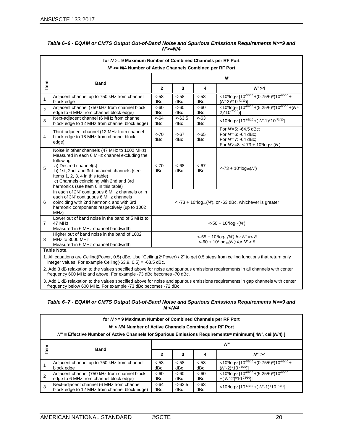|                | for $N \geq 9$ Maximum Number of Combined Channels per RF Port<br>N' >= N/4 Number of Active Channels Combined per RF Port                                                                                                                                                                                                                                                                                                                |                                                                                                                                                                          |                |                |                                                                                                                                         |  |  |
|----------------|-------------------------------------------------------------------------------------------------------------------------------------------------------------------------------------------------------------------------------------------------------------------------------------------------------------------------------------------------------------------------------------------------------------------------------------------|--------------------------------------------------------------------------------------------------------------------------------------------------------------------------|----------------|----------------|-----------------------------------------------------------------------------------------------------------------------------------------|--|--|
| <b>Band</b>    |                                                                                                                                                                                                                                                                                                                                                                                                                                           |                                                                                                                                                                          | N'             |                |                                                                                                                                         |  |  |
| tem            |                                                                                                                                                                                                                                                                                                                                                                                                                                           | $\mathbf{2}$                                                                                                                                                             | 3              | 4              | N' > 4                                                                                                                                  |  |  |
| $\mathbf{1}$   | Adjacent channel up to 750 kHz from channel<br>block edge                                                                                                                                                                                                                                                                                                                                                                                 | $< -58$<br>dBc                                                                                                                                                           | $< -58$<br>dBc | $< -58$<br>dBc | $10^{*}$ log <sub>10</sub> [10 <sup>-58/10</sup> + (0.75/6) <sup>*</sup> (10 <sup>-65/10</sup> +<br>$(N^2-2)^*10^{-73/10})$             |  |  |
| $\mathfrak{p}$ | Adjacent channel (750 kHz from channel block<br>edge to 6 MHz from channel block edge)                                                                                                                                                                                                                                                                                                                                                    | $< -60$<br>dBc                                                                                                                                                           | $< -60$<br>dBc | $< -60$<br>dBc | $10^{*}$ log <sub>10</sub> [10 <sup>-62/10</sup> + (5.25/6) <sup>*</sup> (10 <sup>-65/10</sup> + (N <sup>2</sup> -<br>$(2)*10^{-73/10}$ |  |  |
| 3              | Next-adjacent channel (6 MHz from channel<br>block edge to 12 MHz from channel block edge)                                                                                                                                                                                                                                                                                                                                                | $<-64$<br>dBc                                                                                                                                                            | < 63.5<br>dBc  | $< -63$<br>dBc | <10*log <sub>10</sub> [10 <sup>-65/10</sup> + ( $N$ '-1)*10 <sup>-73/10</sup> ]                                                         |  |  |
| 4              | Third-adjacent channel (12 MHz from channel<br>block edge to 18 MHz from channel block<br>edge).                                                                                                                                                                                                                                                                                                                                          | For $N'=5$ : -64.5 dBc;<br>For N'=6: -64 dBc:<br>$< -70$<br><-67<br>$< -65$<br>For N'=7: -64 dBc;<br>dBc<br>dBc<br>dBc<br>For $N'>=8$ : <-73 + 10*log <sub>10</sub> (N') |                |                |                                                                                                                                         |  |  |
| 5              | Noise in other channels (47 MHz to 1002 MHz)<br>Measured in each 6 MHz channel excluding the<br>following:<br>a) Desired channel(s)<br>b) 1st, 2nd, and 3rd adjacent channels (see<br>Items 1, 2, 3, 4 in this table)<br>c) Channels coinciding with 2nd and 3rd<br>harmonics (see Item 6 in this table)                                                                                                                                  | $<-70$<br>dBc                                                                                                                                                            | $< -68$<br>dBc | $< -67$<br>dBc | $<-73 + 10$ *log <sub>10</sub> (N)                                                                                                      |  |  |
| 6              | In each of 2N' contiguous 6 MHz channels or in<br>each of 3N' contiguous 6 MHz channels<br>coinciding with 2nd harmonic and with 3rd<br>$\epsilon$ -73 + 10*log <sub>10</sub> (N'), or -63 dBc, whichever is greater<br>harmonic components respectively (up to 1002<br>MHz)                                                                                                                                                              |                                                                                                                                                                          |                |                |                                                                                                                                         |  |  |
| $\overline{7}$ | Lower out of band noise in the band of 5 MHz to<br>47 MHz<br>Measured in 6 MHz channel bandwidth                                                                                                                                                                                                                                                                                                                                          | $\leftarrow 50 + 10^{*} \log_{10}(N)$                                                                                                                                    |                |                |                                                                                                                                         |  |  |
| 8              | Higher out of band noise in the band of 1002<br>MHz to 3000 MHz<br>Measured in 6 MHz channel bandwidth                                                                                                                                                                                                                                                                                                                                    | <-55 + 10*log <sub>10</sub> (N') for $N' = < 8$<br><-60 + 10*log <sub>10</sub> (N') for $N' > 8$                                                                         |                |                |                                                                                                                                         |  |  |
|                | <b>Table Note.</b>                                                                                                                                                                                                                                                                                                                                                                                                                        |                                                                                                                                                                          |                |                |                                                                                                                                         |  |  |
|                | 1. All equations are Ceiling(Power, 0.5) dBc. Use "Ceiling(2*Power) / 2" to get 0.5 steps from ceiling functions that return only<br>integer values. For example Ceiling(-63.9, 0.5) = $-63.5$ dBc.<br>$\bullet$ . A did allowed the distribution of the distribution of the state of the control of the second control of the state of the state of the state of the state of the state of the state of the state of the state of the st |                                                                                                                                                                          |                |                |                                                                                                                                         |  |  |

#### <span id="page-25-0"></span>*Table 6–6 - EQAM or CMTS Output Out-of-Band Noise and Spurious Emissions Requirements N>=9 and N'>=N/4*

2. Add 3 dB relaxation to the values specified above for noise and spurious emissions requirements in all channels with center frequency 600 MHz and above. For example -73 dBc becomes -70 dBc.

3. Add 1 dB relaxation to the values specified above for noise and spurious emissions requirements in gap channels with center frequency below 600 MHz. For example -73 dBc becomes -72 dBc.

#### <span id="page-25-1"></span>*Table 6–7 - EQAM or CMTS Output Out-of-Band Noise and Spurious Emissions Requirements N>=9 and N'<N/4*

| for $N \geq 9$ Maximum Number of Combined Channels per RF Port<br>N' < N/4 Number of Active Channels Combined per RF Port<br>N" = Effective Number of Active Channels for Spurious Emissions Requirements= minimum[ 4N', ceil(N/4) ] |                                                                                            |                |                  |                |                                                                                                                                                  |  |
|--------------------------------------------------------------------------------------------------------------------------------------------------------------------------------------------------------------------------------------|--------------------------------------------------------------------------------------------|----------------|------------------|----------------|--------------------------------------------------------------------------------------------------------------------------------------------------|--|
| ltem                                                                                                                                                                                                                                 | N"                                                                                         |                |                  |                |                                                                                                                                                  |  |
|                                                                                                                                                                                                                                      | Band                                                                                       | 2              | 3                | 4              | N'' > 4                                                                                                                                          |  |
|                                                                                                                                                                                                                                      | Adjacent channel up to 750 kHz from channel<br>block edge                                  | $< -58$<br>dBc | $< -58$<br>dBc   | $< -58$<br>dBc | $<$ 10 <sup>*</sup> log <sub>10</sub> [10 <sup>-58/10</sup> + (0.75/6) <sup>*</sup> (10 <sup>-65/10</sup> +<br>$(N"$ -2)*10 <sup>-73/10</sup> )] |  |
| 2                                                                                                                                                                                                                                    | Adjacent channel (750 kHz from channel block<br>edge to 6 MHz from channel block edge)     | $< -60$<br>dBc | $< -60$<br>dBc   | ~50<br>dBc     | $<$ 10*log <sub>10</sub> [10 <sup>-62/10</sup> + (5.25/6)* (10 <sup>-65/10</sup><br>$+( N''-2)^*10^{-73/10})$                                    |  |
| 3                                                                                                                                                                                                                                    | Next-adjacent channel (6 MHz from channel<br>block edge to 12 MHz from channel block edge) | < 64<br>dBc    | $< -63.5$<br>dBc | $~5-63$<br>dBc | <10*log <sub>10</sub> [10 <sup>-65/10</sup> + ( $N$ <sup>2</sup> -1)*10 <sup>-73/10</sup> ]                                                      |  |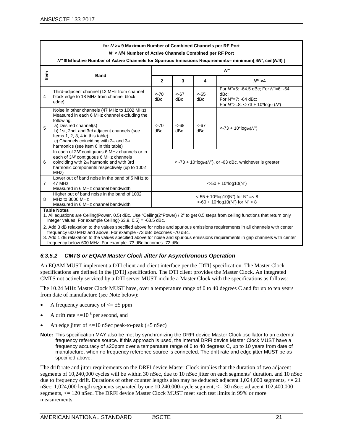|                | for $N \geq 9$ Maximum Number of Combined Channels per RF Port                                                                                                                                                                                                                                           |                                                                       |                |                |                                                                                                                        |  |  |  |
|----------------|----------------------------------------------------------------------------------------------------------------------------------------------------------------------------------------------------------------------------------------------------------------------------------------------------------|-----------------------------------------------------------------------|----------------|----------------|------------------------------------------------------------------------------------------------------------------------|--|--|--|
|                | N' < N/4 Number of Active Channels Combined per RF Port                                                                                                                                                                                                                                                  |                                                                       |                |                |                                                                                                                        |  |  |  |
|                | $N''$ = Effective Number of Active Channels for Spurious Emissions Requirements= minimum[ 4N', ceil(N/4) ]                                                                                                                                                                                               |                                                                       |                |                |                                                                                                                        |  |  |  |
| ltem           | N"                                                                                                                                                                                                                                                                                                       |                                                                       |                |                |                                                                                                                        |  |  |  |
|                | <b>Band</b>                                                                                                                                                                                                                                                                                              | $\overline{2}$                                                        | 3              | 4              | N'' > 4                                                                                                                |  |  |  |
| $\overline{4}$ | Third-adjacent channel (12 MHz from channel<br>block edge to 18 MHz from channel block<br>edge).                                                                                                                                                                                                         | $<-70$<br>dBc                                                         | $< -67$<br>dBc | $< -65$<br>dBc | For N"=5: -64.5 dBc; For N"=6: -64<br>$dBc$ :<br>For N"=7: -64 dBc;<br>For $N''>=8$ : <-73 + 10*log <sub>10</sub> (N') |  |  |  |
| 5              | Noise in other channels (47 MHz to 1002 MHz)<br>Measured in each 6 MHz channel excluding the<br>following:<br>a) Desired channel(s)<br>b) 1st, 2nd, and 3rd adjacent channels (see<br>Items 1, 2, 3, 4 in this table)<br>c) Channels coinciding with 2nd and 3rd<br>harmonics (see Item 6 in this table) | $<-70$<br>dBc                                                         | $< -68$<br>dBc | $< -67$<br>dBc | $<$ -73 + 10*log <sub>10</sub> (N")                                                                                    |  |  |  |
| 6              | In each of 2N' contiguous 6 MHz channels or in<br>each of 3N' contiguous 6 MHz channels<br>coinciding with 2 <sub>nd</sub> harmonic and with 3rd<br>$\epsilon$ -73 + 10*log <sub>10</sub> (N <sup>*</sup> ), or -63 dBc, whichever is greater<br>harmonic components respectively (up to 1002<br>MHz)    |                                                                       |                |                |                                                                                                                        |  |  |  |
| $\overline{7}$ | Lower out of band noise in the band of 5 MHz to<br>47 MHz<br>Measured in 6 MHz channel bandwidth                                                                                                                                                                                                         | $< -50 + 10$ *log10(N")                                               |                |                |                                                                                                                        |  |  |  |
| 8              | Higher out of band noise in the band of 1002<br>MHz to 3000 MHz<br>Measured in 6 MHz channel bandwidth                                                                                                                                                                                                   | $<-55 + 10$ *log10(N") for N" = < 8<br><-60 + 10*log10(N") for N" > 8 |                |                |                                                                                                                        |  |  |  |
|                | <b>Table Notes</b><br>1. All equations are Ceiling(Power, 0.5) dBc. Use "Ceiling(2*Power) / 2" to get 0.5 steps from ceiling functions that return only                                                                                                                                                  |                                                                       |                |                |                                                                                                                        |  |  |  |

1. All equations are Ceiling(Power, 0.5) dBc. Use "Ceiling(2\*Power) / 2" to get 0.5 steps from ceiling functions that return only integer values. For example Ceiling( $-63.9$ ,  $0.5$ ) =  $-63.5$  dBc.

2. Add 3 dB relaxation to the values specified above for noise and spurious emissions requirements in all channels with center frequency 600 MHz and above. For example -73 dBc becomes -70 dBc.

3. Add 1 dB relaxation to the values specified above for noise and spurious emissions requirements in gap channels with center frequency below 600 MHz. For example -73 dBc becomes -72 dBc.

# <span id="page-26-0"></span>*6.3.5.2 CMTS or EQAM Master Clock Jitter for Asynchronous Operation*

An EQAM MUST implement a DTI client and client interface per the [\[DTI\]](#page-8-10) specification. The Master Clock specifications are defined in th[e \[DTI\]](#page-8-10) specification. The DTI client provides the Master Clock. An integrated CMTS not actively serviced by a DTI server MUST include a Master Clock with the specifications as follows:

The 10.24 MHz Master Clock MUST have, over a temperature range of 0 to 40 degrees C and for up to ten years from date of manufacture (see Note below):

- A frequency accuracy of  $\leq \pm 5$  ppm
- A drift rate  $\langle 10^{-8}$  per second, and
- An edge jitter of  $\leq 10$  nSec peak-to-peak ( $\pm$ 5 nSec)
- **Note:** This specification MAY also be met by synchronizing the DRFI device Master Clock oscillator to an external frequency reference source. If this approach is used, the internal DRFI device Master Clock MUST have a frequency accuracy of ±20ppm over a temperature range of 0 to 40 degrees C, up to 10 years from date of manufacture, when no frequency reference source is connected. The drift rate and edge jitter MUST be as specified above.

The drift rate and jitter requirements on the DRFI device Master Clock implies that the duration of two adjacent segments of 10,240,000 cycles will be within 30 nSec, due to 10 nSec jitter on each segments' duration, and 10 nSec due to frequency drift. Durations of other counter lengths also may be deduced: adjacent 1,024,000 segments,  $\langle = 21 \rangle$ nSec; 1,024,000 length segments separated by one 10,240,000-cycle segment, <= 30 nSec; adjacent 102,400,000 segments, <= 120 nSec. The DRFI device Master Clock MUST meet such test limits in 99% or more measurements.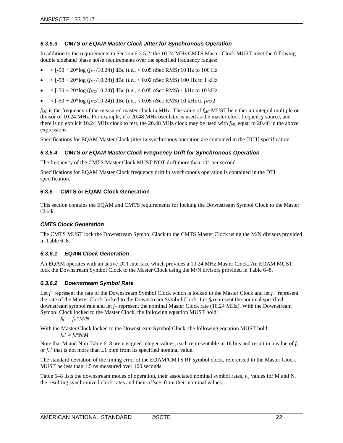# <span id="page-27-1"></span>*6.3.5.3 CMTS or EQAM Master Clock Jitter for Synchronous Operation*

In addition to the requirements in Sectio[n 6.3.5.2,](#page-26-0) the 10.24 MHz CMTS Master Clock MUST meet the following double sideband phase noise requirements over the specified frequency ranges:

- $\langle$  [-50 + 20<sup>\*</sup>log ( $f_{MC}/10.24$ )] dBc (*i.e.*,  $\langle$  0.05 nSec RMS) 10 Hz to 100 Hz
- < [-58 + 20\*log (*fMC*/10.24)] dBc (*i.e.,* < 0.02 nSec RMS) 100 Hz to 1 kHz
- < [-50 + 20\*log (*fMC*/10.24)] dBc (*i.e.,* < 0.05 nSec RMS) 1 kHz to 10 kHz
- $\epsilon$  [-50 + 20\*log ( $f_{MC}/10.24$ )] dBc (*i.e.*,  $\epsilon$  0.05 nSec RMS) 10 kHz to  $f_{MC}/2$

*f<sub>MC</sub>* is the frequency of the measured master clock in MHz. The value of *f<sub>MC</sub>* MUST be either an integral multiple or divisor of 10.24 MHz. For example, if a 20.48 MHz oscillator is used as the master clock frequency source, and there is no explicit 10.24 MHz clock to test, the 20.48 MHz clock may be used with  $f_{MC}$  equal to 20.48 in the above expressions.

Specifications for EQAM Master Clock jitter in synchronous operation are contained in the [\[DTI\]](#page-8-10) specification.

# <span id="page-27-2"></span>*6.3.5.4 CMTS or EQAM Master Clock Frequency Drift for Synchronous Operation*

The frequency of the CMTS Master Clock MUST NOT drift more than 10<sup>-8</sup> per second.

Specifications for EQAM Master Clock frequency drift in synchronous operation is contained in the DTI specification.

### <span id="page-27-0"></span>**6.3.6 CMTS or EQAM Clock Generation**

This section contains the EQAM and CMTS requirements for locking the Downstream Symbol Clock to the Master **Clock** 

# *CMTS Clock Generation*

The CMTS MUST lock the Downstream Symbol Clock to the CMTS Master Clock using the M/N divisors provided in [Table](#page-28-3) 6–8.

# *6.3.6.1 EQAM Clock Generation*

An EQAM operates with an active DTI interface which provides a 10.24 MHz Master Clock. An EQAM MUST lock the Downstream Symbol Clock to the Master Clock using the M/N divisors provided i[n Table](#page-28-3) 6–8.

### *6.3.6.2 Downstream Symbol Rate*

Let  $f_b$ 'represent the rate of the Downstream Symbol Clock which is locked to the Master Clock and let  $f_m$ ' represent the rate of the Master Clock locked to the Downstream Symbol Clock. Let *f*<sup>b</sup> represent the nominal specified downstream symbol rate and let  $f_m$  represent the nominal Master Clock rate (10.24 MHz). With the Downstream Symbol Clock locked to the Master Clock, the following equation MUST hold:

 $f_b' = f_m * M/N$ 

With the Master Clock locked to the Downstream Symbol Clock, the following equation MUST hold:  $f_m' = f_b * N/M$ 

Note that M and N in [Table](#page-28-3) 6–8 are unsigned integer values, each representable in 16 bits and result in a value of *fb*' or  $f_m$ <sup>'</sup> that is not more than  $\pm 1$  ppm from its specified nominal value.

The standard deviation of the timing error of the EQAM/CMTS RF symbol clock, referenced to the Master Clock, MUST be less than 1.5 ns measured over 100 seconds.

[Table](#page-28-3) 6–8 lists the downstream modes of operation, their associated nominal symbol rates,  $f_b$ , values for M and N, the resulting synchronized clock rates and their offsets from their nominal values.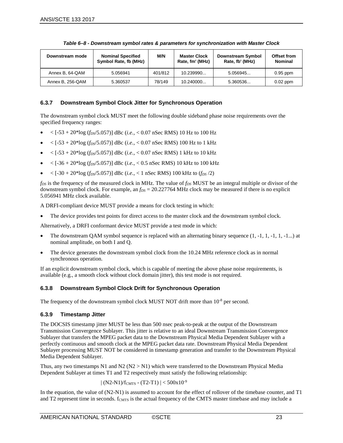<span id="page-28-3"></span>

| Downstream mode  | <b>Nominal Specified</b><br>Symbol Rate, fb (MHz) | <b>M/N</b> | <b>Master Clock</b><br>Rate, fm' (MHz) | <b>Downstream Symbol</b><br>Rate, fb' (MHz) | Offset from<br><b>Nominal</b> |
|------------------|---------------------------------------------------|------------|----------------------------------------|---------------------------------------------|-------------------------------|
| Annex B. 64-QAM  | 5.056941                                          | 401/812    | 10.239990                              | 5.056945                                    | $0.95$ ppm                    |
| Annex B, 256-QAM | 5.360537                                          | 78/149     | 10.240000                              | 5.360536                                    | $0.02$ ppm                    |

| Table 6-8 - Downstream symbol rates & parameters for synchronization with Master Clock |  |  |
|----------------------------------------------------------------------------------------|--|--|
|----------------------------------------------------------------------------------------|--|--|

# <span id="page-28-0"></span>**6.3.7 Downstream Symbol Clock Jitter for Synchronous Operation**

The downstream symbol clock MUST meet the following double sideband phase noise requirements over the specified frequency ranges:

- $\langle$  [-53 + 20<sup>\*</sup>log (*f<sub>DS</sub>*/5.057)] dBc (*i.e.*,  $\langle$  0.07 nSec RMS) 10 Hz to 100 Hz
- < [-53 + 20\*log (*fDS*/5.057)] dBc (*i.e.,* < 0.07 nSec RMS) 100 Hz to 1 kHz
- < [-53 + 20\*log (*fDS*/5.057)] dBc (*i.e.,* < 0.07 nSec RMS) 1 kHz to 10 kHz
- < [-36 + 20\*log (*fDS*/5.057)] dBc (*i.e.,* < 0.5 nSec RMS) 10 kHz to 100 kHz
- $\langle$  [-30 + 20<sup>\*</sup>log (*f<sub>DS</sub>*/5.057)] dBc (*i.e.*,  $\langle$  1 nSec RMS) 100 kHz to (*f<sub>DS</sub>*/2)

*f<sub>DS</sub>* is the frequency of the measured clock in MHz. The value of *f<sub>DS</sub>* MUST be an integral multiple or divisor of the downstream symbol clock. For example, an  $f_{DS} = 20.227764$  MHz clock may be measured if there is no explicit 5.056941 MHz clock available.

A DRFI-compliant device MUST provide a means for clock testing in which:

The device provides test points for direct access to the master clock and the downstream symbol clock.

Alternatively, a DRFI conformant device MUST provide a test mode in which:

- The downstream QAM symbol sequence is replaced with an alternating binary sequence (1, -1, 1, -1, 1, -1...) at nominal amplitude, on both I and Q.
- The device generates the downstream symbol clock from the 10.24 MHz reference clock as in normal synchronous operation.

If an explicit downstream symbol clock, which is capable of meeting the above phase noise requirements, is available (e.g., a smooth clock without clock domain jitter), this test mode is not required.

# <span id="page-28-1"></span>**6.3.8 Downstream Symbol Clock Drift for Synchronous Operation**

The frequency of the downstream symbol clock MUST NOT drift more than  $10^{-8}$  per second.

# <span id="page-28-2"></span>**6.3.9 Timestamp Jitter**

The DOCSIS timestamp jitter MUST be less than 500 nsec peak-to-peak at the output of the Downstream Transmission Convergence Sublayer. This jitter is relative to an ideal Downstream Transmission Convergence Sublayer that transfers the MPEG packet data to the Downstream Physical Media Dependent Sublayer with a perfectly continuous and smooth clock at the MPEG packet data rate. Downstream Physical Media Dependent Sublayer processing MUST NOT be considered in timestamp generation and transfer to the Downstream Physical Media Dependent Sublayer.

Thus, any two timestamps N1 and N2 ( $N2 > N1$ ) which were transferred to the Downstream Physical Media Dependent Sublayer at times T1 and T2 respectively must satisfy the following relationship:

 $|(N2-N1)/f_{CMTS} - (T2-T1)| < 500x10^{-9}$ 

In the equation, the value of (N2-N1) is assumed to account for the effect of rollover of the timebase counter, and T1 and T2 represent time in seconds. f<sub>CMTS</sub> is the actual frequency of the CMTS master timebase and may include a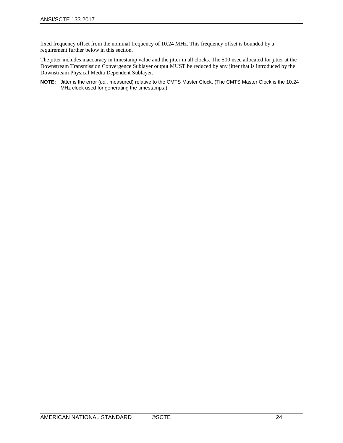fixed frequency offset from the nominal frequency of 10.24 MHz. This frequency offset is bounded by a requirement further below in this section.

The jitter includes inaccuracy in timestamp value and the jitter in all clocks. The 500 nsec allocated for jitter at the Downstream Transmission Convergence Sublayer output MUST be reduced by any jitter that is introduced by the Downstream Physical Media Dependent Sublayer.

**NOTE:** Jitter is the error (*i.e.,* measured) relative to the CMTS Master Clock. (The CMTS Master Clock is the 10.24 MHz clock used for generating the timestamps.)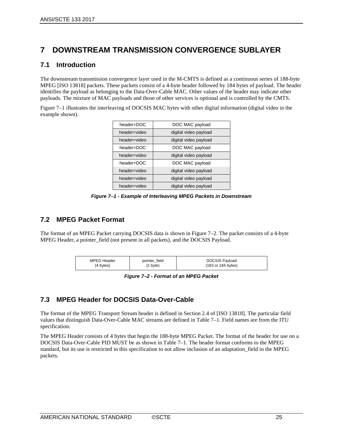# <span id="page-30-0"></span>**7 DOWNSTREAM TRANSMISSION CONVERGENCE SUBLAYER**

# <span id="page-30-1"></span>**7.1 Introduction**

The downstream transmission convergence layer used in the M-CMTS is defined as a continuous series of 188-byte MPEG [\[ISO 13818\]](#page-8-13) packets. These packets consist of a 4-byte header followed by 184 bytes of payload. The header identifies the payload as belonging to the Data-Over-Cable MAC. Other values of the header may indicate other payloads. The mixture of MAC payloads and those of other services is optional and is controlled by the CMTS.

[Figure](#page-30-4) 7–1 illustrates the interleaving of DOCSIS MAC bytes with other digital information (digital video in the example shown).

| header=DOC   | DOC MAC payload       |
|--------------|-----------------------|
| header=video | digital video payload |
| header=video | digital video payload |
| header=DOC   | DOC MAC payload       |
| header=video | digital video payload |
| header=DOC   | DOC MAC payload       |
| header=video | digital video payload |
| header=video | digital video payload |
| header=video | digital video payload |

*Figure 7–1 - Example of Interleaving MPEG Packets in Downstream*

# <span id="page-30-4"></span><span id="page-30-2"></span>**7.2 MPEG Packet Format**

The format of an MPEG Packet carrying DOCSIS data is shown i[n Figure](#page-30-5) 7–2. The packet consists of a 4-byte MPEG Header, a pointer\_field (not present in all packets), and the DOCSIS Payload.

| <b>MPEG Header</b> | pointer field | <b>DOCSIS Payload</b> |
|--------------------|---------------|-----------------------|
| (4 bytes)          | 1 bvte)       | (183 or 184 bytes)    |

*Figure 7–2 - Format of an MPEG Packet*

# <span id="page-30-5"></span><span id="page-30-3"></span>**7.3 MPEG Header for DOCSIS Data-Over-Cable**

The format of the MPEG Transport Stream header is defined in Section 2.4 o[f \[ISO 13818\].](#page-8-13) The particular field values that distinguish Data-Over-Cable MAC streams are defined in [Table](#page-31-4) 7–1. Field names are from the ITU specification.

The MPEG Header consists of 4 bytes that begin the 188-byte MPEG Packet. The format of the header for use on a DOCSIS Data-Over-Cable PID MUST be as shown in [Table](#page-31-4) 7–1. The header format conforms to the MPEG standard, but its use is restricted in this specification to not allow inclusion of an adaptation\_field in the MPEG packets.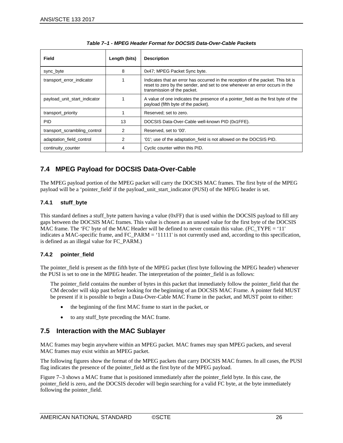<span id="page-31-4"></span>

| Field                        | Length (bits) | <b>Description</b>                                                                                                                                                                             |
|------------------------------|---------------|------------------------------------------------------------------------------------------------------------------------------------------------------------------------------------------------|
| sync_byte                    | 8             | 0x47; MPEG Packet Sync byte.                                                                                                                                                                   |
| transport_error_indicator    |               | Indicates that an error has occurred in the reception of the packet. This bit is<br>reset to zero by the sender, and set to one whenever an error occurs in the<br>transmission of the packet. |
| payload_unit_start_indicator |               | A value of one indicates the presence of a pointer field as the first byte of the<br>payload (fifth byte of the packet).                                                                       |
| transport_priority           |               | Reserved; set to zero.                                                                                                                                                                         |
| <b>PID</b>                   | 13            | DOCSIS Data-Over-Cable well-known PID (0x1FFE).                                                                                                                                                |
| transport_scrambling_control |               | Reserved, set to '00'.                                                                                                                                                                         |
| adaptation_field_control     | 2             | '01'; use of the adaptation_field is not allowed on the DOCSIS PID.                                                                                                                            |
| continuity_counter           | 4             | Cyclic counter within this PID.                                                                                                                                                                |

|  |  | Table 7-1 - MPEG Header Format for DOCSIS Data-Over-Cable Packets |
|--|--|-------------------------------------------------------------------|
|--|--|-------------------------------------------------------------------|

# <span id="page-31-0"></span>**7.4 MPEG Payload for DOCSIS Data-Over-Cable**

The MPEG payload portion of the MPEG packet will carry the DOCSIS MAC frames. The first byte of the MPEG payload will be a 'pointer field' if the payload unit start indicator (PUSI) of the MPEG header is set.

# <span id="page-31-1"></span>**7.4.1 stuff\_byte**

This standard defines a stuff\_byte pattern having a value (0xFF) that is used within the DOCSIS payload to fill any gaps between the DOCSIS MAC frames. This value is chosen as an unused value for the first byte of the DOCSIS MAC frame. The 'FC' byte of the MAC Header will be defined to never contain this value. (FC\_TYPE = '11' indicates a MAC-specific frame, and FC\_PARM = '11111' is not currently used and, according to this specification, is defined as an illegal value for FC\_PARM.)

# <span id="page-31-2"></span>**7.4.2 pointer\_field**

The pointer\_field is present as the fifth byte of the MPEG packet (first byte following the MPEG header) whenever the PUSI is set to one in the MPEG header. The interpretation of the pointer\_field is as follows:

The pointer field contains the number of bytes in this packet that immediately follow the pointer field that the CM decoder will skip past before looking for the beginning of an DOCSIS MAC Frame. A pointer field MUST be present if it is possible to begin a Data-Over-Cable MAC Frame in the packet, and MUST point to either:

- the beginning of the first MAC frame to start in the packet, or
- to any stuff\_byte preceding the MAC frame.

# <span id="page-31-3"></span>**7.5 Interaction with the MAC Sublayer**

MAC frames may begin anywhere within an MPEG packet. MAC frames may span MPEG packets, and several MAC frames may exist within an MPEG packet.

The following figures show the format of the MPEG packets that carry DOCSIS MAC frames. In all cases, the PUSI flag indicates the presence of the pointer field as the first byte of the MPEG payload.

[Figure](#page-32-1) 7–3 shows a MAC frame that is positioned immediately after the pointer\_field byte. In this case, the pointer\_field is zero, and the DOCSIS decoder will begin searching for a valid FC byte, at the byte immediately following the pointer\_field.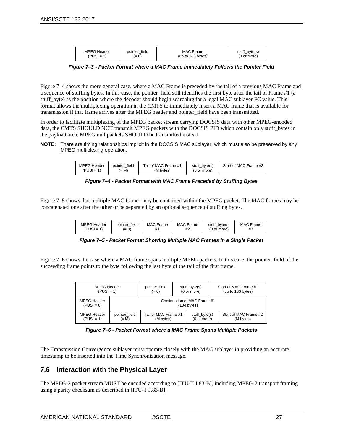| <b>MPEG Header</b> | pointer field | <b>MAC Frame</b>  | stuff_byte(s) |
|--------------------|---------------|-------------------|---------------|
| $(PUSI = 1)$       | $(= 0)$       | (up to 183 bytes) | (0 or more)   |

*Figure 7–3 - Packet Format where a MAC Frame Immediately Follows the Pointer Field*

<span id="page-32-1"></span>[Figure](#page-32-2) 7–4 shows the more general case, where a MAC Frame is preceded by the tail of a previous MAC Frame and a sequence of stuffing bytes. In this case, the pointer field still identifies the first byte after the tail of Frame #1 (a) stuff byte) as the position where the decoder should begin searching for a legal MAC sublayer FC value. This format allows the multiplexing operation in the CMTS to immediately insert a MAC frame that is available for transmission if that frame arrives after the MPEG header and pointer\_field have been transmitted.

In order to facilitate multiplexing of the MPEG packet stream carrying DOCSIS data with other MPEG-encoded data, the CMTS SHOULD NOT transmit MPEG packets with the DOCSIS PID which contain only stuff bytes in the payload area. MPEG null packets SHOULD be transmitted instead.

**NOTE:** There are timing relationships implicit in the DOCSIS MAC sublayer, which must also be preserved by any MPEG multiplexing operation.

| <b>MPEG Header</b> | pointer field | Tail of MAC Frame #1 | stuff_byte(s) | Start of MAC Frame #2 |
|--------------------|---------------|----------------------|---------------|-----------------------|
| (PUSI = 1)         | M)            | (M bytes)            | (0 or more)   |                       |

*Figure 7–4 - Packet Format with MAC Frame Preceded by Stuffing Bytes*

<span id="page-32-2"></span>[Figure](#page-32-3) 7–5 shows that multiple MAC frames may be contained within the MPEG packet. The MAC frames may be concatenated one after the other or be separated by an optional sequence of stuffing bytes.

| <b>MPEG Header</b><br>$(PUSI = 1)$ | field<br>pointer<br>(= 0) | <b>MAC</b> Frame | <b>MAC</b> Frame<br>#2 | stuff_byte(s)<br>(0 or more) | <b>MAC</b> Frame<br>#3 |
|------------------------------------|---------------------------|------------------|------------------------|------------------------------|------------------------|
|------------------------------------|---------------------------|------------------|------------------------|------------------------------|------------------------|

*Figure 7–5 - Packet Format Showing Multiple MAC Frames in a Single Packet*

<span id="page-32-3"></span>[Figure](#page-32-4) 7–6 shows the case where a MAC frame spans multiple MPEG packets. In this case, the pointer field of the succeeding frame points to the byte following the last byte of the tail of the first frame.

| <b>MPEG Header</b><br>$(PUSI = 1)$ | pointer_field<br>$(= 0)$                                      |  |  | stuff byte(s)<br>(0 or more) | Start of MAC Frame #1<br>(up to 183 bytes) |
|------------------------------------|---------------------------------------------------------------|--|--|------------------------------|--------------------------------------------|
| <b>MPEG Header</b><br>$(PUSI = 0)$ | Continuation of MAC Frame #1<br>(184 bytes)                   |  |  |                              |                                            |
| <b>MPEG Header</b><br>$(PUSI = 1)$ | Tail of MAC Frame #1<br>pointer_field<br>$(= M)$<br>(M bytes) |  |  | stuff_byte(s)<br>(0 or more) | Start of MAC Frame #2<br>(M bytes)         |

*Figure 7–6 - Packet Format where a MAC Frame Spans Multiple Packets*

<span id="page-32-4"></span>The Transmission Convergence sublayer must operate closely with the MAC sublayer in providing an accurate timestamp to be inserted into the Time Synchronization message.

# <span id="page-32-0"></span>**7.6 Interaction with the Physical Layer**

The MPEG-2 packet stream MUST be encoded according t[o \[ITU-T J.83-B\],](#page-8-3) including MPEG-2 transport framing using a parity checksum as described in [\[ITU-T J.83-B\].](#page-8-3)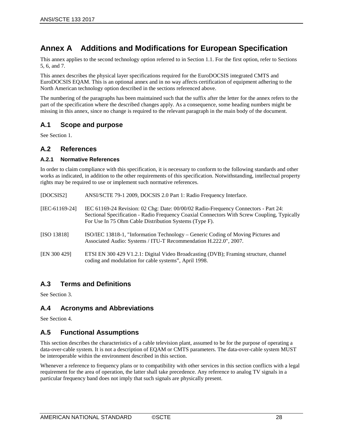# <span id="page-33-0"></span>**Annex A Additions and Modifications for European Specification**

This annex applies to the second technology option referred to in Section [1.1.](#page-6-1) For the first option, refer to Sections [5,](#page-13-0) [6,](#page-15-0) and [7.](#page-30-0)

This annex describes the physical layer specifications required for the EuroDOCSIS integrated CMTS and EuroDOCSIS EQAM. This is an optional annex and in no way affects certification of equipment adhering to the North American technology option described in the sections referenced above.

The numbering of the paragraphs has been maintained such that the suffix after the letter for the annex refers to the part of the specification where the described changes apply. As a consequence, some heading numbers might be missing in this annex, since no change is required to the relevant paragraph in the main body of the document.

# <span id="page-33-1"></span>**A.1 Scope and purpose**

See Section [1.](#page-6-0)

# <span id="page-33-2"></span>**A.2 References**

### <span id="page-33-3"></span>**A.2.1 Normative References**

In order to claim compliance with this specification, it is necessary to conform to the following standards and other works as indicated, in addition to the other requirements of this specification. Notwithstanding, intellectual property rights may be required to use or implement such normative references.

<span id="page-33-8"></span>

| [DOCSIS2]        | ANSI/SCTE 79-1 2009, DOCSIS 2.0 Part 1: Radio Frequency Interface.                                                                                                                                                                           |
|------------------|----------------------------------------------------------------------------------------------------------------------------------------------------------------------------------------------------------------------------------------------|
| $[IEC-61169-24]$ | IEC 61169-24 Revision: 02 Chg: Date: 00/00/02 Radio-Frequency Connectors - Part 24:<br>Sectional Specification - Radio Frequency Coaxial Connectors With Screw Coupling, Typically<br>For Use In 75 Ohm Cable Distribution Systems (Type F). |
| [ISO 13818]      | ISO/IEC 13818-1, "Information Technology – Generic Coding of Moving Pictures and<br>Associated Audio: Systems / ITU-T Recommendation H.222.0", 2007.                                                                                         |
| [EN 300 429]     | ETSI EN 300 429 V1.2.1: Digital Video Broadcasting (DVB); Framing structure, channel<br>coding and modulation for cable systems", April 1998.                                                                                                |

# <span id="page-33-7"></span><span id="page-33-4"></span>**A.3 Terms and Definitions**

See Section [3.](#page-10-0)

# <span id="page-33-5"></span>**A.4 Acronyms and Abbreviations**

See Section [4.](#page-12-0)

# <span id="page-33-6"></span>**A.5 Functional Assumptions**

This section describes the characteristics of a cable television plant, assumed to be for the purpose of operating a data-over-cable system. It is not a description of EQAM or CMTS parameters. The data-over-cable system MUST be interoperable within the environment described in this section.

Whenever a reference to frequency plans or to compatibility with other services in this section conflicts with a legal requirement for the area of operation, the latter shall take precedence. Any reference to analog TV signals in a particular frequency band does not imply that such signals are physically present.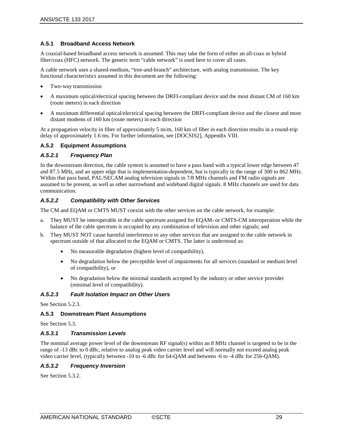### <span id="page-34-0"></span>**A.5.1 Broadband Access Network**

A coaxial-based broadband access network is assumed. This may take the form of either an all-coax or hybrid fiber/coax (HFC) network. The generic term "cable network" is used here to cover all cases.

A cable network uses a shared-medium, "tree-and-branch" architecture, with analog transmission. The key functional characteristics assumed in this document are the following:

- Two-way transmission
- A maximum optical/electrical spacing between the DRFI-compliant device and the most distant CM of 160 km (route meters) in each direction
- A maximum differential optical/electrical spacing between the DRFI-compliant device and the closest and most distant modems of 160 km (route meters) in each direction

At a propagation velocity in fiber of approximately 5 ns/m, 160 km of fiber in each direction results in a round-trip delay of approximately 1.6 ms. For further information, see [\[DOCSIS2\],](#page-8-5) Appendix VIII.

### <span id="page-34-1"></span>**A.5.2 Equipment Assumptions**

### *A.5.2.1 Frequency Plan*

In the downstream direction, the cable system is assumed to have a pass band with a typical lower edge between 47 and 87.5 MHz, and an upper edge that is implementation-dependent, but is typically in the range of 300 to 862 MHz. Within that pass band, PAL/SECAM analog television signals in 7/8 MHz channels and FM radio signals are assumed to be present, as well as other narrowband and wideband digital signals. 8 MHz channels are used for data communication.

#### *A.5.2.2 Compatibility with Other Services*

The CM and EQAM or CMTS MUST coexist with the other services on the cable network, for example:

- a. They MUST be interoperable in the cable spectrum assigned for EQAM- or CMTS-CM interoperation while the balance of the cable spectrum is occupied by any combination of television and other signals; and
- b. They MUST NOT cause harmful interference to any other services that are assigned to the cable network in spectrum outside of that allocated to the EQAM or CMTS. The latter is understood as:
	- No measurable degradation (highest level of compatibility),
	- No degradation below the perceptible level of impairments for all services (standard or medium level of compatibility), or
	- No degradation below the minimal standards accepted by the industry or other service provider (minimal level of compatibility).

#### *A.5.2.3 Fault Isolation Impact on Other Users*

See Section [5.2.3.](#page-14-0)

#### <span id="page-34-2"></span>**A.5.3 Downstream Plant Assumptions**

See Section [5.3.](#page-14-1)

#### *A.5.3.1 Transmission Levels*

The nominal average power level of the downstream RF signal(s) within an 8 MHz channel is targeted to be in the range of -13 dBc to 0 dBc, relative to analog peak video carrier level and will normally not exceed analog peak video carrier level, (typically between -10 to -6 dBc for 64-QAM and between -6 to -4 dBc for 256-QAM).

#### *A.5.3.2 Frequency Inversion*

See Section [5.3.2.](#page-14-3)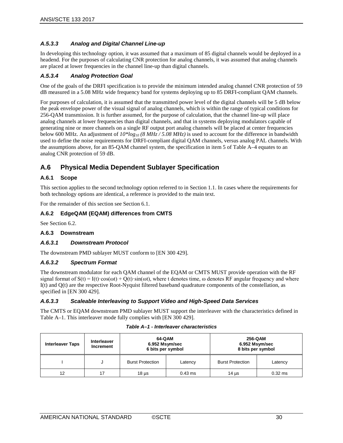# *A.5.3.3 Analog and Digital Channel Line-up*

In developing this technology option, it was assumed that a maximum of 85 digital channels would be deployed in a headend. For the purposes of calculating CNR protection for analog channels, it was assumed that analog channels are placed at lower frequencies in the channel line-up than digital channels.

# *A.5.3.4 Analog Protection Goal*

One of the goals of the DRFI specification is to provide the minimum intended analog channel CNR protection of 59 dB measured in a 5.08 MHz wide frequency band for systems deploying up to 85 DRFI-compliant QAM channels.

For purposes of calculation, it is assumed that the transmitted power level of the digital channels will be 5 dB below the peak envelope power of the visual signal of analog channels, which is within the range of typical conditions for 256-QAM transmission. It is further assumed, for the purpose of calculation, that the channel line-up will place analog channels at lower frequencies than digital channels, and that in systems deploying modulators capable of generating nine or more channels on a single RF output port analog channels will be placed at center frequencies below 600 MHz. An adjustment of *10\*log10 (8 MHz / 5.08 MHz)* is used to account for the difference in bandwidth used to define the noise requirements for DRFI-compliant digital QAM channels, versus analog PAL channels. With the assumptions above, for an 85-QAM channel system, the specification in item 5 of [Table](#page-41-0) A–4 equates to an analog CNR protection of 59 dB.

# <span id="page-35-0"></span>**A.6 Physical Media Dependent Sublayer Specification**

### <span id="page-35-1"></span>**A.6.1 Scope**

This section applies to the second technology option referred to in Section [1.1.](#page-6-1) In cases where the requirements for both technology options are identical, a reference is provided to the main text.

For the remainder of this section see Section [6.1.](#page-15-1)

### <span id="page-35-2"></span>**A.6.2 EdgeQAM (EQAM) differences from CMTS**

See Section [6.2.](#page-15-2)

### <span id="page-35-3"></span>**A.6.3 Downstream**

### *A.6.3.1 Downstream Protocol*

The downstream PMD sublayer MUST conform to [\[EN 300 429\].](#page-33-7)

### *A.6.3.2 Spectrum Format*

The downstream modulator for each QAM channel of the EQAM or CMTS MUST provide operation with the RF signal format of  $S(t) = I(t) \cos(\omega t) + Q(t) \sin(\omega t)$ , where t denotes time,  $\omega$  denotes RF angular frequency and where I(t) and Q(t) are the respective Root-Nyquist filtered baseband quadrature components of the constellation, as specified in [\[EN 300 429\].](#page-33-7)

# *A.6.3.3 Scaleable Interleaving to Support Video and High-Speed Data Services*

The CMTS or EQAM downstream PMD sublayer MUST support the interleaver with the characteristics defined in [Table](#page-35-4) A–1. This interleaver mode fully complies with [\[EN 300 429\].](#page-33-7)

<span id="page-35-4"></span>

| <b>Interleaver Taps</b> | <b>Interleaver</b><br><b>Increment</b> | 64-QAM<br>6.952 Msym/sec<br>6 bits per symbol |           | 256-QAM<br>6.952 Msym/sec<br>8 bits per symbol |           |
|-------------------------|----------------------------------------|-----------------------------------------------|-----------|------------------------------------------------|-----------|
|                         |                                        | <b>Burst Protection</b>                       | Latency   | <b>Burst Protection</b>                        | Latency   |
| 12                      |                                        | 18 <sub>µ</sub>                               | $0.43$ ms | 14 $\mu$ s                                     | $0.32$ ms |

*Table A–1 - Interleaver characteristics*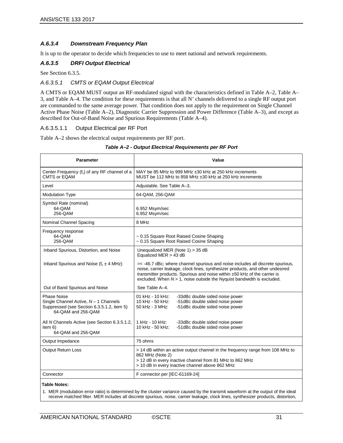# *A.6.3.4 Downstream Frequency Plan*

It is up to the operator to decide which frequencies to use to meet national and network requirements.

### *A.6.3.5 DRFI Output Electrical*

See Section [6.3.5.](#page-17-1)

#### *A.6.3.5.1 CMTS or EQAM Output Electrical*

A CMTS or EQAM MUST output an RF-modulated signal with the characteristics defined i[n Table](#page-36-0) A–2, [Table](#page-37-0) A– [3,](#page-37-0) and [Table](#page-41-0) A–4. The condition for these requirements is that all N' channels delivered to a single RF output port are commanded to the same average power. That condition does not apply to the requirement on Single Channel Active Phase Noise [\(Table](#page-36-0) A–2), Diagnostic Carrier Suppression and Power Difference [\(Table](#page-37-0) A–3), and except as described for Out-of-Band Noise and Spurious Requirements [\(Table](#page-41-0) A–4).

#### A.6.3.5.1.1 Output Electrical per RF Port

<span id="page-36-0"></span>[Table](#page-36-0) A–2 shows the electrical output requirements per RF port.

| Table A-2 - Output Electrical Requirements per RF Port |  |
|--------------------------------------------------------|--|
|--------------------------------------------------------|--|

| <b>Parameter</b>                                                                                                       | Value                                                                                                                                                                                                                                                                                                                        |  |
|------------------------------------------------------------------------------------------------------------------------|------------------------------------------------------------------------------------------------------------------------------------------------------------------------------------------------------------------------------------------------------------------------------------------------------------------------------|--|
| Center Frequency (fc) of any RF channel of a<br>CMTS or EQAM                                                           | MAY be 85 MHz to 999 MHz ±30 kHz at 250 kHz increments<br>MUST be 112 MHz to 858 MHz ±30 kHz at 250 kHz increments                                                                                                                                                                                                           |  |
| Level                                                                                                                  | Adjustable. See Table A-3.                                                                                                                                                                                                                                                                                                   |  |
| <b>Modulation Type</b>                                                                                                 | 64-QAM, 256-QAM                                                                                                                                                                                                                                                                                                              |  |
| Symbol Rate (nominal)<br>64-QAM<br>256-QAM                                                                             | 6.952 Msym/sec<br>6.952 Msym/sec                                                                                                                                                                                                                                                                                             |  |
| Nominal Channel Spacing                                                                                                | 8 MHz                                                                                                                                                                                                                                                                                                                        |  |
| Frequency response<br>64-QAM<br>256-QAM                                                                                | ~ 0.15 Square Root Raised Cosine Shaping<br>~ 0.15 Square Root Raised Cosine Shaping                                                                                                                                                                                                                                         |  |
| Inband Spurious, Distortion, and Noise                                                                                 | Unequalized MER (Note 1) > 35 dB<br>Equalized MER $>$ 43 dB                                                                                                                                                                                                                                                                  |  |
| Inband Spurious and Noise ( $f_c \pm 4$ MHz)                                                                           | $=<$ -46.7 dBc; where channel spurious and noise includes all discrete spurious,<br>noise, carrier leakage, clock lines, synthesizer products, and other undesired<br>transmitter products. Spurious and noise within ±50 kHz of the carrier is<br>excluded. When $N > 1$ , noise outside the Nyquist bandwidth is excluded. |  |
| Out of Band Spurious and Noise                                                                                         | See Table A-4.                                                                                                                                                                                                                                                                                                               |  |
| Phase Noise<br>Single Channel Active, N-1 Channels<br>Suppressed (see Section 6.3.5.1.2, item 5)<br>64-QAM and 256-QAM | 01 kHz - 10 kHz:<br>-33dBc double sided noise power<br>10 kHz - 50 kHz:<br>-51dBc double sided noise power<br>50 kHz - 3 MHz:<br>-51dBc double sided noise power                                                                                                                                                             |  |
| All N Channels Active (see Section 6.3.5.1.2,<br>item 6)<br>64-QAM and 256-QAM                                         | 1 kHz - 10 kHz:<br>-33dBc double sided noise power<br>10 kHz - 50 kHz:<br>-51dBc double sided noise power                                                                                                                                                                                                                    |  |
| Output Impedance                                                                                                       | 75 ohms                                                                                                                                                                                                                                                                                                                      |  |
| <b>Output Return Loss</b>                                                                                              | > 14 dB within an active output channel in the frequency range from 108 MHz to<br>862 MHz (Note 2)<br>> 12 dB in every inactive channel from 81 MHz to 862 MHz<br>> 10 dB in every inactive channel above 862 MHz                                                                                                            |  |
| Connector                                                                                                              | F connector per [IEC-61169-24]                                                                                                                                                                                                                                                                                               |  |
|                                                                                                                        |                                                                                                                                                                                                                                                                                                                              |  |

#### **Table Notes:**

1. MER (modulation error ratio) is determined by the cluster variance caused by the transmit waveform at the output of the ideal receive matched filter. MER includes all discrete spurious, noise, carrier leakage, clock lines, synthesizer products, distortion,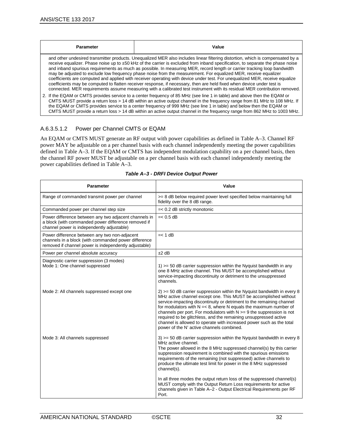| <b>Parameter</b> | Value                                                                                                                                                                                                                                                                                                                                                                                                                                                                                                                                                                                                                                                                                                                                                                                                                                                                                                  |
|------------------|--------------------------------------------------------------------------------------------------------------------------------------------------------------------------------------------------------------------------------------------------------------------------------------------------------------------------------------------------------------------------------------------------------------------------------------------------------------------------------------------------------------------------------------------------------------------------------------------------------------------------------------------------------------------------------------------------------------------------------------------------------------------------------------------------------------------------------------------------------------------------------------------------------|
|                  | and other undesired transmitter products. Unequalized MER also includes linear filtering distortion, which is compensated by a<br>receive equalizer. Phase noise up to ±50 kHz of the carrier is excluded from inband specification, to separate the phase noise<br>and inband spurious requirements as much as possible. In measuring MER, record length or carrier tracking loop bandwidth<br>may be adjusted to exclude low frequency phase noise from the measurement. For equalized MER, receive equalizer<br>coefficients are computed and applied with receiver operating with device under test. For unequalized MER, receive equalize<br>coefficients may be computed to flatten receiver response, if necessary, then are held fixed when device under test is<br>connected. MER requirements assume measuring with a calibrated test instrument with its residual MER contribution removed. |
|                  | 2. If the EQAM or CMTS provides service to a center frequency of 85 MHz (see line 1 in table) and above then the EQAM or<br>CMTS MUST provide a return loss > 14 dB within an active output channel in the frequency range from 81 MHz to 108 MHz. If<br>the EQAM or CMTS provides service to a center frequency of 999 MHz (see line 1 in table) and below then the EQAM or<br>CMTS MUST provide a return loss > 14 dB within an active output channel in the frequency range from 862 MHz to 1003 MHz.                                                                                                                                                                                                                                                                                                                                                                                               |

# A.6.3.5.1.2 Power per Channel CMTS or EQAM

An EQAM or CMTS MUST generate an RF output with power capabilities as defined in [Table](#page-37-0) A–3. Channel RF power MAY be adjustable on a per channel basis with each channel independently meeting the power capabilities defined in [Table](#page-37-0) A–3. If the EQAM or CMTS has independent modulation capability on a per channel basis, then the channel RF power MUST be adjustable on a per channel basis with each channel independently meeting the power capabilities defined in [Table](#page-37-0) A–3.

<span id="page-37-0"></span>

| <b>Parameter</b>                                                                                                                                               | Value                                                                                                                                                                                                                                                                                                                                                                                                                                                                                                                                                               |
|----------------------------------------------------------------------------------------------------------------------------------------------------------------|---------------------------------------------------------------------------------------------------------------------------------------------------------------------------------------------------------------------------------------------------------------------------------------------------------------------------------------------------------------------------------------------------------------------------------------------------------------------------------------------------------------------------------------------------------------------|
| Range of commanded transmit power per channel                                                                                                                  | >= 8 dB below required power level specified below maintaining full<br>fidelity over the 8 dB range.                                                                                                                                                                                                                                                                                                                                                                                                                                                                |
| Commanded power per channel step size                                                                                                                          | $=< 0.2$ dB strictly monotonic                                                                                                                                                                                                                                                                                                                                                                                                                                                                                                                                      |
| Power difference between any two adjacent channels in<br>a block (with commanded power difference removed if<br>channel power is independently adjustable)     | $=< 0.5$ dB                                                                                                                                                                                                                                                                                                                                                                                                                                                                                                                                                         |
| Power difference between any two non-adjacent<br>channels in a block (with commanded power difference<br>removed if channel power is independently adjustable) | $=< 1 dB$                                                                                                                                                                                                                                                                                                                                                                                                                                                                                                                                                           |
| Power per channel absolute accuracy                                                                                                                            | $±2$ dB                                                                                                                                                                                                                                                                                                                                                                                                                                                                                                                                                             |
| Diagnostic carrier suppression (3 modes)<br>Mode 1: One channel suppressed                                                                                     | $1$ ) $>=$ 50 dB carrier suppression within the Nyquist bandwidth in any<br>one 8 MHz active channel. This MUST be accomplished without<br>service-impacting discontinuity or detriment to the unsuppressed<br>channels.                                                                                                                                                                                                                                                                                                                                            |
| Mode 2: All channels suppressed except one                                                                                                                     | $(2)$ >= 50 dB carrier suppression within the Nyquist bandwidth in every 8<br>MHz active channel except one. This MUST be accomplished without<br>service-impacting discontinuity or detriment to the remaining channel<br>for modulators with $N = < 8$ , where N equals the maximum number of<br>channels per port. For modulators with $N \ge 9$ the suppression is not<br>required to be glitchless, and the remaining unsuppressed active<br>channel is allowed to operate with increased power such as the total<br>power of the N' active channels combined. |
| Mode 3: All channels suppressed                                                                                                                                | 3) >= 50 dB carrier suppression within the Nyquist bandwidth in every 8<br>MHz active channel.<br>The power allowed in the 8 MHz suppressed channel(s) by this carrier<br>suppression requirement is combined with the spurious emissions<br>requirements of the remaining (not suppressed) active channels to<br>produce the ultimate test limit for power in the 8 MHz suppressed<br>channel(s).                                                                                                                                                                  |
|                                                                                                                                                                | In all three modes the output return loss of the suppressed channel(s)<br>MUST comply with the Output Return Loss requirements for active<br>channels given in Table A-2 - Output Electrical Requirements per RF<br>Port.                                                                                                                                                                                                                                                                                                                                           |

#### *Table A–3 - DRFI Device Output Power*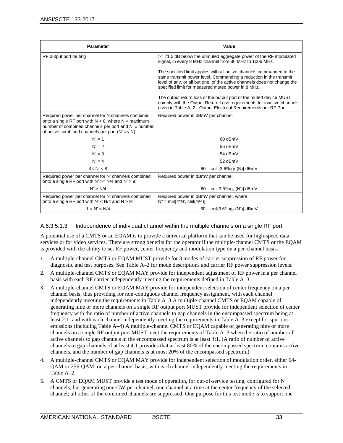| <b>Parameter</b>                                                                                                                                                                                                                          | Value                                                                                                                                                                                                                                                                        |
|-------------------------------------------------------------------------------------------------------------------------------------------------------------------------------------------------------------------------------------------|------------------------------------------------------------------------------------------------------------------------------------------------------------------------------------------------------------------------------------------------------------------------------|
| RF output port muting                                                                                                                                                                                                                     | $\epsilon$ = 71.5 dB below the unmuted aggregate power of the RF modulated<br>signal, in every 8 MHz channel from 86 MHz to 1006 MHz.                                                                                                                                        |
|                                                                                                                                                                                                                                           | The specified limit applies with all active channels commanded to the<br>same transmit power level. Commanding a reduction in the transmit<br>level of any, or all but one, of the active channels does not change the<br>specified limit for measured muted power in 8 MHz. |
|                                                                                                                                                                                                                                           | The output return loss of the output port of the muted device MUST<br>comply with the Output Return Loss requirements for inactive channels<br>given in Table A-2 - Output Electrical Requirements per RF Port.                                                              |
| Required power per channel for N channels combined<br>onto a single RF port with $N < 8$ , where $N \equiv$ maximum<br>number of combined channels per port and $N' \equiv$ number<br>of active combined channels per port $(N' = < N)$ : | Required power in dBmV per channel                                                                                                                                                                                                                                           |
| $N' = 1$                                                                                                                                                                                                                                  | 60 dBmV                                                                                                                                                                                                                                                                      |
| $N' = 2$                                                                                                                                                                                                                                  | 56 dBmV                                                                                                                                                                                                                                                                      |
| $N' = 3$                                                                                                                                                                                                                                  | 54 dBmV                                                                                                                                                                                                                                                                      |
| $N' = 4$                                                                                                                                                                                                                                  | 52 dBmV                                                                                                                                                                                                                                                                      |
| 4 < N' < 8                                                                                                                                                                                                                                | 60 – ceil $[3.6^* \log_2(N)]$ dBmV                                                                                                                                                                                                                                           |
| Required power per channel for N' channels combined<br>onto a single RF port with $N' \geq N/4$ and $N' > 9$ .                                                                                                                            | Required power in dBmV per channel                                                                                                                                                                                                                                           |
| N' > N/4                                                                                                                                                                                                                                  | 60 - ceil[3.6*log <sub>2</sub> (N')] dBmV                                                                                                                                                                                                                                    |
| Required power per channel for N' channels combined<br>onto a single RF port with $N' < N/4$ and $N > 9$ :                                                                                                                                | Required power in dBmV per channel, where<br>$N'' = min[4*N',ceil(N/4)]$                                                                                                                                                                                                     |
| 1 < N' < N/4                                                                                                                                                                                                                              | 60 - ceil[3.6*log <sub>2</sub> (N")] dBmV                                                                                                                                                                                                                                    |

A.6.3.5.1.3 Independence of individual channel within the multiple channels on a single RF port

A potential use of a CMTS or an EQAM is to provide a universal platform that can be used for high-speed data services or for video services. There are strong benefits for the operator if the multiple-channel CMTS or the EQAM is provided with the ability to set RF power, center frequency and modulation type on a per-channel basis.

- 1. A multiple-channel CMTS or EQAM MUST provide for 3 modes of carrier suppression of RF power for diagnostic and test purposes. See [Table](#page-36-0) A–2 for mode descriptions and carrier RF power suppression levels.
- 2. A multiple-channel CMTS or EQAM MAY provide for independent adjustment of RF power in a per channel basis with each RF carrier independently meeting the requirements defined in [Table](#page-37-0) A–3.
- 3. A multiple-channel CMTS or EQAM MAY provide for independent selection of center frequency on a per channel basis, thus providing for non-contiguous channel frequency assignment, with each channel independently meeting the requirements in [Table](#page-37-0) A–3 A multiple-channel CMTS or EQAM capable of generating nine or more channels on a single RF output port MUST provide for independent selection of center frequency with the ratio of number of active channels to gap channels in the encompassed spectrum being at least 2:1, and with each channel independently meeting the requirements in [Table](#page-37-0) A–3 except for spurious emissions (including [Table](#page-41-0) A–4) A multiple-channel CMTS or EQAM capable of generating nine or more channels on a single RF output port MUST meet the requirements of [Table](#page-37-0) A–3 when the ratio of number of active channels to gap channels in the encompassed spectrum is at least 4:1. (A ratio of number of active channels to gap channels of at least 4:1 provides that at least 80% of the encompassed spectrum contains active channels, and the number of gap channels is at most 20% of the encompassed spectrum.)
- 4. A multiple-channel CMTS or EQAM MAY provide for independent selection of modulation order, either 64- QAM or 256-QAM, on a per channel basis, with each channel independently meeting the requirements in [Table](#page-36-0) A–2.
- 5. A CMTS or EQAM MUST provide a test mode of operation, for out-of-service testing, configured for N channels, but generating one-CW-per-channel, one channel at a time at the center frequency of the selected channel; all other of the combined channels are suppressed. One purpose for this test mode is to support one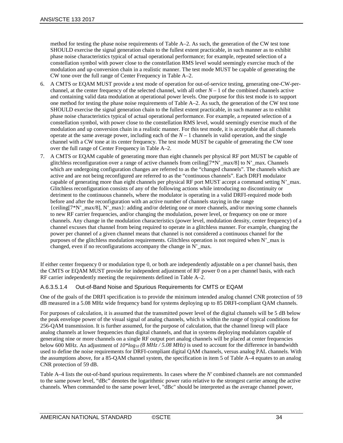method for testing the phase noise requirements of [Table](#page-36-0) A–2. As such, the generation of the CW test tone SHOULD exercise the signal generation chain to the fullest extent practicable, in such manner as to exhibit phase noise characteristics typical of actual operational performance; for example, repeated selection of a constellation symbol with power close to the constellation RMS level would seemingly exercise much of the modulation and up-conversion chain in a realistic manner. The test mode MUST be capable of generating the CW tone over the full range of Center Frequency in [Table](#page-36-0) A–2.

- 6. A CMTS or EQAM MUST provide a test mode of operation for out-of-service testing, generating one-CW-perchannel, at the center frequency of the selected channel, with all other  $N-1$  of the combined channels active and containing valid data modulation at operational power levels. One purpose for this test mode is to support one method for testing the phase noise requirements of [Table](#page-36-0) A–2. As such, the generation of the CW test tone SHOULD exercise the signal generation chain to the fullest extent practicable, in such manner as to exhibit phase noise characteristics typical of actual operational performance. For example, a repeated selection of a constellation symbol, with power close to the constellation RMS level, would seemingly exercise much of the modulation and up conversion chain in a realistic manner. For this test mode, it is acceptable that all channels operate at the same average power, including each of the  $N-1$  channels in valid operation, and the single channel with a CW tone at its center frequency. The test mode MUST be capable of generating the CW tone over the full range of Center Frequency in [Table](#page-36-0) A–2.
- 7. A CMTS or EQAM capable of generating more than eight channels per physical RF port MUST be capable of glitchless reconfiguration over a range of active channels from ceiling[7\*N'\_max/8] to N'\_max. Channels which are undergoing configuration changes are referred to as the "changed channels". The channels which are active and are not being reconfigured are referred to as the "continuous channels". Each DRFI modulator capable of generating more than eight channels per physical RF port MUST accept a command setting N'\_max. Glitchless reconfiguration consists of any of the following actions while introducing no discontinuity or detriment to the continuous channels, where the modulator is operating in a valid DRFI-required mode both before and after the reconfiguration with an active number of channels staying in the range {ceiling[7\*N'\_max/8], N'\_max}: adding and/or deleting one or more channels, and/or moving some channels to new RF carrier frequencies, and/or changing the modulation, power level, or frequency on one or more channels. Any change in the modulation characteristics (power level, modulation density, center frequency) of a channel excuses that channel from being required to operate in a glitchless manner. For example, changing the power per channel of a given channel means that channel is not considered a continuous channel for the purposes of the glitchless modulation requirements. Glitchless operation is not required when N'\_max is changed, even if no reconfigurations accompany the change in N'\_max.

If either center frequency 0 or modulation type 0, or both are independently adjustable on a per channel basis, then the CMTS or EQAM MUST provide for independent adjustment of RF power 0 on a per channel basis, with each RF carrier independently meeting the requirements defined in [Table](#page-36-0) A–2.

### A.6.3.5.1.4 Out-of-Band Noise and Spurious Requirements for CMTS or EQAM

One of the goals of the DRFI specification is to provide the minimum intended analog channel CNR protection of 59 dB measured in a 5.08 MHz wide frequency band for systems deploying up to 85 DRFI-compliant QAM channels.

For purposes of calculation, it is assumed that the transmitted power level of the digital channels will be 5 dB below the peak envelope power of the visual signal of analog channels, which is within the range of typical conditions for 256-QAM transmission. It is further assumed, for the purpose of calculation, that the channel lineup will place analog channels at lower frequencies than digital channels, and that in systems deploying modulators capable of generating nine or more channels on a single RF output port analog channels will be placed at center frequencies below 600 MHz. An adjustment of *10\*log10 (8 MHz / 5.08 MHz)* is used to account for the difference in bandwidth used to define the noise requirements for DRFI-compliant digital QAM channels, versus analog PAL channels. With the assumptions above, for a 85-QAM channel system, the specification in item 5 of [Table](#page-41-0) A–4 equates to an analog CNR protection of 59 dB.

[Table](#page-41-0) A–4 lists the out-of-band spurious requirements. In cases where the *N'* combined channels are not commanded to the same power level, "dBc" denotes the logarithmic power ratio relative to the strongest carrier among the active channels. When commanded to the same power level, "dBc" should be interpreted as the average channel power,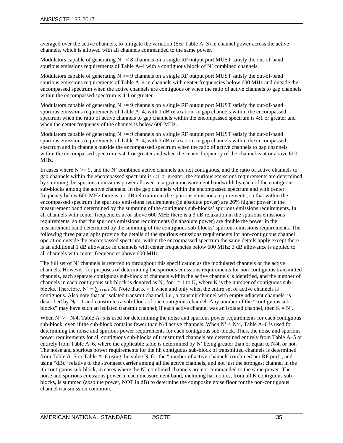averaged over the active channels, to mitigate the variation (See [Table](#page-37-0) A–3) in channel power across the active channels, which is allowed with all channels commanded to the same power.

Modulators capable of generating  $N = < 8$  channels on a single RF output port MUST satisfy the out-of-band spurious emissions requirements of [Table](#page-41-0) A–4 with a contiguous block of N' combined channels.

Modulators capable of generating  $N \ge 9$  channels on a single RF output port MUST satisfy the out-of-band spurious emissions requirements of [Table](#page-41-0) A–4 in channels with center frequencies below 600 MHz and outside the encompassed spectrum when the active channels are contiguous or when the ratio of active channels to gap channels within the encompassed spectrum is 4:1 or greater.

Modulators capable of generating  $N \ge 9$  channels on a single RF output port MUST satisfy the out-of-band spurious emissions requirements of [Table](#page-41-0) A–4, with 1 dB relaxation, in gap channels within the encompassed spectrum when the ratio of active channels to gap channels within the encompassed spectrum is 4:1 or greater and when the center frequency of the channel is below 600 MHz.

Modulators capable of generating  $N \ge 9$  channels on a single RF output port MUST satisfy the out-of-band spurious emissions requirements of [Table](#page-41-0) A–4, with 3 dB relaxation, in gap channels within the encompassed spectrum and in channels outside the encompassed spectrum when the ratio of active channels to gap channels within the encompassed spectrum is 4:1 or greater and when the center frequency of the channel is at or above 600 MHz.

In cases where  $N \ge 9$ , and the N' combined active channels are not contiguous, and the ratio of active channels to gap channels within the encompassed spectrum is 4:1 or greater, the spurious emissions requirements are determined by summing the spurious emissions power allowed in a given measurement bandwidth by each of the contiguous sub-blocks among the active channels. In the gap channels within the encompassed spectrum and with center frequency below 600 MHz there is a 1 dB relaxation in the spurious emissions requirements, so that within the encompassed spectrum the spurious emissions requirements (in absolute power) are 26% higher power in the measurement band determined by the summing of the contiguous sub-blocks' spurious emissions requirements. In all channels with center frequencies at or above 600 MHz there is a 3 dB relaxation in the spurious emissions requirements, so that the spurious emissions requirements (in absolute power) are double the power in the measurement band determined by the summing of the contiguous sub-blocks' spurious emissions requirements. The following three paragraphs provide the details of the spurious emissions requirements for non-contiguous channel operation outside the encompassed spectrum; within the encompassed spectrum the same details apply except there is an additional 1 dB allowance in channels with center frequencies below 600 MHz; 3 dB allowance is applied to all channels with center frequencies above 600 MHz.

The full set of N' channels is referred to throughout this specification as the modulated channels or the active channels. However, for purposes of determining the spurious emissions requirements for non-contiguous transmitted channels, each separate contiguous sub-block of channels within the active channels is identified, and the number of channels in each contiguous sub-block is denoted as  $N_i$ , for  $i = 1$  to K, where K is the number of contiguous subblocks. Therefore, N' =  $\sum_{i=1}^{n}$  to k N<sub>i</sub>. Note that K = 1 when and only when the entire set of active channels is contiguous. Also note that an isolated transmit channel, i.e., a transmit channel with empty adjacent channels, is described by  $N_i = 1$  and constitutes a sub-block of one contiguous channel. Any number of the "contiguous subblocks" may have such an isolated transmit channel; if each active channel was an isolated channel, then  $K = N'$ .

When  $N' \geq N/4$ , [Table A–5](#page-42-0) is used for determining the noise and spurious power requirements for each contiguous sub-block, even if the sub-block contains fewer than  $N/4$  active channels. When  $N' \le N/4$ , [Table A–6](#page-43-0) is used for determining the noise and spurious power requirements for each contiguous sub-block. Thus, the noise and spurious power requirements for all contiguous sub-blocks of transmitted channels are determined entirely from [Table A–5](#page-42-0) or entirely from [Table A–6,](#page-43-0) where the applicable table is determined by N' being greater than or equal to N/4, or not. The noise and spurious power requirements for the ith contiguous sub-block of transmitted channels is determined from [Table A–5](#page-42-0) or [Table A–6](#page-43-0) using the value  $N_i$  for the "number of active channels combined per RF port", and using "dBc" relative to the strongest carrier among all the active channels, and not just the strongest channel in the ith contiguous sub-block, in cases where the N' combined channels are not commanded to the same power. The noise and spurious emissions power in each measurement band, including harmonics, from all K contiguous subblocks, is summed (absolute power, NOT in dB) to determine the composite noise floor for the non-contiguous channel transmission condition.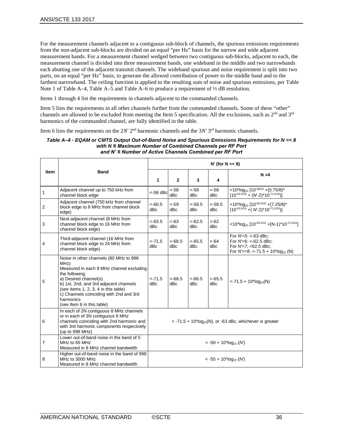For the measurement channels adjacent to a contiguous sub-block of channels, the spurious emissions requirements from the non-adjacent sub-blocks are divided on an equal "per Hz" basis for the narrow and wide adjacent measurement bands. For a measurement channel wedged between two contiguous sub-blocks, adjacent to each, the measurement channel is divided into three measurement bands, one wideband in the middle and two narrowbands each abutting one of the adjacent transmit channels. The wideband spurious and noise requirement is split into two parts, on an equal "per Hz" basis, to generate the allowed contribution of power to the middle band and to the farthest narrowband. The ceiling function is applied to the resulting sum of noise and spurious emissions, per Table Note 1 of [Table](#page-41-0) A–4, [Table A–5](#page-42-0) an[d Table A–6](#page-43-0) to produce a requirement of  $\frac{1}{2}$  dB resolution.

Items 1 through 4 list the requirements in channels adjacent to the commanded channels.

Item 5 lists the requirements in all other channels further from the commanded channels. Some of these "other" channels are allowed to be excluded from meeting the Item 5 specification. All the exclusions, such as  $2<sup>nd</sup>$  and  $3<sup>rd</sup>$ harmonics of the commanded channel, are fully identified in the table.

Item 6 lists the requirements on the 2*N'* 2nd harmonic channels and the 3*N'* 3rd harmonic channels.

#### <span id="page-41-0"></span>*Table A–4 - EQAM or CMTS Output Out-of-Band Noise and Spurious Emissions Requirements for N =< 8 with N ≡ Maximum Number of Combined Channels per RF Port and N' ≡ Number of Active Channels Combined per RF Port*

|                |                                                                                                                                                                                                                                                                                                               | $N'$ (for $N = < 8$ )                                                         |                 |                  |                         |                                                                                                                            |  |
|----------------|---------------------------------------------------------------------------------------------------------------------------------------------------------------------------------------------------------------------------------------------------------------------------------------------------------------|-------------------------------------------------------------------------------|-----------------|------------------|-------------------------|----------------------------------------------------------------------------------------------------------------------------|--|
| <b>Item</b>    | <b>Band</b>                                                                                                                                                                                                                                                                                                   | 1                                                                             | $\overline{2}$  | 3                | $\overline{\mathbf{4}}$ | N > 4                                                                                                                      |  |
| 1              | Adjacent channel up to 750 kHz from<br>channel block edge                                                                                                                                                                                                                                                     | $<$ -58 dBc                                                                   | $< -58$<br>dBc  | $< -58$<br>dBc   | $< -58$<br>dBc          | <10*log <sub>10</sub> [10 <sup>-58/10</sup> +(0.75/8)*<br>$(10^{-63.5/10} + (N-2)^* 10^{-71.5/10})$                        |  |
| $\overline{2}$ | Adjacent channel (750 kHz from channel<br>block edge to 8 MHz from channel block<br>edge)                                                                                                                                                                                                                     | $< -60.5$<br>dBc                                                              | $< -59$<br>dBc  | $< -58.5$<br>dBc | $< -58.5$<br>dBc        | $<10^{*}$ log <sub>10</sub> [10 <sup>-60.5/10</sup> + (7.25/8) <sup>*</sup><br>$(10^{-63.5/10} + (N-2)^*10^{-71.5/10})$    |  |
| 3              | Next-adjacent channel (8 MHz from<br>channel block edge to 16 MHz from<br>channel block edge)                                                                                                                                                                                                                 | $< -63.5$<br>dBc                                                              | $~<$ -63<br>dBc | < 62.5<br>dBc    | $< -62$<br>dBc          | <10*log <sub>10</sub> [10 <sup>-63.5/10</sup> + (N-1)*10 <sup>-71.5/10</sup> ]                                             |  |
| 4              | Third-adjacent channel (16 MHz from<br>channel block edge to 24 MHz from<br>channel block edge).                                                                                                                                                                                                              | < 71.5<br>dBc                                                                 | < 68.5<br>dBc   | < 65.5<br>dBc    | $< -64$<br>dBc          | For $N=5$ : <-63 dBc;<br>For $N=6$ : <-62.5 dBc;<br>For N'=7; <62.5 dBc;<br>For $N>=8$ : <-71.5 + 10*log <sub>10</sub> (N) |  |
| 5              | Noise in other channels (80 MHz to 998<br>MHz)<br>Measured in each 8 MHz channel excluding<br>the following:<br>a) Desired channel(s)<br>b) 1st, 2nd, and 3rd adjacent channels<br>(see Items 1, 2, 3, 4 in this table)<br>c) Channels coinciding with 2nd and 3rd<br>harmonics<br>(see Item 6 in this table) | < 71.5<br>dBc                                                                 | < 68.5<br>dBc   | < 66.5<br>dBc    | $< -65.5$<br>dBc        | $<$ -71.5 + 10*log <sub>10</sub> (N)                                                                                       |  |
| 6              | In each of 2N contiguous 8 MHz channels<br>or in each of 3N contiguous 8 MHz<br>channels coinciding with 2nd harmonic and<br>with 3rd harmonic components respectively<br>(up to 998 MHz)                                                                                                                     | $\epsilon$ -71.5 + 10*log <sub>10</sub> (N), or -63 dBc, whichever is greater |                 |                  |                         |                                                                                                                            |  |
| $\overline{7}$ | Lower out-of-band noise in the band of 5<br>MHz to 65 MHz<br>Measured in 8 MHz channel bandwidth                                                                                                                                                                                                              | $<$ -50 + 10*log <sub>10</sub> (N')                                           |                 |                  |                         |                                                                                                                            |  |
| 8              | Higher out-of-band noise in the band of 998<br>MHz to 3000 MHz<br>Measured in 8 MHz channel bandwidth                                                                                                                                                                                                         | $<$ -55 + 10*log <sub>10</sub> (N <sup>*</sup> )                              |                 |                  |                         |                                                                                                                            |  |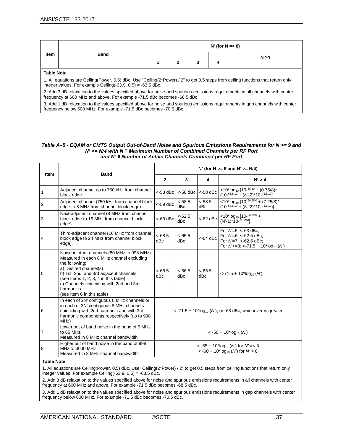|                                                                                                                                                                                                                                 | <b>Band</b> | N' (for $N = < 8$ ) |  |  |   |       |  |
|---------------------------------------------------------------------------------------------------------------------------------------------------------------------------------------------------------------------------------|-------------|---------------------|--|--|---|-------|--|
| Item                                                                                                                                                                                                                            |             |                     |  |  | 4 | N > 4 |  |
| <b>Table Note</b><br>1. All equations are Ceiling(Power, 0.5) dBc. Use "Ceiling(2*Power) / 2" to get 0.5 steps from ceiling functions that return only<br>integer values. For example Ceiling( $-63.9$ , $0.5$ ) = $-63.5$ dBc. |             |                     |  |  |   |       |  |
| 2. Add 3 dB relaxation to the values specified above for noise and spurious emissions requirements in all channels with center<br>frequency at 600 MHz and above. For example -71.5 dBc becomes -68.5 dBc.                      |             |                     |  |  |   |       |  |

3. Add 1 dB relaxation to the values specified above for noise and spurious emissions requirements in gap channels with center frequency below 600 MHz. For example -71.5 dBc becomes -70.5 dBc.

#### <span id="page-42-0"></span>*Table A–5 - EQAM or CMTS Output Out-of-Band Noise and Spurious Emissions Requirements for N >= 9 and N' >= N/4 with N ≡ Maximum Number of Combined Channels per RF Port and N' ≡ Number of Active Channels Combined per RF Port*

| <b>Item</b>    | <b>Band</b>                                                                                                                                                                                                                                                                                                | N' (for $N \ge 9$ and $N' \ge N/4$ )                                                                 |                          |                  |                                                                                                                                               |  |  |
|----------------|------------------------------------------------------------------------------------------------------------------------------------------------------------------------------------------------------------------------------------------------------------------------------------------------------------|------------------------------------------------------------------------------------------------------|--------------------------|------------------|-----------------------------------------------------------------------------------------------------------------------------------------------|--|--|
|                |                                                                                                                                                                                                                                                                                                            | $\mathbf{2}$                                                                                         | 3                        | 4                | N' > 4                                                                                                                                        |  |  |
| 1              | Adjacent channel up to 750 kHz from channel<br>block edge                                                                                                                                                                                                                                                  |                                                                                                      | $<$ -58 dBc $ $ <-58 dBc | $<$ -58 dBc      | <10*log <sub>10</sub> $[10^{-58/10} + (0.75/8)^*$<br>$(10^{-63.5/10} + (N'$ -2)*10 <sup>-71.5/10</sup> ]                                      |  |  |
| 2              | Adjacent channel (750 kHz from channel block<br>edge to 8 MHz from channel block edge)                                                                                                                                                                                                                     | $<$ -59 dBc                                                                                          | $< -58.5$<br>dBc         | $< -58.5$<br>dBc | $<$ 10*log <sub>10</sub> [10- <sup>60.5/10</sup> + (7.25/8)*<br>$(10^{-63.5/10} + (N'-2)^*10^{-71.5/10})$                                     |  |  |
| 3              | Next-adjacent channel (8 MHz from channel<br>block edge to 16 MHz from channel block<br>edge)                                                                                                                                                                                                              | $< 63$ dBc                                                                                           | < 62.5<br>dBc            | $<$ -62 dBc      | $<$ 10*log <sub>10</sub> [10-63.5/10 +<br>$(N'-1)*10-71.5/10$                                                                                 |  |  |
| 4              | Third-adjacent channel (16 MHz from channel<br>block edge to 24 MHz from channel block<br>edge).                                                                                                                                                                                                           | $< -68.5$<br>dBc                                                                                     | $< -65.5$<br>dBc         | $<$ -64 dBc      | For $N=5$ : <-63 dBc;<br>For $N'=6$ : <-62.5 dBc:<br>For $N=7$ : <-62.5 dBc:<br>For $N'>=8$ : <-71.5 + 10*log <sub>10</sub> (N <sup>2</sup> ) |  |  |
| 5              | Noise in other channels (80 MHz to 998 MHz)<br>Measured in each 8 MHz channel excluding<br>the following:<br>a) Desired channel(s)<br>b) 1st, 2nd, and 3rd adjacent channels<br>(see Items 1, 2, 3, 4 in this table)<br>c) Channels coinciding with 2nd and 3rd<br>harmonics<br>(see Item 6 in this table) | < 68.5<br>dBc                                                                                        | $< -66.5$<br>dBc         | < 65.5<br>dBc    | $\leftarrow$ 71.5 + 10*log <sub>10</sub> (N)                                                                                                  |  |  |
| 6              | In each of 2N' contiguous 8 MHz channels or<br>in each of 3N' contiguous 8 MHz channels<br>coinciding with 2nd harmonic and with 3rd<br>harmonic components respectively (up to 998)<br>MHz)                                                                                                               | $\epsilon$ -71.5 + 10*log <sub>10</sub> (N'), or -63 dBc, whichever is greater                       |                          |                  |                                                                                                                                               |  |  |
| $\overline{7}$ | Lower out of band noise in the band of 5 MHz<br>to 65 MHz<br>Measured in 8 MHz channel bandwidth                                                                                                                                                                                                           | $< -50 + 10^{*}$ log <sub>10</sub> (N <sup>2</sup> )                                                 |                          |                  |                                                                                                                                               |  |  |
| 8              | Higher out of band noise in the band of 998<br>MHz to 3000 MHz<br>Measured in 8 MHz channel bandwidth                                                                                                                                                                                                      | $<$ -55 + 10*log <sub>10</sub> (N') for N' = $<$ 8<br>$<$ -60 + 10*log <sub>10</sub> (N') for N' > 8 |                          |                  |                                                                                                                                               |  |  |
|                |                                                                                                                                                                                                                                                                                                            |                                                                                                      |                          |                  |                                                                                                                                               |  |  |

#### **Table Note**

1. All equations are Ceiling(Power, 0.5) dBc. Use "Ceiling(2\*Power) / 2" to get 0.5 steps from ceiling functions that return only integer values. For example Ceiling( $-63.9$ ,  $0.5$ ) =  $-63.5$  dBc.

2. Add 3 dB relaxation to the values specified above for noise and spurious emissions requirements in all channels with center frequency at 600 MHz and above. For example -71.5 dBc becomes -68.5 dBc.

3. Add 1 dB relaxation to the values specified above for noise and spurious emissions requirements in gap channels with center frequency below 600 MHz. For example -71.5 dBc becomes -70.5 dBc.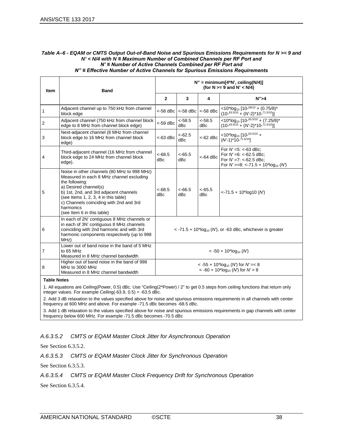#### <span id="page-43-0"></span>*Table A–6 - EQAM or CMTS Output Out-of-Band Noise and Spurious Emissions Requirements for N >= 9 and N' < N/4 with N ≡ Maximum Number of Combined Channels per RF Port and N' ≡ Number of Active Channels Combined per RF Port and N" ≡ Effective Number of Active Channels for Spurious Emissions Requirements*

| <b>Item</b> | <b>Band</b>                                                                                                                                                                                                                                                                                                | $N'' = \text{minimum}[4*N', \text{ceiling}(N/4)]$<br>(for $N >= 9$ and $N' < N/4$ )                  |                  |                  |                                                                                                                                            |  |  |
|-------------|------------------------------------------------------------------------------------------------------------------------------------------------------------------------------------------------------------------------------------------------------------------------------------------------------------|------------------------------------------------------------------------------------------------------|------------------|------------------|--------------------------------------------------------------------------------------------------------------------------------------------|--|--|
|             |                                                                                                                                                                                                                                                                                                            | $\mathbf{2}$                                                                                         | 3                | 4                | N'' > 4                                                                                                                                    |  |  |
| 1           | Adjacent channel up to 750 kHz from channel<br>block edge                                                                                                                                                                                                                                                  | $<$ -58 dBc                                                                                          | $<$ -58 dBc      | $<$ -58 dBc      | <10*log <sub>10</sub> [10- $58/10$ + (0.75/8)*<br>$(10^{-63.5/10} + (N'$ -2 <sup>*</sup> 10 <sup>-71.5/10</sup> )]                         |  |  |
| 2           | Adjacent channel (750 kHz from channel block<br>edge to 8 MHz from channel block edge)                                                                                                                                                                                                                     | <-59 dBc                                                                                             | $< -58.5$<br>dBc | $< -58.5$<br>dBc | $<$ 10*log <sub>10</sub> [10- <sup>60.5/10</sup> + (7.25/8)*<br>$(10^{-63.5/10} + (N'$ -2 <sup>*</sup> 10 <sup>-71.5/10</sup> )]           |  |  |
| 3           | Next-adjacent channel (8 MHz from channel<br>block edge to 16 MHz from channel block<br>edge)                                                                                                                                                                                                              | $<$ -63 dBc                                                                                          | $< -62.5$<br>dBc | $<$ -62 dBc      | $<$ 10*log <sub>10</sub> [10-63.5/10 +<br>$(N'$ -1) <sup>*</sup> 10- <sup>71.5/10</sup> ]                                                  |  |  |
| 4           | Third-adjacent channel (16 MHz from channel<br>block edge to 24 MHz from channel block<br>edge).                                                                                                                                                                                                           | < 68.5<br>dBc                                                                                        | $< -65.5$<br>dBc | $<$ -64 dBc      | For $N' = 5$ : <-63 dBc;<br>For $N' = 6$ : <-62.5 dBc;<br>For $N' = 7$ : <- 62.5 dBc;<br>For $N' = 8$ : <-71.5 + 10*log <sub>10</sub> (N') |  |  |
| 5           | Noise in other channels (80 MHz to 998 MHz)<br>Measured in each 8 MHz channel excluding<br>the following:<br>a) Desired channel(s)<br>b) 1st, 2nd, and 3rd adjacent channels<br>(see Items 1, 2, 3, 4 in this table)<br>c) Channels coinciding with 2nd and 3rd<br>harmonics<br>(see Item 6 in this table) | < 68.5<br>dBc                                                                                        | $< -66.5$<br>dBc | < 65.5<br>dBc    | $<$ -71.5 + 10*log10 (N')                                                                                                                  |  |  |
| 6           | In each of 2N' contiguous 8 MHz channels or<br>in each of 3N' contiguous 8 MHz channels<br>coinciding with 2nd harmonic and with 3rd<br>harmonic components respectively (up to 998<br>MHz)                                                                                                                | $\epsilon$ -71.5 + 10*log <sub>10</sub> (N'), or -63 dBc, whichever is greater                       |                  |                  |                                                                                                                                            |  |  |
| 7           | Lower out of band noise in the band of 5 MHz<br>to 65 MHz<br>Measured in 8 MHz channel bandwidth                                                                                                                                                                                                           | $< -50 + 10^{*}$ log <sub>10</sub> (N')                                                              |                  |                  |                                                                                                                                            |  |  |
| 8           | Higher out of band noise in the band of 998<br>MHz to 3000 MHz<br>Measured in 8 MHz channel bandwidth                                                                                                                                                                                                      | $<$ -55 + 10*log <sub>10</sub> (N') for N' = $<$ 8<br>$<$ -60 + 10*log <sub>10</sub> (N') for N' > 8 |                  |                  |                                                                                                                                            |  |  |

#### **Table Notes**

1. All equations are Ceiling(Power, 0.5) dBc. Use "Ceiling(2\*Power) / 2" to get 0.5 steps from ceiling functions that return only integer values. For example Ceiling(-63.9, 0.5) = -63.5 dBc.

2. Add 3 dB relaxation to the values specified above for noise and spurious emissions requirements in all channels with center frequency at 600 MHz and above. For example -71.5 dBc becomes -68.5 dBc.

3. Add 1 dB relaxation to the values specified above for noise and spurious emissions requirements in gap channels with center frequency below 600 MHz. For example -71.5 dBc becomes -70.5 dBc

# *A.6.3.5.2 CMTS or EQAM Master Clock Jitter for Asynchronous Operation*

See Section [6.3.5.2.](#page-26-0)

# *A.6.3.5.3 CMTS or EQAM Master Clock Jitter for Synchronous Operation*

See Section [6.3.5.3.](#page-27-1)

# *A.6.3.5.4 CMTS or EQAM Master Clock Frequency Drift for Synchronous Operation*

See Section [6.3.5.4.](#page-27-2)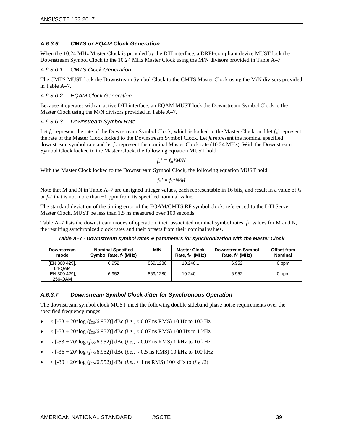# *A.6.3.6 CMTS or EQAM Clock Generation*

When the 10.24 MHz Master Clock is provided by the DTI interface, a DRFI-compliant device MUST lock the Downstream Symbol Clock to the 10.24 MHz Master Clock using the M/N divisors provided in [Table](#page-44-0) A–7.

*A.6.3.6.1 CMTS Clock Generation*

The CMTS MUST lock the Downstream Symbol Clock to the CMTS Master Clock using the M/N divisors provided in [Table](#page-44-0) A–7.

### *A.6.3.6.2 EQAM Clock Generation*

Because it operates with an active DTI interface, an EQAM MUST lock the Downstream Symbol Clock to the Master Clock using the M/N divisors provided in [Table](#page-44-0) A–7.

#### *A.6.3.6.3 Downstream Symbol Rate*

Let *f*<sub>b</sub>' represent the rate of the Downstream Symbol Clock, which is locked to the Master Clock, and let *f*<sub>m</sub>' represent the rate of the Master Clock locked to the Downstream Symbol Clock. Let *f*<sup>b</sup> represent the nominal specified downstream symbol rate and let  $f_m$  represent the nominal Master Clock rate (10.24 MHz). With the Downstream Symbol Clock locked to the Master Clock, the following equation MUST hold:

$$
f_b' = f_m^* M/N
$$

With the Master Clock locked to the Downstream Symbol Clock, the following equation MUST hold:

 $f_m' = f_b * N/M$ 

Note that M and N in [Table](#page-44-0) A–7 are unsigned integer values, each representable in 16 bits, and result in a value of *fb'* or  $f_m$ ' that is not more than  $\pm 1$  ppm from its specified nominal value.

The standard deviation of the timing error of the EQAM/CMTS RF symbol clock, referenced to the DTI Server Master Clock, MUST be less than 1.5 ns measured over 100 seconds.

[Table](#page-44-0) A–7 lists the downstream modes of operation, their associated nominal symbol rates,  $f_b$ , values for M and N, the resulting synchronized clock rates and their offsets from their nominal values.

*Table A–7 - Downstream symbol rates & parameters for synchronization with the Master Clock*

<span id="page-44-0"></span>

| <b>Downstream</b><br>mode | <b>Nominal Specified</b><br>Symbol Rate, $fb$ (MHz) | M/N      | <b>Master Clock</b><br>Rate, $f_m'$ (MHz) | <b>Downstream Symbol</b><br>Rate, $f_{b}$ ' (MHz) | Offset from<br><b>Nominal</b> |
|---------------------------|-----------------------------------------------------|----------|-------------------------------------------|---------------------------------------------------|-------------------------------|
| [EN 300 429],<br>64-QAM   | 6.952                                               | 869/1280 | 10.240                                    | 6.952                                             | 0 ppm                         |
| [EN 300 429].<br>256-QAM  | 6.952                                               | 869/1280 | 10.240                                    | 6.952                                             | 0 ppm                         |

### *A.6.3.7 Downstream Symbol Clock Jitter for Synchronous Operation*

The downstream symbol clock MUST meet the following double sideband phase noise requirements over the specified frequency ranges:

- < [-53 + 20\*log (*fDS*/6.952)] dBc (*i.e.,* < 0.07 ns RMS) 10 Hz to 100 Hz
- < [-53 + 20\*log (*fDS*/6.952)] dBc (*i.e.,* < 0.07 ns RMS) 100 Hz to 1 kHz
- < [-53 + 20\*log (*fDS*/6.952)] dBc (*i.e.,* < 0.07 ns RMS) 1 kHz to 10 kHz
- $\langle$  [-36 + 20\*log (*f<sub>DS</sub>*/6.952)] dBc (*i.e.*,  $\langle$  0.5 ns RMS) 10 kHz to 100 kHz
- $\epsilon$  [-30 + 20\*log (*f<sub>DS</sub>*/6.952)] dBc (*i.e.*,  $\epsilon$  1 ns RMS) 100 kHz to (*f<sub>DS</sub>*/2)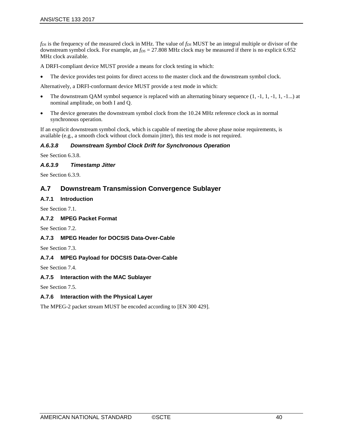*f<sub>DS</sub>* is the frequency of the measured clock in MHz. The value of *f<sub>DS</sub>* MUST be an integral multiple or divisor of the downstream symbol clock. For example, an  $f_{DS} = 27.808$  MHz clock may be measured if there is no explicit 6.952 MHz clock available.

A DRFI-compliant device MUST provide a means for clock testing in which:

The device provides test points for direct access to the master clock and the downstream symbol clock.

Alternatively, a DRFI-conformant device MUST provide a test mode in which:

- The downstream QAM symbol sequence is replaced with an alternating binary sequence (1, -1, 1, -1, 1, -1...) at nominal amplitude, on both I and Q.
- The device generates the downstream symbol clock from the 10.24 MHz reference clock as in normal synchronous operation.

If an explicit downstream symbol clock, which is capable of meeting the above phase noise requirements, is available (e.g., a smooth clock without clock domain jitter), this test mode is not required.

# *A.6.3.8 Downstream Symbol Clock Drift for Synchronous Operation*

See Section [6.3.8.](#page-28-1)

### *A.6.3.9 Timestamp Jitter*

See Section [6.3.9.](#page-28-2)

# <span id="page-45-0"></span>**A.7 Downstream Transmission Convergence Sublayer**

# <span id="page-45-1"></span>**A.7.1 Introduction**

See Section [7.1.](#page-30-1)

# <span id="page-45-2"></span>**A.7.2 MPEG Packet Format**

See Section [7.2.](#page-30-2)

# <span id="page-45-3"></span>**A.7.3 MPEG Header for DOCSIS Data-Over-Cable**

See Section [7.3.](#page-30-3)

# <span id="page-45-4"></span>**A.7.4 MPEG Payload for DOCSIS Data-Over-Cable**

See Section [7.4.](#page-31-0)

# <span id="page-45-5"></span>**A.7.5 Interaction with the MAC Sublayer**

See Section [7.5.](#page-31-3)

### <span id="page-45-6"></span>**A.7.6 Interaction with the Physical Layer**

The MPEG-2 packet stream MUST be encoded according t[o \[EN 300 429\].](#page-33-7)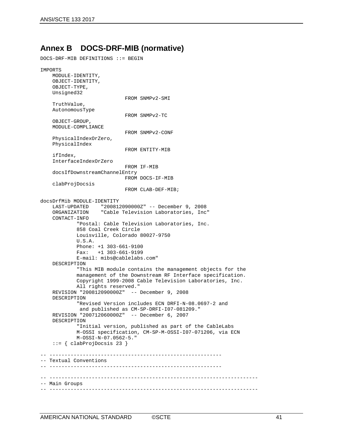# <span id="page-46-0"></span>**Annex B DOCS-DRF-MIB (normative)**

DOCS-DRF-MIB DEFINITIONS ::= BEGIN

```
IMPORTS
     MODULE-IDENTITY, 
     OBJECT-IDENTITY,
     OBJECT-TYPE, 
     Unsigned32
                              FROM SNMPv2-SMI 
     TruthValue,
     AutonomousType
                               FROM SNMPv2-TC 
     OBJECT-GROUP, 
     MODULE-COMPLIANCE 
                               FROM SNMPv2-CONF
     PhysicalIndexOrZero,
     PhysicalIndex
                               FROM ENTITY-MIB
     ifIndex,
     InterfaceIndexOrZero
                               FROM IF-MIB
     docsIfDownstreamChannelEntry
                               FROM DOCS-IF-MIB
     clabProjDocsis
                              FROM CLAB-DEF-MIB;
docsDrfMib MODULE-IDENTITY 
    LAST-UPDATED "2008120900002" -- December 9, 2008<br>ORGANIZATION "Cable Television Laboratories, Inc
                     "Cable Television Laboratories, Inc"
     CONTACT-INFO 
              "Postal: Cable Television Laboratories, Inc. 
              858 Coal Creek Circle 
             Louisville, Colorado 80027-9750 
             U.S.A. 
             Phone: +1 303-661-9100 
              Fax: +1 303-661-9199 
              E-mail: mibs@cablelabs.com" 
     DESCRIPTION 
              "This MIB module contains the management objects for the 
              management of the Downstream RF Interface specification.
             Copyright 1999-2008 Cable Television Laboratories, Inc.
             All rights reserved."
     REVISION "200812090000Z" -- December 9, 2008
     DESCRIPTION 
              "Revised Version includes ECN DRFI-N-08.0697-2 and
              and published as CM-SP-DRFI-I07-081209."
     REVISION "200712060000Z" -- December 6, 2007
     DESCRIPTION 
              "Initial version, published as part of the CableLabs 
              M-OSSI specification, CM-SP-M-OSSI-I07-071206, via ECN
              M-OSSI-N-07.0562-5."
     ::= { clabProjDocsis 23 }
-- ---------------------------------------------------------
-- Textual Conventions
-- ---------------------------------------------------------
-- ---------------------------------------------------------------------
-- Main Groups
-- ---------------------------------------------------------------------
```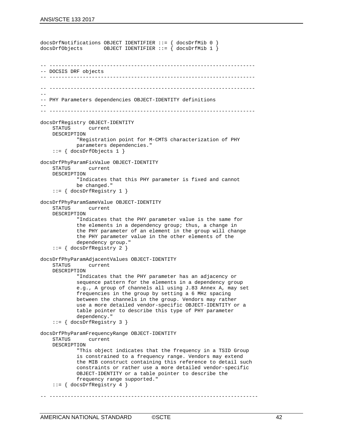```
docsDrfNotifications OBJECT IDENTIFIER ::= { docsDrfMib 0 }
                     OBJECT IDENTIFIER ::= { docsDrfMib 1 }
-- --------------------------------------------------------------------
-- DOCSIS DRF objects 
-- --------------------------------------------------------------------
-- --------------------------------------------------------------------
--
-- PHY Parameters dependencies OBJECT-IDENTITY definitions
--
   -- --------------------------------------------------------------------
docsDrfRegistry OBJECT-IDENTITY
               current
    DESCRIPTION
             "Registration point for M-CMTS characterization of PHY 
             parameters dependencies."
     ::= { docsDrfObjects 1 }
docsDrfPhyParamFixValue OBJECT-IDENTITY
              current
     DESCRIPTION
             "Indicates that this PHY parameter is fixed and cannot
             be changed."
     ::= { docsDrfRegistry 1 }
docsDrfPhyParamSameValue OBJECT-IDENTITY
                current
     DESCRIPTION
             "Indicates that the PHY parameter value is the same for
             the elements in a dependency group; thus, a change in 
             the PHY parameter of an element in the group will change
             the PHY parameter value in the other elements of the
             dependency group."
     ::= { docsDrfRegistry 2 }
docsDrfPhyParamAdjacentValues OBJECT-IDENTITY
            current
     DESCRIPTION
             "Indicates that the PHY parameter has an adjacency or
             sequence pattern for the elements in a dependency group
             e.g., A group of channels all using J.83 Annex A, may set 
             frequencies in the group by setting a 6 MHz spacing 
             between the channels in the group. Vendors may rather
             use a more detailed vendor-specific OBJECT-IDENTITY or a
             table pointer to describe this type of PHY parameter 
             dependency."
     ::= { docsDrfRegistry 3 }
docsDrfPhyParamFrequencyRange OBJECT-IDENTITY
     STATUS current
    DESCRIPTION
             "This object indicates that the frequency in a TSID Group
             is constrained to a frequency range. Vendors may extend
             the MIB construct containing this reference to detail such 
             constraints or rather use a more detailed vendor-specific 
             OBJECT-IDENTITY or a table pointer to describe the 
             frequency range supported."
    ::= { docsDrfRegistry 4 }
  -- ---------------------------------------------------------------------
```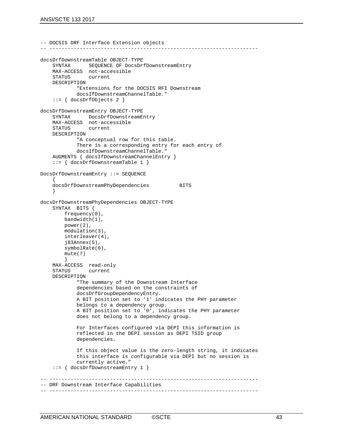```
-- DOCSIS DRF Interface Extension objects 
     -- ---------------------------------------------------------------------
docsDrfDownstreamTable OBJECT-TYPE
     SYNTAX SEQUENCE OF DocsDrfDownstreamEntry
     MAX-ACCESS not-accessible
                current
     DESCRIPTION
              "Extensions for the DOCSIS RFI Downstream
              docsIfDownstreamChannelTable."
    ::= { docsDrfObjects 2 }
docsDrfDownstreamEntry OBJECT-TYPE<br>SYNTAX DocsDrfDownstreamE
               DocsDrfDownstreamEntry
     MAX-ACCESS not-accessible
                current
     DESCRIPTION
              "A conceptual row for this table.
              There is a corresponding entry for each entry of 
              docsIfDownstreamChannelTable."
     AUGMENTS { docsIfDownstreamChannelEntry } 
     ::= { docsDrfDownstreamTable 1 }
DocsDrfDownstreamEntry ::= SEQUENCE
\mathcal{L}docsDrfDownstreamPhyDependencies BITS
     }
docsDrfDownstreamPhyDependencies OBJECT-TYPE
     SYNTAX BITS {
         frequency(0),
         bandwidth(1),
         power(2),
         modulation(3),
         interleaver(4),
        i83Annex(5).
         symbolRate(6),
         mute(7)
 }
    MAX-ACCESS read-only<br>STATUS current
                 current.
     DESCRIPTION 
              "The summary of the Downstream Interface 
              dependencies based on the constraints of 
              docsDrfGroupDependencyEntry.
              A BIT position set to '1' indicates the PHY parameter
             belongs to a dependency group.
              A BIT position set to '0', indicates the PHY parameter
              does not belong to a dependency group.
              For Interfaces configured via DEPI this information is 
              reflected in the DEPI session as DEPI TSID group 
              dependencies. 
              If this object value is the zero-length string, it indicates 
              this interface is configurable via DEPI but no session is
              currently active."
     ::= { docsDrfDownstreamEntry 1 }
 -- ---------------------------------------------------------------------
-- DRF Downstream Interface Capabilities
                                                 -- ---------------------------------------------------------------------
```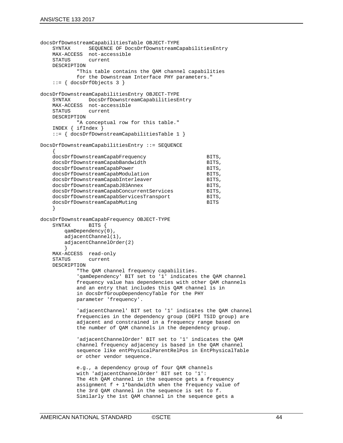```
docsDrfDownstreamCapabilitiesTable OBJECT-TYPE
                SEQUENCE OF DocsDrfDownstreamCapabilitiesEntry
     MAX-ACCESS not-accessible
     STATUS current
     DESCRIPTION
              "This table contains the QAM channel capabilities
             for the Downstream Interface PHY parameters."
     ::= { docsDrfObjects 3 }
docsDrfDownstreamCapabilitiesEntry OBJECT-TYPE
               DocsDrfDownstreamCapabilitiesEntry
     MAX-ACCESS not-accessible
                current
     DESCRIPTION
              "A conceptual row for this table."
     INDEX { ifIndex }
     ::= { docsDrfDownstreamCapabilitiesTable 1 }
DocsDrfDownstreamCapabilitiesEntry ::= SEQUENCE
\mathcal{L} docsDrfDownstreamCapabFrequency BITS,
    docsDrfDownstreamCapabBandwidth BITS,<br>docsDrfDownstreamCapabPower BITS,
     docsDrfDownstreamCapabPower BITS,
     docsDrfDownstreamCapabModulation BITS,
    docsDrfDownstreamCapabInterleaver
    docsDrfDownstreamCapabJ83Annex<br>docsDrfDownstreamCapabConcurrentServices BITS.
    docsDrfDownstreamCapabConcurrentServices BITS,<br>docsDrfDownstreamCapabServicesTransport RITS.
    docsDrfDownstreamCapabServicesTransport<br>docsDrfDownstreamCapabMuting
    docsDrfDownstreamCapabMuting
 }
docsDrfDownstreamCapabFrequency OBJECT-TYPE<br>SYNTAX BITS {
               BITS {
         qamDependency(0),
         adjacentChannel(1),
         adjacentChannelOrder(2)
 }
    MAX-ACCESS read-only<br>STATUS current
                current.
     DESCRIPTION 
             "The QAM channel frequency capabilities. 
              'qamDependency' BIT set to '1' indicates the QAM channel
             frequency value has dependencies with other QAM channels 
             and an entry that includes this QAM channel is in 
             in docsDrfGroupDependencyTable for the PHY 
             parameter 'frequency'.
              'adjacentChannel' BIT set to '1' indicates the QAM channel
             frequencies in the dependency group (DEPI TSID group) are 
             adjacent and constrained in a frequency range based on 
             the number of QAM channels in the dependency group.
              'adjacentChannelOrder' BIT set to '1' indicates the QAM 
             channel frequency adjacency is based in the QAM channel 
             sequence like entPhysicalParentRelPos in EntPhysicalTable
             or other vendor sequence.
             e.g., a dependency group of four QAM channels 
             with 'adjacentChannelOrder' BIT set to '1':
             The 4th QAM channel in the sequence gets a frequency
            assignment f + 1*bandwidth when the frequency value of
             the 3rd QAM channel in the sequence is set to f. 
             Similarly the 1st QAM channel in the sequence gets a
```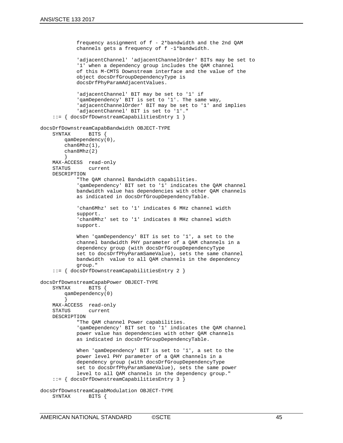```
 frequency assignment of f - 2*bandwidth and the 2nd QAM 
             channels gets a frequency of f -1*bandwidth.
             'adjacentChannel' 'adjacentChannelOrder' BITs may be set to
             '1' when a dependency group includes the QAM channel
             of this M-CMTS Downstream interface and the value of the 
             object docsDrfGroupDependencyType is 
             docsDrfPhyParamAdjacentValues.
             'adjacentChannel' BIT may be set to '1' if 
             'qamDependency' BIT is set to '1'. The same way, 
             'adjacentChannelOrder' BIT may be set to '1' and implies
             'adjacentChannel' BIT is set to '1'."
     ::= { docsDrfDownstreamCapabilitiesEntry 1 }
docsDrfDownstreamCapabBandwidth OBJECT-TYPE<br>SYNTAX BITS {
    SYNTAX
         qamDependency(0),
         chan6Mhz(1),
         chan8Mhz(2)
 }
 MAX-ACCESS read-only
     STATUS current
     DESCRIPTION 
             "The QAM channel Bandwidth capabilities.
              'qamDependency' BIT set to '1' indicates the QAM channel
             bandwidth value has dependencies with other QAM channels 
             as indicated in docsDrfGroupDependencyTable.
             'chan6Mhz' set to '1' indicates 6 MHz channel width 
             support.
             'chan8Mhz' set to '1' indicates 8 MHz channel width 
             support.
             When 'qamDependency' BIT is set to '1', a set to the 
             channel bandwidth PHY parameter of a QAM channels in a
             dependency group (with docsDrfGroupDependencyType
             set to docsDrfPhyParamSameValue), sets the same channel 
             bandwidth value to all QAM channels in the dependency
             group."
     ::= { docsDrfDownstreamCapabilitiesEntry 2 }
docsDrfDownstreamCapabPower OBJECT-TYPE
               RITS {
         qamDependency(0)
 }
    MAX-ACCESS read-only<br>STATUS current
                current
     DESCRIPTION 
             "The QAM channel Power capabilities.
             'qamDependency' BIT set to '1' indicates the QAM channel
             power value has dependencies with other QAM channels 
             as indicated in docsDrfGroupDependencyTable.
             When 'qamDependency' BIT is set to '1', a set to the 
             power level PHY parameter of a QAM channels in a
             dependency group (with docsDrfGroupDependencyType
             set to docsDrfPhyParamSameValue), sets the same power 
             level to all QAM channels in the dependency group."
     ::= { docsDrfDownstreamCapabilitiesEntry 3 }
docsDrfDownstreamCapabModulation OBJECT-TYPE
```

```
BITS \{
```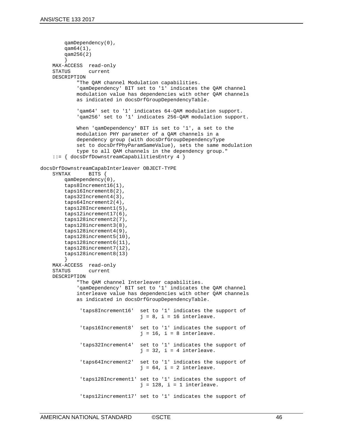```
 qamDependency(0),
         qam64(1),
         qam256(2)
 }
 MAX-ACCESS read-only
     STATUS current
     DESCRIPTION 
             "The QAM channel Modulation capabilities.
             'qamDependency' BIT set to '1' indicates the QAM channel
             modulation value has dependencies with other QAM channels
             as indicated in docsDrfGroupDependencyTable.
             'qam64' set to '1' indicates 64-QAM modulation support.
             'qam256' set to '1' indicates 256-QAM modulation support.
             When 'qamDependency' BIT is set to '1', a set to the 
             modulation PHY parameter of a QAM channels in a 
             dependency group (with docsDrfGroupDependencyType
             set to docsDrfPhyParamSameValue), sets the same modulation
             type to all QAM channels in the dependency group."
     ::= { docsDrfDownstreamCapabilitiesEntry 4 }
docsDrfDownstreamCapabInterleaver OBJECT-TYPE
                BITS {
         qamDependency(0),
         taps8Increment16(1),
         taps16Increment8(2),
         taps32Increment4(3),
         taps64Increment2(4),
         taps128Increment1(5),
         taps12increment17(6),
         taps128increment2(7),
         taps128increment3(8),
         taps128increment4(9),
         taps128increment5(10),
         taps128increment6(11),
         taps128increment7(12),
         taps128increment8(13)
 }
    MAX-ACCESS read-only<br>STATUS current
                current
     DESCRIPTION 
             "The QAM channel Interleaver capabilities.
             'qamDependency' BIT set to '1' indicates the QAM channel
             interleave value has dependencies with other QAM channels
             as indicated in docsDrfGroupDependencyTable.
              'taps8Increment16' set to '1' indicates the support of
                                  j = 8, i = 16 interleave.
              'taps16Increment8' set to '1' indicates the support of
                                  j = 16, i = 8 interleave.
              'taps32Increment4' set to '1' indicates the support of
                                  j = 32, i = 4 interleave.
              'taps64Increment2' set to '1' indicates the support of
                                  j = 64, i = 2 interleave.
              'taps128Increment1' set to '1' indicates the support of
                                  j = 128, i = 1 interleave.
              'taps12increment17' set to '1' indicates the support of
```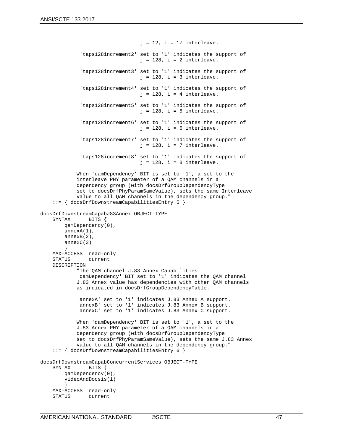```
j = 12, i = 17 interleave.
              'taps128increment2' set to '1' indicates the support of
                                  j = 128, i = 2 interleave.
              'taps128increment3' set to '1' indicates the support of
                                  j = 128, i = 3 interleave.
               'taps128increment4' set to '1' indicates the support of
                                  j = 128, i = 4 interleave.
              'taps128increment5' set to '1' indicates the support of
                                  j = 128, i = 5 interleave.
               'taps128increment6' set to '1' indicates the support of
                                  j = 128, i = 6 interleave.
              'taps128increment7' set to '1' indicates the support of
                                  j = 128, i = 7 interleave.
              'taps128increment8' set to '1' indicates the support of
                                  j = 128, i = 8 interleave.
             When 'qamDependency' BIT is set to '1', a set to the 
             interleave PHY parameter of a QAM channels in a
             dependency group (with docsDrfGroupDependencyType
             set to docsDrfPhyParamSameValue), sets the same Interleave 
             value to all QAM channels in the dependency group."
     ::= { docsDrfDownstreamCapabilitiesEntry 5 }
docsDrfDownstreamCapabJ83Annex OBJECT-TYPE<br>SYNTAX BITS {
                BITS {
         qamDependency(0),
         annexA(1),
         annexB(2),
         annexC(3)
 }
    MAX-ACCESS read-only<br>STATUS current
                current
     DESCRIPTION 
             "The QAM channel J.83 Annex Capabilities.
             'qamDependency' BIT set to '1' indicates the QAM channel
             J.83 Annex value has dependencies with other QAM channels
             as indicated in docsDrfGroupDependencyTable.
             'annexA' set to '1' indicates J.83 Annex A support.
            'annexB' set to '1' indicates J.83 Annex B support.
             'annexC' set to '1' indicates J.83 Annex C support.
             When 'qamDependency' BIT is set to '1', a set to the 
             J.83 Annex PHY parameter of a QAM channels in a
             dependency group (with docsDrfGroupDependencyType
             set to docsDrfPhyParamSameValue), sets the same J.83 Annex
             value to all QAM channels in the dependency group."
     ::= { docsDrfDownstreamCapabilitiesEntry 6 }
docsDrfDownstreamCapabConcurrentServices OBJECT-TYPE
    SYNTAX
         qamDependency(0),
         videoAndDocsis(1)
 }
     MAX-ACCESS read-only
                current
```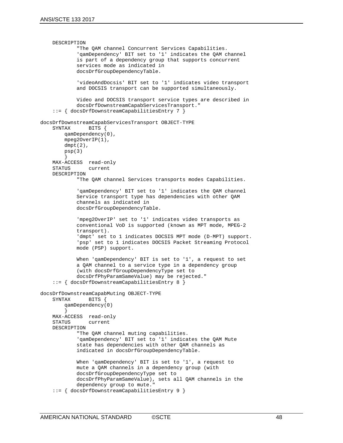```
 DESCRIPTION 
             "The QAM channel Concurrent Services Capabilities.
             'qamDependency' BIT set to '1' indicates the QAM channel
             is part of a dependency group that supports concurrent 
             services mode as indicated in 
             docsDrfGroupDependencyTable.
             'videoAndDocsis' BIT set to '1' indicates video transport
             and DOCSIS transport can be supported simultaneously.
             Video and DOCSIS transport service types are described in
             docsDrfDownstreamCapabServicesTransport."
     ::= { docsDrfDownstreamCapabilitiesEntry 7 }
docsDrfDownstreamCapabServicesTransport OBJECT-TYPE
                BITS {
         qamDependency(0),
         mpeg2OverIP(1),
        dmpt(2),
         psp(3)
 }
 MAX-ACCESS read-only
     STATUS current
     DESCRIPTION 
             "The QAM channel Services transports modes Capabilities.
             'qamDependency' BIT set to '1' indicates the QAM channel
             Service transport type has dependencies with other QAM 
             channels as indicated in 
             docsDrfGroupDependencyTable.
             'mpeg2OverIP' set to '1' indicates video transports as 
             conventional VoD is supported (known as MPT mode, MPEG-2
             transport).
             'dmpt' set to 1 indicates DOCSIS MPT mode (D-MPT) support.
             'psp' set to 1 indicates DOCSIS Packet Streaming Protocol
             mode (PSP) support.
             When 'qamDependency' BIT is set to '1', a request to set
             a QAM channel to a service type in a dependency group 
             (with docsDrfGroupDependencyType set to 
             docsDrfPhyParamSameValue) may be rejected."
     ::= { docsDrfDownstreamCapabilitiesEntry 8 }
docsDrfDownstreamCapabMuting OBJECT-TYPE
                BITS {
         qamDependency(0)
 }
 MAX-ACCESS read-only
     STATUS current
     DESCRIPTION 
             "The QAM channel muting capabilities.
             'qamDependency' BIT set to '1' indicates the QAM Mute
             state has dependencies with other QAM channels as 
             indicated in docsDrfGroupDependencyTable.
             When 'qamDependency' BIT is set to '1', a request to 
             mute a QAM channels in a dependency group (with 
             docsDrfGroupDependencyType set to 
             docsDrfPhyParamSameValue), sets all QAM channels in the 
             dependency group to mute."
     ::= { docsDrfDownstreamCapabilitiesEntry 9 }
```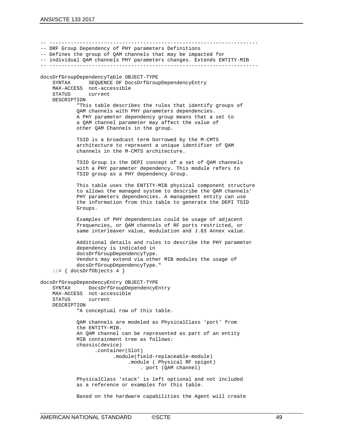-- --------------------------------------------------------------------- -- DRF Group Dependency of PHY parameters Definitions -- Defines the group of QAM channels that may be impacted for -- individual QAM channels PHY parameters changes. Extends ENTITY-MIB -- -----------------------------docsDrfGroupDependencyTable OBJECT-TYPE SEQUENCE OF DocsDrfGroupDependencyEntry MAX-ACCESS not-accessible current DESCRIPTION "This table describes the rules that identify groups of QAM channels with PHY parameters dependencies. A PHY parameter dependency group means that a set to a QAM channel parameter may affect the value of other QAM Channels in the group. TSID is a broadcast term borrowed by the M-CMTS architecture to represent a unique identifier of QAM channels in the M-CMTS architecture. TSID Group is the DEPI concept of a set of QAM channels with a PHY parameter dependency. This module refers to TSID group as a PHY dependency Group. This table uses the ENTITY-MIB physical component structure to allows the managed system to describe the QAM channels' PHY parameters dependencies. A management entity can use the information from this table to generate the DEPI TSID Groups. Examples of PHY dependencies could be usage of adjacent frequencies, or QAM channels of RF ports restricted, or same interleaver value, modulation and J.83 Annex value. Additional details and rules to describe the PHY parameter dependency is indicated in docsDrfGroupDependencyType. Vendors may extend via other MIB modules the usage of docsDrfGroupDependencyType." ::= { docsDrfObjects 4 } docsDrfGroupDependencyEntry OBJECT-TYPE DocsDrfGroupDependencyEntry MAX-ACCESS not-accessible<br>STATUS current current. DESCRIPTION "A conceptual row of this table. QAM channels are modeled as PhysicalClass 'port' from the ENTITY-MIB. An QAM channel can be represented as part of an entity MIB containment tree as follows: chassis(device) .container(Slot) .module(field-replaceable-module) .module ( Physical RF spigot) . port (QAM channel) PhysicalClass 'stack' is left optional and not included as a reference or examples for this table. Based on the hardware capabilities the Agent will create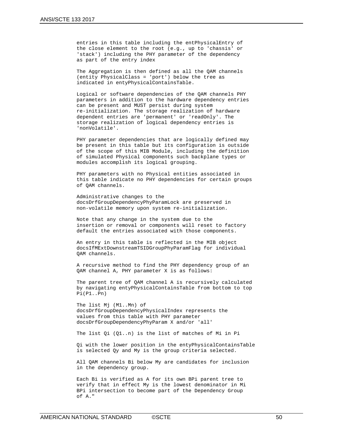entries in this table including the entPhysicalEntry of the close element to the root (e.g., up to 'chassis' or 'stack') including the PHY parameter of the dependency as part of the entry index

 The Aggregation is then defined as all the QAM channels (entity PhysicalClass = 'port') below the tree as indicated in entyPhysicalContainsTable.

 Logical or software dependencies of the QAM channels PHY parameters in addition to the hardware dependency entries can be present and MUST persist during system re-initialization. The storage realization of hardware dependent entries are 'permanent' or 'readOnly'. The storage realization of logical dependency entries is 'nonVolatile'.

 PHY parameter dependencies that are logically defined may be present in this table but its configuration is outside of the scope of this MIB Module, including the definition of simulated Physical components such backplane types or modules accomplish its logical grouping.

 PHY parameters with no Physical entities associated in this table indicate no PHY dependencies for certain groups of QAM channels.

 Administrative changes to the docsDrfGroupDependencyPhyParamLock are preserved in non-volatile memory upon system re-initialization.

 Note that any change in the system due to the insertion or removal or components will reset to factory default the entries associated with those components.

 An entry in this table is reflected in the MIB object docsIfMExtDownstreamTSIDGroupPhyParamFlag for individual QAM channels.

 A recursive method to find the PHY dependency group of an QAM channel A, PHY parameter X is as follows:

 The parent tree of QAM channel A is recursively calculated by navigating entyPhysicalContainsTable from bottom to top Pi(P1..Pn)

 The list Mj (M1..Mn) of docsDrfGroupDependencyPhysicalIndex represents the values from this table with PHY parameter docsDrfGroupDependencyPhyParam X and/or 'all'

The list Qi (Q1..n) is the list of matches of Mi in Pi

 Qi with the lower position in the entyPhysicalContainsTable is selected Qy and My is the group criteria selected.

 All QAM channels Bi below My are candidates for inclusion in the dependency group.

 Each Bi is verified as A for its own BPi parent tree to verify that in effect My is the lowest denominator in Mi BPi intersection to become part of the Dependency Group of A."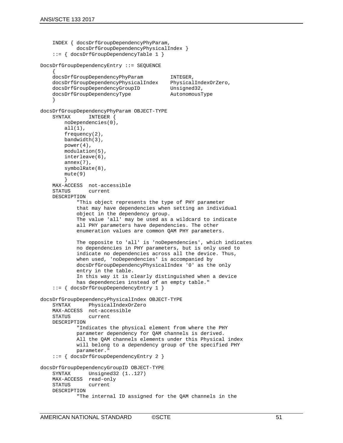```
 INDEX { docsDrfGroupDependencyPhyParam, 
              docsDrfGroupDependencyPhysicalIndex }
     ::= { docsDrfGroupDependencyTable 1 }
DocsDrfGroupDependencyEntry ::= SEQUENCE
\mathcal{L}docsDrfGroupDependencyPhyParam INTEGER,<br>docsDrfGroupDependencyPhysicalIndex PhysicalIndexOrZero,
    docsDrfGroupDependencyPhysicalIndex PhysicalInd<br>docsDrfGroupDependencyGroupID Unsigned32,
    docsDrfGroupDependencyGroupID Unsigned32,<br>docsDrfGroupDependencyType AutonomousType
    docsDrfGroupDependencyType
 }
docsDrfGroupDependencyPhyParam OBJECT-TYPE<br>SYNTAX INTEGER {
                  INTEGER {
         noDependencies(0),
         all(1),
          frequency(2),
          bandwidth(3),
          power(4),
         modulation(5),
          interleave(6),
          annex(7),
          symbolRate(8),
         mute(9) }
    MAX-ACCESS not-accessible<br>STATUS current
                  current
     DESCRIPTION 
               "This object represents the type of PHY parameter 
              that may have dependencies when setting an individual 
              object in the dependency group.
              The value 'all' may be used as a wildcard to indicate
              all PHY parameters have dependencies. The other 
              enumeration values are common QAM PHY parameters.
              The opposite to 'all' is 'noDependencies', which indicates
              no dependencies in PHY parameters, but is only used to 
              indicate no dependencies across all the device. Thus,
              when used, 'noDependencies' is accompanied by 
              docsDrfGroupDependencyPhysicalIndex '0' as the only
              entry in the table. 
              In this way it is clearly distinguished when a device
              has dependencies instead of an empty table." 
     ::= { docsDrfGroupDependencyEntry 1 }
docsDrfGroupDependencyPhysicalIndex OBJECT-TYPE
                 PhysicalIndexOrZero
     MAX-ACCESS not-accessible
    STATUS
     DESCRIPTION 
               "Indicates the physical element from where the PHY 
              parameter dependency for QAM channels is derived.
              All the QAM channels elements under this Physical index
              will belong to a dependency group of the specified PHY 
              parameter." 
     ::= { docsDrfGroupDependencyEntry 2 }
docsDrfGroupDependencyGroupID OBJECT-TYPE<br>SYNTAX Unsigned32 (1..127)
                 Unsigned32 (1..127)MAX-ACCESS read-only<br>STATUS current
                  current
     DESCRIPTION 
              "The internal ID assigned for the QAM channels in the
```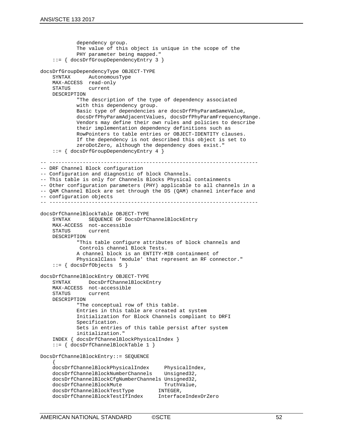```
 dependency group. 
              The value of this object is unique in the scope of the
              PHY parameter being mapped." 
     ::= { docsDrfGroupDependencyEntry 3 } 
docsDrfGroupDependencyType OBJECT-TYPE 
                AutonomousType
    MAX-ACCESS read-only<br>STATUS current
                 current
     DESCRIPTION 
              "The description of the type of dependency associated 
              with this dependency group.
              Basic type of dependencies are docsDrfPhyParamSameValue, 
              docsDrfPhyParamAdjacentValues, docsDrfPhyParamFrequencyRange. 
              Vendors may define their own rules and policies to describe
              their implementation dependency definitions such as
              RowPointers to table entries or OBJECT-IDENTITY clauses.
              If the dependency is not described this object is set to
              zeroDotZero, although the dependency does exist."
     ::= { docsDrfGroupDependencyEntry 4 } 
                                   -- ---------------------------------------------------------------------
-- DRF Channel Block configuration 
-- Configuration and diagnostic of block Channels.
-- This table is only for Channels Blocks Physical containments
-- Other configuration parameters (PHY) applicable to all channels in a 
-- QAM Channel Block are set through the DS (QAM) channel interface and 
-- configuration objects
                                     -- ---------------------------------------------------------------------
docsDrfChannelBlockTable OBJECT-TYPE
                SEQUENCE OF DocsDrfChannelBlockEntry
    MAX-ACCESS not-accessible<br>STATUS current
                 current
     DESCRIPTION
              "This table configure attributes of block channels and
               Controls channel Block Tests.
              A channel block is an ENTITY-MIB containment of 
              PhysicalClass 'module' that represent an RF connector."
    ::= { docsDrfObjects 5 }
docsDrfChannelBlockEntry OBJECT-TYPE
               DocsDrfChannelBlockEntry
     MAX-ACCESS not-accessible
                 current
     DESCRIPTION
              "The conceptual row of this table.
              Entries in this table are created at system 
              Initialization for Block Channels compliant to DRFI 
              Specification.
              Sets in entries of this table persist after system
              initialization."
     INDEX { docsDrfChannelBlockPhysicalIndex }
     ::= { docsDrfChannelBlockTable 1 }
DocsDrfChannelBlockEntry::= SEQUENCE
\mathcal{L}docsDrfChannelBlockPhysicalIndex PhysicalIndex,<br>docsDrfChannelBlockNumberChannels Unsigned32,
    docsDrfChannelBlockNumberChannels
     docsDrfChannelBlockCfgNumberChannels Unsigned32,
    docsDrfChannelBlockMute TruthV<br>docsDrfChannelBlockTestType INTEGER,
    docsDrfChannelBlockTestType INTEGER,<br>docsDrfChannelBlockTestIfIndex InterfaceIndexOrZero
    docsDrfChannelBlockTestIfIndex
```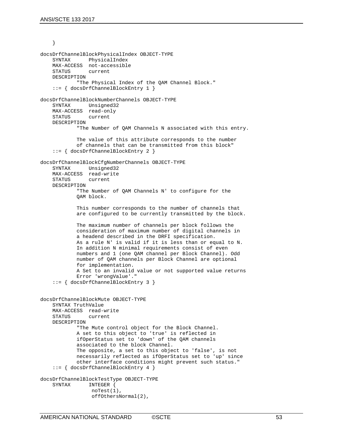```
 }
docsDrfChannelBlockPhysicalIndex OBJECT-TYPE
     SYNTAX PhysicalIndex
     MAX-ACCESS not-accessible
                current
     DESCRIPTION
             "The Physical Index of the QAM Channel Block."
     ::= { docsDrfChannelBlockEntry 1 }
docsDrfChannelBlockNumberChannels OBJECT-TYPE 
               Unsigned32
   MAX-ACCESS read-only<br>STATUS current
                current
     DESCRIPTION
             "The Number of QAM Channels N associated with this entry.
             The value of this attribute corresponds to the number
             of channels that can be transmitted from this block"
     ::= { docsDrfChannelBlockEntry 2 }
docsDrfChannelBlockCfgNumberChannels OBJECT-TYPE
                Unsigned32
    MAX-ACCESS read-write<br>STATUS current
                current
     DESCRIPTION
             "The Number of QAM Channels N' to configure for the 
             QAM block. 
             This number corresponds to the number of channels that
             are configured to be currently transmitted by the block.
             The maximum number of channels per block follows the 
             consideration of maximum number of digital channels in 
             a headend described in the DRFI specification.
             As a rule N' is valid if it is less than or equal to N. 
             In addition N minimal requirements consist of even 
             numbers and 1 (one QAM channel per Block Channel). Odd 
             number of QAM channels per Block Channel are optional 
             for implementation.
             A Set to an invalid value or not supported value returns
             Error 'wrongValue'."
     ::= { docsDrfChannelBlockEntry 3 }
docsDrfChannelBlockMute OBJECT-TYPE
     SYNTAX TruthValue
    MAX-ACCESS read-write
    STATUS
     DESCRIPTION
             "The Mute control object for the Block Channel. 
             A set to this object to 'true' is reflected in 
             ifOperStatus set to 'down' of the QAM channels 
             associated to the block Channel.
             The opposite, a set to this object to 'false', is not 
             necessarily reflected as ifOperStatus set to 'up' since
             other interface conditions might prevent such status."
     ::= { docsDrfChannelBlockEntry 4 }
docsDrfChannelBlockTestType OBJECT-TYPE
                INTEGER {
                  noTest(1),
                  offOthersNormal(2),
```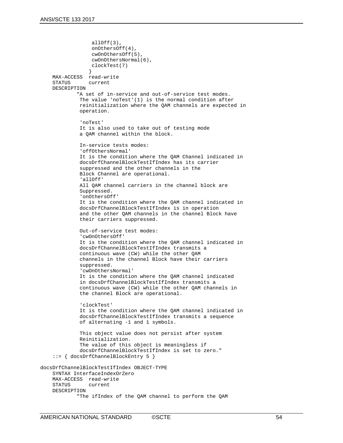```
 allOff(3),
                  onOthersOff(4),
                  cwOnOthersOff(5),
                  cwOnOthersNormal(6),
                  clockTest(7) 
}<br>{}
    MAX-ACCESS read-write<br>STATUS current
                current
     DESCRIPTION
              "A set of in-service and out-of-service test modes.
              The value 'noTest'(1) is the normal condition after
              reinitialization where the QAM channels are expected in
              operation.
               'noTest' 
              It is also used to take out of testing mode
              a QAM channel within the block.
              In-service tests modes:
               'offOthersNormal'
              It is the condition where the QAM Channel indicated in
              docsDrfChannelBlockTestIfIndex has its carrier 
              suppressed and the other channels in the 
              Block Channel are operational.
              'allOff'
              All QAM channel carriers in the channel block are
              Suppressed. 
               'onOthersOff'
              It is the condition where the QAM channel indicated in
              docsDrfChannelBlockTestIfIndex is in operation
              and the other QAM channels in the channel Block have
              their carriers suppressed.
              Out-of-service test modes:
               'cwOnOthersOff'
              It is the condition where the QAM channel indicated in 
              docsDrfChannelBlockTestIfIndex transmits a 
              continuous wave (CW) while the other QAM 
              channels in the channel Block have their carriers 
              suppressed.
               'cwOnOthersNormal'
              It is the condition where the QAM channel indicated
              in docsDrfChannelBlockTestIfIndex transmits a 
              continuous wave (CW) while the other QAM channels in
              the channel Block are operational.
              'clockTest'
              It is the condition where the QAM channel indicated in
              docsDrfChannelBlockTestIfIndex transmits a sequence 
              of alternating -1 and 1 symbols.
              This object value does not persist after system 
              Reinitialization.
              The value of this object is meaningless if 
              docsDrfChannelBlockTestIfIndex is set to zero."
     ::= { docsDrfChannelBlockEntry 5 }
docsDrfChannelBlockTestIfIndex OBJECT-TYPE
     SYNTAX InterfaceIndexOrZero
    MAX-ACCESS read-write<br>STATUS current
                current
     DESCRIPTION
             "The ifIndex of the QAM channel to perform the QAM
```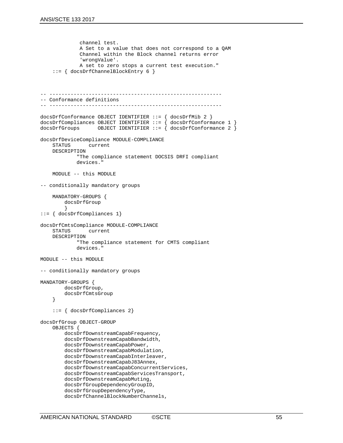```
 channel test.
               A Set to a value that does not correspond to a QAM 
               Channel within the Block channel returns error 
               'wrongValue'.
               A set to zero stops a current test execution."
     ::= { docsDrfChannelBlockEntry 6 }
 -- ---------------------------------------------------------
-- Conformance definitions 
-- ---------------------------------------------------------
docsDrfConformance OBJECT IDENTIFIER ::= { docsDrfMib 2 }
docsDrfCompliances OBJECT IDENTIFIER ::= { docsDrfConformance 1 } docsDrfGroups 0BJECT IDENTIFIER ::= { docsDrfConformance 2 }
                   OBJECT IDENTIFIER ::= \{ docsDrfConformance 2 \}docsDrfDeviceCompliance MODULE-COMPLIANCE<br>STATUS current
                current
     DESCRIPTION 
              "The compliance statement DOCSIS DRFI compliant 
              devices."
     MODULE -- this MODULE
-- conditionally mandatory groups
     MANDATORY-GROUPS {
        docsDrfGroup<br>}
 }
::= { docsDrfCompliances 1}
docsDrfCmtsCompliance MODULE-COMPLIANCE<br>STATUS current
                 current
     DESCRIPTION 
              "The compliance statement for CMTS compliant 
              devices."
MODULE -- this MODULE
-- conditionally mandatory groups
MANDATORY-GROUPS {
         docsDrfGroup,
         docsDrfCmtsGroup
     }
     ::= { docsDrfCompliances 2}
docsDrfGroup OBJECT-GROUP
     OBJECTS {
         docsDrfDownstreamCapabFrequency,
         docsDrfDownstreamCapabBandwidth,
         docsDrfDownstreamCapabPower,
         docsDrfDownstreamCapabModulation,
         docsDrfDownstreamCapabInterleaver,
         docsDrfDownstreamCapabJ83Annex,
         docsDrfDownstreamCapabConcurrentServices,
         docsDrfDownstreamCapabServicesTransport,
         docsDrfDownstreamCapabMuting,
         docsDrfGroupDependencyGroupID,
         docsDrfGroupDependencyType,
         docsDrfChannelBlockNumberChannels,
```